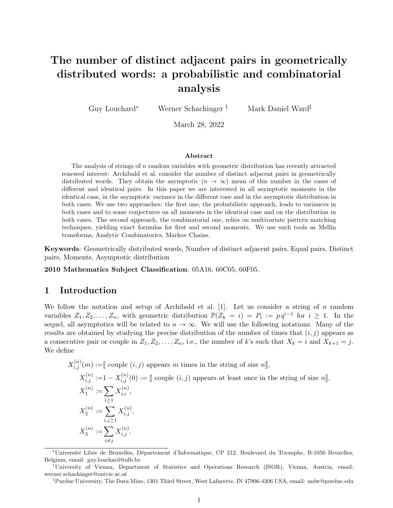# The number of distinct adjacent pairs in geometrically distributed words: a probabilistic and combinatorial analysis

Guy Louchard\* Werner Schachinger <sup>†</sup> Mark Daniel Ward<sup>‡</sup>

March 28, 2022

#### Abstract

The analysis of strings of n random variables with geometric distribution has recently attracted renewed interest: Archibald et al. consider the number of distinct adjacent pairs in geometrically distributed words. They obtain the asymptotic  $(n \to \infty)$  mean of this number in the cases of different and identical pairs. In this paper we are interested in all asymptotic moments in the identical case, in the asymptotic variance in the different case and in the asymptotic distribution in both cases. We use two approaches: the first one, the probabilistic approach, leads to variances in both cases and to some conjectures on all moments in the identical case and on the distribution in both cases. The second approach, the combinatorial one, relies on multivariate pattern matching techniques, yielding exact formulas for first and second moments. We use such tools as Mellin transforms, Analytic Combinatorics, Markov Chains.

Keywords: Geometrically distributed words, Number of distinct adjacent pairs, Equal pairs, Distinct pairs, Moments, Asymptotic distribution

2010 Mathematics Subject Classification: 05A16, 60C05, 60F05.

## 1 Introduction

We follow the notation and setup of Archibald et al.  $[1]$ . Let us consider a string of n random variables  $Z_1, Z_2, \ldots, Z_n$ , with geometric distribution  $\mathbb{P}(Z_k = i) = P_i := pq^{i-1}$  for  $i \geq 1$ . In the sequel, all asymptotics will be related to  $n \to \infty$ . We will use the following notations. Many of the results are obtained by studying the precise distribution of the number of times that  $(i, j)$  appears as a consecutive pair or couple in  $Z_1, Z_2, \ldots, Z_n$ , i.e., the number of k's such that  $X_k = i$  and  $X_{k+1} = j$ . We define

$$
X_{i,j}^{(n)}(m) := \llbracket \text{ couple } (i,j) \text{ appears } m \text{ times in the string of size } n \rrbracket,
$$
  
\n
$$
X_{i,j}^{(n)} := 1 - X_{i,j}^{(n)}(0) := \llbracket \text{ couple } (i,j) \text{ appears at least once in the string of size } n \rrbracket,
$$
  
\n
$$
X_1^{(n)} := \sum_{i \geq 1} X_{i,i}^{(n)},
$$
  
\n
$$
X_2^{(n)} := \sum_{i,j \geq 1} X_{i,j}^{(n)},
$$
  
\n
$$
X_3^{(n)} := \sum_{i \neq j} X_{i,j}^{(n)}.
$$

Purdue University, The Data Mine, 1301 Third Street, West Lafayette, IN 47906-4206 USA, email: mdw@purdue.edu

<sup>\*</sup>Universit´e Libre de Bruxelles, D´epartement d'Informatique, CP 212, Boulevard du Triomphe, B-1050 Bruxelles, Belgium, email: guy.louchard@ulb.be

University of Vienna, Department of Statistics and Operations Research (ISOR), Vienna, Austria, email: werner.schachinger@univie.ac.at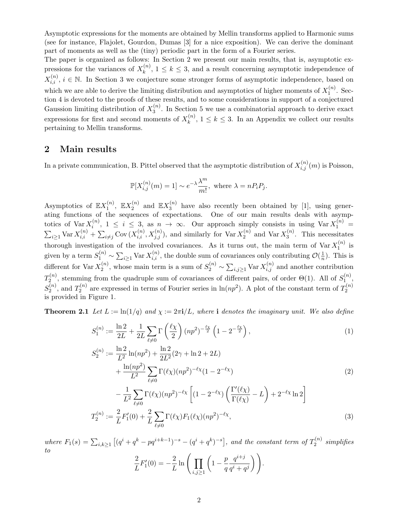Asymptotic expressions for the moments are obtained by Mellin transforms applied to Harmonic sums (see for instance, Flajolet, Gourdon, Dumas [3] for a nice exposition). We can derive the dominant part of moments as well as the (tiny) periodic part in the form of a Fourier series.

The paper is organized as follows: In Section 2 we present our main results, that is, asymptotic expressions for the variances of  $X_k^{(n)}$  $\binom{n}{k}$ ,  $1 \leq k \leq 3$ , and a result concerning asymptotic independence of  $X_{i,i}^{(n)}$ ,  $i \in \mathbb{N}$ . In Section 3 we conjecture some stronger forms of asymptotic independence, based on which we are able to derive the limiting distribution and asymptotics of higher moments of  $X_1^{(n)}$  $1^{(n)}$ . Section 4 is devoted to the proofs of these results, and to some considerations in support of a conjectured Gaussion limiting distribution of  $X_3^{(n)}$  $\binom{n}{3}$ . In Section 5 we use a combinatorial approach to derive exact expressions for first and second moments of  $X_k^{(n)}$  $\binom{n}{k}$ ,  $1 \leq k \leq 3$ . In an Appendix we collect our results pertaining to Mellin transforms.

## 2 Main results

In a private communication, B. Pittel observed that the asymptotic distribution of  $X_{i,j}^{(n)}(m)$  is Poisson,

$$
\mathbb{P}[X_{i,j}^{(n)}(m) = 1] \sim e^{-\lambda} \frac{\lambda^m}{m!}, \text{ where } \lambda = nP_iP_j.
$$

Asymptotics of  $\mathbb{E} X_1^{(n)}$  $X_1^{(n)}, \, \, \mathbb{E} X_2^{(n)}$  $\mathbb{E}X_3^{(n)}$  and  $\mathbb{E}X_3^{(n)}$  $\binom{n}{3}$  have also recently been obtained by [1], using generating functions of the sequences of expectations. One of our main results deals with asymptotics of  $\text{Var } X_i^{(n)}$  $i^{(n)}$ ,  $1 \leq i \leq 3$ , as  $n \to \infty$ . Our approach simply consists in using  $\text{Var } X_1^{(n)} =$  $\sum_{i\geq 1}$  Var  $X_{i,i}^{(n)} + \sum_{i\neq j}$  Cov  $(X_{i,i}^{(n)}, X_{j,j}^{(n)})$ , and similarly for Var  $X_2^{(n)}$  $\chi_2^{(n)}$  and  $\text{Var } X_3^{(n)}$  $3^{(n)}$ . This necessitates thorough investigation of the involved covariances. As it turns out, the main term of  $\text{Var } X_1^{(n)}$  $i^{(n)}_1$  is given by a term  $S_1^{(n)} \sim \sum_{i \geq 1} \text{Var } X_{i,i}^{(n)}$ , the double sum of covariances only contributing  $\mathcal{O}(\frac{1}{n})$  $\frac{1}{n}$ ). This is different for Var  $X_2^{(n)}$  $\chi_2^{(n)}$ , whose main term is a sum of  $S_2^{(n)} \sim \sum_{i,j\geq 1} \text{Var } X_{i,j}^{(n)}$  and another contribution  $T_2^{(n)}$  $S_2^{(n)}$ , stemming from the quadruple sum of covariances of different pairs, of order  $\Theta(1)$ . All of  $S_1^{(n)}$  $\mathbf{1}^{(n)},$  $S_2^{(n)}$  $T_2^{(n)}$ , and  $T_2^{(n)}$  $n_2^{(n)}$  are expressed in terms of Fourier series in  $\ln(np^2)$ . A plot of the constant term of  $T_2^{(n)}$ 2 is provided in Figure 1.

**Theorem 2.1** Let  $L := \ln(1/q)$  and  $\chi := 2\pi i/L$ , where i denotes the imaginary unit. We also define

$$
S_1^{(n)} := \frac{\ln 2}{2L} + \frac{1}{2L} \sum_{\ell \neq 0} \Gamma\left(\frac{\ell \chi}{2}\right) (np^2)^{-\frac{\ell \chi}{2}} \left(1 - 2^{-\frac{\ell \chi}{2}}\right),\tag{1}
$$

$$
S_2^{(n)} := \frac{\ln 2}{L^2} \ln(np^2) + \frac{\ln 2}{2L^2} (2\gamma + \ln 2 + 2L) + \frac{\ln(np^2)}{L^2} \sum_{\ell \neq 0} \Gamma(\ell \chi) (np^2)^{-\ell \chi} (1 - 2^{-\ell \chi})
$$
\n(2)

$$
-\frac{1}{L^2} \sum_{\ell \neq 0} \Gamma(\ell \chi) (np^2)^{-\ell \chi} \left[ (1 - 2^{-\ell \chi}) \left( \frac{\Gamma'(\ell \chi)}{\Gamma(\ell \chi)} - L \right) + 2^{-\ell \chi} \ln 2 \right]
$$
  

$$
T_2^{(n)} := \frac{2}{L} F_1'(0) + \frac{2}{L} \sum_{\ell \neq 0} \Gamma(\ell \chi) F_1(\ell \chi) (np^2)^{-\ell \chi},
$$
 (3)

where  $F_1(s) = \sum_{i,k \geq 1} \left[ (q^i + q^k - pq^{i+k-1})^{-s} - (q^i + q^k)^{-s} \right]$ , and the constant term of  $T_2^{(n)}$  $\sum_{2}^{(n)}$  simplifies to 2  $\frac{2}{L}F'_1(0) = -\frac{2}{L}$  $\frac{2}{L}\ln\bigg(\prod_{i\leq N}$  $_{i,j\geq 1}$  $\left(1-\frac{p}{q}\right)$ q  $q^{i+j}$  $q^i+q^j$  $\big)$ .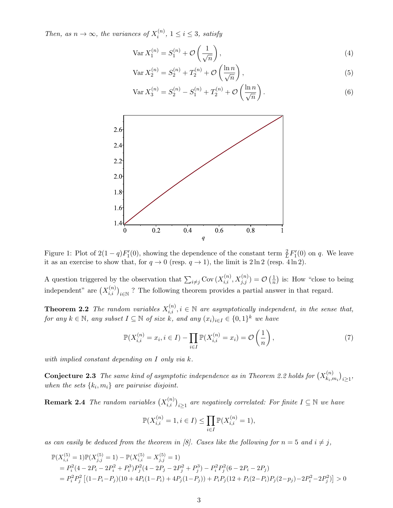Then, as  $n \to \infty$ , the variances of  $X_i^{(n)}$  $i^{(n)}$ ,  $1 \leq i \leq 3$ , satisfy

$$
\operatorname{Var} X_1^{(n)} = S_1^{(n)} + \mathcal{O}\left(\frac{1}{\sqrt{n}}\right),\tag{4}
$$

$$
\text{Var}\, X_2^{(n)} = S_2^{(n)} + T_2^{(n)} + \mathcal{O}\left(\frac{\ln n}{\sqrt{n}}\right),\tag{5}
$$

$$
\text{Var}\,X_3^{(n)} = S_2^{(n)} - S_1^{(n)} + T_2^{(n)} + \mathcal{O}\left(\frac{\ln n}{\sqrt{n}}\right). \tag{6}
$$



Figure 1: Plot of  $2(1-q)F'_1(0)$ , showing the dependence of the constant term  $\frac{2}{L}F'_1(0)$  on q. We leave it as an exercise to show that, for  $q \to 0$  (resp.  $q \to 1$ ), the limit is  $2 \ln 2$  (resp.  $4 \ln 2$ ).

A question triggered by the observation that  $\sum_{i \neq j} \text{Cov}(X_{i,i}^{(n)}, X_{j,j}^{(n)}) = \mathcal{O}(\frac{1}{n})$  $\frac{1}{n}$ ) is: How "close to being independent" are  $(X_{i,i}^{(n)})_{i\in\mathbb{N}}$ ? The following theorem provides a partial answer in that regard.

**Theorem 2.2** The random variables  $X_{i,i}^{(n)}$ ,  $i \in \mathbb{N}$  are asymptotically independent, in the sense that, for any  $k \in \mathbb{N}$ , any subset  $I \subseteq \mathbb{N}$  of size k, and any  $(x_i)_{i \in I} \in \{0,1\}^k$  we have

$$
\mathbb{P}(X_{i,i}^{(n)} = x_i, i \in I) - \prod_{i \in I} \mathbb{P}(X_{i,i}^{(n)} = x_i) = \mathcal{O}\left(\frac{1}{n}\right),\tag{7}
$$

with implied constant depending on I only via k.

**Conjecture 2.3** The same kind of asymptotic independence as in Theorem 2.2 holds for  $(X_{k,i}^{(n)})$  ${x_{i}, m_{i}}\choose k_{i}, m_{i}}\}_{i\geq 1},$ when the sets  $\{k_i, m_i\}$  are pairwise disjoint.

**Remark 2.4** The random variables  $(X_{i,i}^{(n)})_{i\geq 1}$  are negatively correlated: For finite  $I\subseteq\mathbb{N}$  we have

$$
\mathbb{P}(X_{i,i}^{(n)} = 1, i \in I) \le \prod_{i \in I} \mathbb{P}(X_{i,i}^{(n)} = 1),
$$

as can easily be deduced from the theorem in [8]. Cases like the following for  $n = 5$  and  $i \neq j$ ,

$$
\mathbb{P}(X_{i,i}^{(5)} = 1)\mathbb{P}(X_{j,j}^{(5)} = 1) - \mathbb{P}(X_{i,i}^{(5)} = X_{j,j}^{(5)} = 1)
$$
  
=  $P_i^2(4 - 2P_i - 2P_i^2 + P_i^3)P_j^2(4 - 2P_j - 2P_j^2 + P_j^3) - P_i^2P_j^2(6 - 2P_i - 2P_j)$   
=  $P_i^2P_j^2[(1 - P_i - P_j)(10 + 4P_i(1 - P_i) + 4P_j(1 - P_j)) + P_iP_j(12 + P_i(2 - P_i)P_j(2 - p_j) - 2P_i^2 - 2P_j^2)] > 0$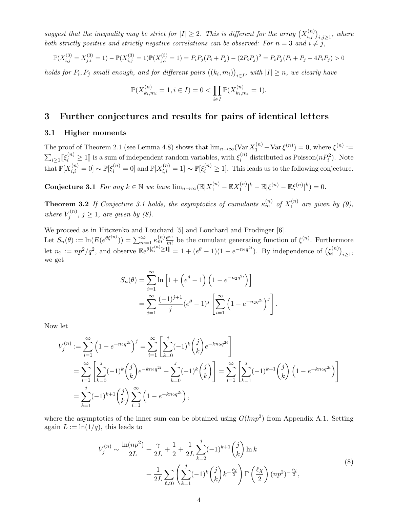suggest that the inequality may be strict for  $|I|\geq 2$ . This is different for the array  $(X_{i,j}^{(n)})_{i,j\geq 1}$ , where both strictly positive and strictly negative correlations can be observed: For  $n = 3$  and  $i \neq j$ ,

$$
\mathbb{P}(X_{i,j}^{(3)} = X_{j,i}^{(3)} = 1) - \mathbb{P}(X_{i,j}^{(3)} = 1)\mathbb{P}(X_{j,i}^{(3)} = 1) = P_i P_j (P_i + P_j) - (2P_i P_j)^2 = P_i P_j (P_i + P_j - 4P_i P_j) > 0
$$

holds for  $P_i, P_j$  small enough, and for different pairs  $((k_i, m_i))_{i \in I}$ , with  $|I| \geq n$ , we clearly have

$$
\mathbb{P}(X_{k_i,m_i}^{(n)} = 1, i \in I) = 0 < \prod_{i \in I} \mathbb{P}(X_{k_i,m_i}^{(n)} = 1).
$$

## 3 Further conjectures and results for pairs of identical letters

#### 3.1 Higher moments

The proof of Theorem 2.1 (see Lemma 4.8) shows that  $\lim_{n\to\infty} (\text{Var } X_1^{(n)} - \text{Var } \xi^{(n)}) = 0$ , where  $\xi^{(n)} :=$  $\sum_{i\geq 1} [\![\xi_i^{(n)}\!]\geq 1]\!]$  is a sum of independent random variables, with  $\xi_i^{(n)}$  $i^{(n)}$  distributed as Poisson $(nP_i^2)$ . Note that  $\mathbb{P}[X_{i,i}^{(n)} = 0] \sim \mathbb{P}[\xi_i^{(n)} = 0]$  and  $\mathbb{P}[X_{i,i}^{(n)} = 1] \sim \mathbb{P}[\xi_i^{(n)} \ge 1]$ . This leads us to the following conjecture.

Conjecture 3.1 For any  $k \in \mathbb{N}$  we have  $\lim_{n \to \infty} (\mathbb{E}|X_1^{(n)} - \mathbb{E}X_1^{(n)})$  $|\xi^{(n)}|^k - \mathbb{E}|\xi^{(n)} - \mathbb{E}\xi^{(n)}|^k = 0.$ 

**Theorem 3.2** If Conjecture 3.1 holds, the asymptotics of cumulants  $\kappa_m^{(n)}$  of  $X_1^{(n)}$  $\mathbf{1}^{(n)}$  are given by  $(9)$ , where  $V_i^{(n)}$  $j^{(n)}$ ,  $j \geq 1$ , are given by  $(8)$ .

We proceed as in Hitczenko and Louchard [5] and Louchard and Prodinger [6]. Let  $S_n(\theta) := \ln(E(e^{\theta \xi^{(n)}})) = \sum_{m=1}^{\infty} \kappa_m^{(n)} \frac{\theta^m}{m!}$  $\frac{\theta^m}{m!}$  be the cumulant generating function of  $\xi^{(n)}$ . Furthermore let  $n_2 := np^2/q^2$ , and observe  $\mathbb{E}e^{\theta[\xi_i^{(n)} \geq 1]} = 1 + (e^{\theta} - 1)(1 - e^{-n_2 q^{2i}})$ . By independence of  $(\xi_i^{(n)})$  ${i^{(n)}}\choose{i}^{i\geq 1},$ we get

$$
S_n(\theta) = \sum_{i=1}^{\infty} \ln \left[ 1 + \left( e^{\theta} - 1 \right) \left( 1 - e^{-n_2 q^{2i}} \right) \right]
$$
  
= 
$$
\sum_{j=1}^{\infty} \frac{(-1)^{j+1}}{j} (e^{\theta} - 1)^j \left[ \sum_{i=1}^{\infty} \left( 1 - e^{-n_2 q^{2i}} \right)^j \right].
$$

Now let

$$
V_j^{(n)} := \sum_{i=1}^{\infty} \left(1 - e^{-n_2 q^{2i}}\right)^j = \sum_{i=1}^{\infty} \left[\sum_{k=0}^j (-1)^k {j \choose k} e^{-kn_2 q^{2i}}\right]
$$
  
= 
$$
\sum_{i=1}^{\infty} \left[\sum_{k=0}^j (-1)^k {j \choose k} e^{-kn_2 q^{2i}} - \sum_{k=0}^j (-1)^k {j \choose k}\right] = \sum_{i=1}^{\infty} \left[\sum_{k=1}^j (-1)^{k+1} {j \choose k} \left(1 - e^{-kn_2 q^{2i}}\right)\right]
$$
  
= 
$$
\sum_{k=1}^j (-1)^{k+1} {j \choose k} \sum_{i=1}^{\infty} \left(1 - e^{-kn_2 q^{2i}}\right),
$$

where the asymptotics of the inner sum can be obtained using  $G(knp^2)$  from Appendix A.1. Setting again  $L := \ln(1/q)$ , this leads to

$$
V_j^{(n)} \sim \frac{\ln(np^2)}{2L} + \frac{\gamma}{2L} + \frac{1}{2} + \frac{1}{2L} \sum_{k=2}^j (-1)^{k+1} {j \choose k} \ln k + \frac{1}{2L} \sum_{\ell \neq 0} \left( \sum_{k=1}^j (-1)^k {j \choose k} k^{-\frac{\ell \chi}{2}} \right) \Gamma \left( \frac{\ell \chi}{2} \right) (np^2)^{-\frac{\ell \chi}{2}},
$$
\n(8)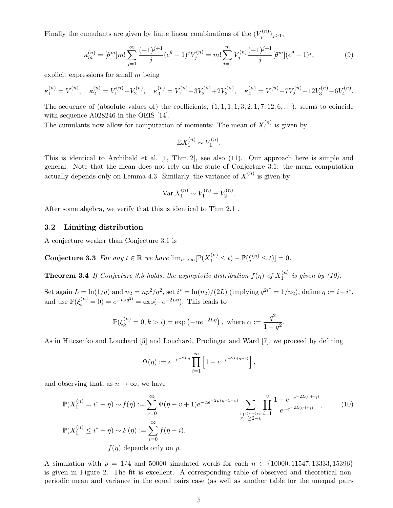Finally the cumulants are given by finite linear combinations of the  $(V_i^{(n)})$  $\binom{n}{j}$  $j \geq 1$ ,

$$
\kappa_m^{(n)} = [\theta^m] m! \sum_{j=1}^{\infty} \frac{(-1)^{j+1}}{j} (e^{\theta} - 1)^j V_j^{(n)} = m! \sum_{j=1}^m V_j^{(n)} \frac{(-1)^{j+1}}{j} [\theta^m] (e^{\theta} - 1)^j,
$$
(9)

explicit expressions for small m being

$$
\kappa_1^{(n)}=V_1^{(n)},\quad \kappa_2^{(n)}=V_1^{(n)}-V_2^{(n)},\quad \kappa_3^{(n)}=V_1^{(n)}-3V_2^{(n)}+2V_3^{(n)},\quad \kappa_4^{(n)}=V_1^{(n)}-7V_2^{(n)}+12V_3^{(n)}-6V_4^{(n)}.
$$

The sequence of (absolute values of) the coefficients,  $(1, 1, 1, 1, 3, 2, 1, 7, 12, 6, \ldots)$ , seems to coincide with sequence A028246 in the OEIS [14].

The cumulants now allow for computation of moments: The mean of  $X_1^{(n)}$  $j_1^{(n)}$  is given by

$$
\mathbb{E}X_1^{(n)} \sim V_1^{(n)}.
$$

This is identical to Archibald et al. [1, Thm. 2], see also (11). Our approach here is simple and general. Note that the mean does not rely on the state of Conjecture 3.1: the mean computation actually depends only on Lemma 4.3. Similarly, the variance of  $X_1^{(n)}$  $j_1^{(n)}$  is given by

$$
\text{Var}\, X_1^{(n)} \sim V_1^{(n)} - V_2^{(n)}.
$$

After some algebra, we verify that this is identical to Thm 2.1 .

### 3.2 Limiting distribution

A conjecture weaker than Conjecture 3.1 is

**Conjecture 3.3** For any  $t \in \mathbb{R}$  we have  $\lim_{n \to \infty} [\mathbb{P}(X_1^{(n)} \le t) - \mathbb{P}(\xi^{(n)} \le t)] = 0$ .

**Theorem 3.4** If Conjecture 3.3 holds, the asymptotic distribution  $f(\eta)$  of  $X_1^{(n)}$  $\int_1^{(n)}$  is given by (10).

Set again  $L = \ln(1/q)$  and  $n_2 = np^2/q^2$ , set  $i^* = \ln(n_2)/(2L)$  (implying  $q^{2i^*} = 1/n_2$ ), define  $\eta := i - i^*$ , and use  $\mathbb{P}(\xi_i^{(n)} = 0) = e^{-n_2 q^{2i}} = \exp(-e^{-2L\eta})$ . This leads to

$$
\mathbb{P}(\xi_k^{(n)}=0,k>i)=\exp\left(-\alpha e^{-2L\eta}\right), \text{ where } \alpha:=\frac{q^2}{1-q^2}.
$$

As in Hitczenko and Louchard [5] and Louchard, Prodinger and Ward [7], we proceed by defining

$$
\Psi(\eta) := e^{-e^{-2L\eta}} \prod_{i=1}^{\infty} \left[ 1 - e^{-e^{-2L(\eta - i)}} \right],
$$

and observing that, as  $n \to \infty$ , we have

$$
\mathbb{P}(X_1^{(n)} = i^* + \eta) \sim f(\eta) := \sum_{v=0}^{\infty} \Psi(\eta - v + 1)e^{-\alpha e^{-2L(\eta + 1 - v)}} \sum_{\substack{r_1 < \dots < r_v \\ r_j \ge 2 - v}} \prod_{i=1}^v \frac{1 - e^{-e^{-2L(\eta + r_i)}}}{e^{-e^{-2L(\eta + r_i)}}},\tag{10}
$$
\n
$$
\mathbb{P}(X_1^{(n)} \le i^* + \eta) \sim F(\eta) := \sum_{i=0}^{\infty} f(\eta - i).
$$
\n
$$
f(\eta) \text{ depends only on } p.
$$

A simulation with  $p = 1/4$  and 50000 simulated words for each  $n \in \{10000, 11547, 13333, 15396\}$ is given in Figure 2. The fit is excellent. A corresponding table of observed and theoretical nonperiodic mean and variance in the equal pairs case (as well as another table for the unequal pairs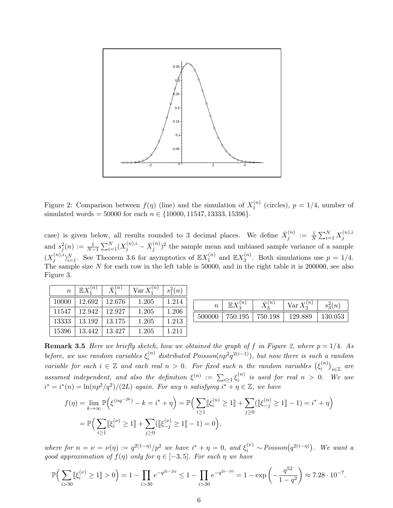

Figure 2: Comparison between  $f(\eta)$  (line) and the simulation of  $X_1^{(n)}$  $_1^{(n)}$  (circles),  $p = 1/4$ , number of simulated words = 50000 for each  $n \in \{10000, 11547, 13333, 15396\}.$ 

case) is given below, all results rounded to 3 decimal places. We define  $\bar{X}_i^{(n)}$  $j^{(n)} \; := \; \frac{1}{N} \sum_{i=1}^N X_j^{(n),i}$ j and  $s_j^2(n) := \frac{1}{N-1} \sum_{i=1}^N (X_j^{(n),i} - \bar{X}_j^{(n)}$  $j^{(n)}$ <sup>2</sup> the sample mean and unbiased sample variance of a sample  $(X_i^{(n),i})$  $j^{(n),i}$ <sub> $j^{N}_{i=1}$ </sub>. See Theorem 3.6 for asymptotics of  $\mathbb{E}X_1^{(n)}$  $\mathbb{E}X_3^{(n)}$  and  $\mathbb{E}X_3^{(n)}$  $3^{(n)}$ . Both simulations use  $p = 1/4$ . The sample size N for each row in the left table is 50000, and in the right table it is 200000, see also Figure 3.

| $\overline{n}$ | $\mathbb{E} X^{(n)}$ | $\bar{X}_1^{(n)}$ | $\text{Var } X_1^{(n)}$ | $s_1^2(n)$ |
|----------------|----------------------|-------------------|-------------------------|------------|
| 10000          | 12.692               | 12.676            | 1.205                   | 1.214      |
| 11547          | 12.942               | 12.927            | 1.205                   | 1.206      |
| 13333          | 13.192               | 13.175            | 1.205                   | 1.213      |
| 15396          | 13.442               | 13.427            | 1.205                   | 1.211      |

| $\it n$ | $\boldsymbol{n}$ | (n      | $\overline{n}$<br>$Var X_3$ | $s_2(n)$ |
|---------|------------------|---------|-----------------------------|----------|
| 500000  | 750.195          | 750.198 | 129.889                     | 130.053  |

**Remark 3.5** Here we briefly sketch, how we obtained the graph of f in Figure 2, where  $p = 1/4$ . As before, we use random variables  $\xi_i^{(n)}$  distributed Poisson(np<sup>2</sup>q<sup>2(i-1)</sup>), but now there is such a random variable for each  $i \in \mathbb{Z}$  and each real  $n > 0$ . For fixed such n the random variables  $(\xi_i^{(n)})$  $\binom{n}{i}_i \in \mathbb{Z}$  are assumed independent, and also the definition  $\xi^{(n)} := \sum_{i \geq 1} \xi_i^{(n)}$  $i^{(n)}$  is used for real  $n > 0$ . We use  $i^* = i^*(n) = \ln(np^2/q^2)/(2L)$  again. For any n satisfying  $i^* + \eta \in \mathbb{Z}$ , we have

$$
f(\eta) = \lim_{k \to \infty} \mathbb{P}\Big(\xi^{(nq^{-2k})} - k = i^* + \eta\Big) = \mathbb{P}\Big(\sum_{i \ge 1} [\![\xi_i^{(n)} \ge 1]\!] + \sum_{j \ge 0} ([\![\xi_{-j}^{(n)} \ge 1]\!] - 1) = i^* + \eta\Big)
$$
  
=  $\mathbb{P}\Big(\sum_{i \ge 1} [\![\xi_i^{(\nu)} \ge 1]\!] + \sum_{j \ge 0} ([\![\xi_{-j}^{(\nu)} \ge 1]\!] - 1) = 0\Big),$ 

where for  $n = \nu = \nu(\eta) := q^{2(1-\eta)}/p^2$  we have  $i^* + \eta = 0$ , and  $\xi_i^{(\nu)} \sim Poisson(q^{2(i-\eta)})$ . We want a good approximation of  $f(\eta)$  only for  $\eta \in [-3, 5]$ . For such  $\eta$  we have

$$
\mathbb{P}\Big(\sum_{i>30} \llbracket \xi_i^{(\nu)} \ge 1 \rrbracket > 0\Big) = 1 - \prod_{i>30} e^{-q^{2i-2\eta}} \le 1 - \prod_{i>30} e^{-q^{2i-10}} = 1 - \exp\left(-\frac{q^{52}}{1-q^2}\right) \approx 7.28 \cdot 10^{-7}.
$$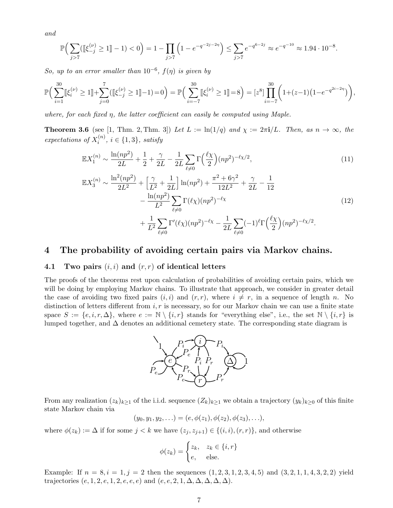and

$$
\mathbb{P}\Big(\sum_{j>7} (\llbracket \xi_{-j}^{(\nu)} \ge 1 \rrbracket - 1) < 0\Big) = 1 - \prod_{j>7} \left(1 - e^{-q^{-2j-2\eta}}\right) \le \sum_{j>7} e^{-q^{6-2j}} \approx e^{-q^{-10}} \approx 1.94 \cdot 10^{-8}.
$$

So, up to an error smaller than  $10^{-6}$ ,  $f(\eta)$  is given by

$$
\mathbb{P}\Big(\sum_{i=1}^{30}[\![\xi_i^{(\nu)}\geq 1]\!]+\sum_{j=0}^{7}([\![\xi_{-j}^{(\nu)}\geq 1]\!]-1)=0\Big)=\mathbb{P}\Big(\sum_{i=-7}^{30}[\![\xi_i^{(\nu)}\geq 1]\!]=8\Big)=\big[z^8\big]\prod_{i=-7}^{30}\left(1+(z-1)\big(1-e^{-q^{2i-2\eta}}\big)\right),
$$

where, for each fixed  $\eta$ , the latter coefficient can easily be computed using Maple.

**Theorem 3.6** (see [1, Thm. 2, Thm. 3]) Let  $L := \ln(1/q)$  and  $\chi := 2\pi i/L$ . Then, as  $n \to \infty$ , the expectations of  $X_i^{(n)}$  $i^{(n)}$ ,  $i \in \{1,3\}$ , satisfy

$$
\mathbb{E}X_1^{(n)} \sim \frac{\ln(np^2)}{2L} + \frac{1}{2} + \frac{\gamma}{2L} - \frac{1}{2L} \sum_{\ell \neq 0} \Gamma\left(\frac{\ell \chi}{2}\right) (np^2)^{-\ell \chi/2},\tag{11}
$$

$$
\mathbb{E}X_3^{(n)} \sim \frac{\ln^2(np^2)}{2L^2} + \left[\frac{\gamma}{L^2} + \frac{1}{2L}\right] \ln(np^2) + \frac{\pi^2 + 6\gamma^2}{12L^2} + \frac{\gamma}{2L} - \frac{1}{12} \n- \frac{\ln(np^2)}{L^2} \sum_{\ell \neq 0} \Gamma(\ell \chi) (np^2)^{-\ell \chi} \n+ \frac{1}{L^2} \sum_{\ell \neq 0} \Gamma'(\ell \chi) (np^2)^{-\ell \chi} - \frac{1}{2L} \sum_{\ell \neq 0} (-1)^{\ell} \Gamma(\frac{\ell \chi}{2}) (np^2)^{-\ell \chi/2}.
$$
\n(12)

### 4 The probability of avoiding certain pairs via Markov chains.

#### 4.1 Two pairs  $(i, i)$  and  $(r, r)$  of identical letters

The proofs of the theorems rest upon calculation of probabilities of avoiding certain pairs, which we will be doing by employing Markov chains. To illustrate that approach, we consider in greater detail the case of avoiding two fixed pairs  $(i, i)$  and  $(r, r)$ , where  $i \neq r$ , in a sequence of length n. No distinction of letters different from  $i, r$  is necessary, so for our Markov chain we can use a finite state space  $S := \{e, i, r, \Delta\}$ , where  $e := \mathbb{N} \setminus \{i, r\}$  stands for "everything else", i.e., the set  $\mathbb{N} \setminus \{i, r\}$  is lumped together, and  $\Delta$  denotes an additional cemetery state. The corresponding state diagram is



From any realization  $(z_k)_{k\geq 1}$  of the i.i.d. sequence  $(Z_k)_{k\geq 1}$  we obtain a trajectory  $(y_k)_{k\geq 0}$  of this finite state Markov chain via

$$
(y_0, y_1, y_2, \ldots) = (e, \phi(z_1), \phi(z_2), \phi(z_3), \ldots),
$$

where  $\phi(z_k) := \Delta$  if for some  $j < k$  we have  $(z_j, z_{j+1}) \in \{(i, i), (r, r)\}\)$ , and otherwise

$$
\phi(z_k) = \begin{cases} z_k, & z_k \in \{i, r\} \\ e, & \text{else.} \end{cases}
$$

Example: If  $n = 8, i = 1, j = 2$  then the sequences  $(1, 2, 3, 1, 2, 3, 4, 5)$  and  $(3, 2, 1, 1, 4, 3, 2, 2)$  yield trajectories  $(e, 1, 2, e, 1, 2, e, e, e)$  and  $(e, e, 2, 1, \Delta, \Delta, \Delta, \Delta, \Delta)$ .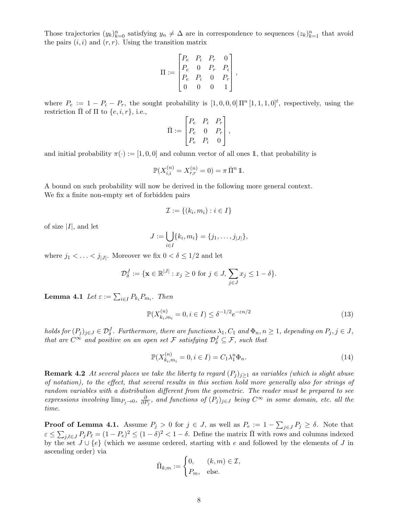Those trajectories  $(y_k)_{k=0}^n$  satisfying  $y_n \neq \Delta$  are in correspondence to sequences  $(z_k)_{k=1}^n$  that avoid the pairs  $(i, i)$  and  $(r, r)$ . Using the transition matrix

$$
\Pi := \begin{bmatrix} P_e & P_i & P_r & 0 \\ P_e & 0 & P_r & P_i \\ P_e & P_i & 0 & P_r \\ 0 & 0 & 0 & 1 \end{bmatrix},
$$

where  $P_e := 1 - P_i - P_r$ , the sought probability is  $[1, 0, 0, 0] \Pi^n [1, 1, 1, 0]^t$ , respectively, using the restriction  $\Pi$  of  $\Pi$  to  $\{e, i, r\}$ , i.e.,

$$
\bar{\Pi} := \begin{bmatrix} P_e & P_i & P_r \\ P_e & 0 & P_r \\ P_e & P_i & 0 \end{bmatrix},
$$

and initial probability  $\pi(\cdot) := [1, 0, 0]$  and column vector of all ones 1, that probability is

$$
\mathbb{P}(X_{i,i}^{(n)} = X_{r,r}^{(n)} = 0) = \pi \, \bar{\Pi}^n \, \mathbb{1}.
$$

A bound on such probability will now be derived in the following more general context. We fix a finite non-empty set of forbidden pairs

$$
\mathcal{I} := \{(k_i, m_i) : i \in I\}
$$

of size  $|I|$ , and let

$$
J := \bigcup_{i \in I} \{k_i, m_i\} = \{j_1, \ldots, j_{|J|}\},\
$$

where  $j_1 < \ldots < j_{|J|}$ . Moreover we fix  $0 < \delta \leq 1/2$  and let

$$
\mathcal{D}_{\delta}^J := \{ \mathbf{x} \in \mathbb{R}^{|J|} : x_j \ge 0 \text{ for } j \in J, \sum_{j \in J} x_j \le 1 - \delta \}.
$$

**Lemma 4.1** Let  $\varepsilon := \sum_{i \in I} P_{k_i} P_{m_i}$ . Then

$$
\mathbb{P}(X_{k_i,m_i}^{(n)} = 0, i \in I) \le \delta^{-1/2} e^{-\varepsilon n/2}
$$
\n(13)

holds for  $(P_j)_{j\in J}\in \mathcal{D}_\delta^J$ . Furthermore, there are functions  $\lambda_1,C_1$  and  $\Phi_n, n\geq 1$ , depending on  $P_j, j\in J$ , that are  $C^{\infty}$  and positive on an open set F satisfying  $\mathcal{D}_{\delta}^J \subseteq \mathcal{F}$ , such that

$$
\mathbb{P}(X_{k_i,m_i}^{(n)} = 0, i \in I) = C_1 \lambda_1^n \Phi_n.
$$
\n(14)

**Remark 4.2** At several places we take the liberty to regard  $(P_i)_{i\geq 1}$  as variables (which is slight abuse of notation), to the effect, that several results in this section hold more generally also for strings of random variables with a distribution different from the geometric. The reader must be prepared to see expressions involving  $\lim_{P_j \to 0}$ ,  $\frac{\partial}{\partial P}$  $\frac{\partial}{\partial P_j}$ , and functions of  $(P_j)_{j\in J}$  being  $C^{\infty}$  in some domain, etc. all the time.

**Proof of Lemma 4.1.** Assume  $P_j > 0$  for  $j \in J$ , as well as  $P_e := 1 - \sum_{j \in J} P_j \ge \delta$ . Note that  $\varepsilon \leq \sum_{j,\ell \in J} P_j P_\ell = (1 - P_e)^2 \leq (1 - \delta)^2 < 1 - \delta$ . Define the matrix  $\bar{\Pi}$  with rows and columns indexed by the set  $J \cup \{e\}$  (which we assume ordered, starting with e and followed by the elements of J in ascending order) via

$$
\bar{\Pi}_{k,m} := \begin{cases} 0, & (k,m) \in \mathcal{I}, \\ P_m, & \text{else.} \end{cases}
$$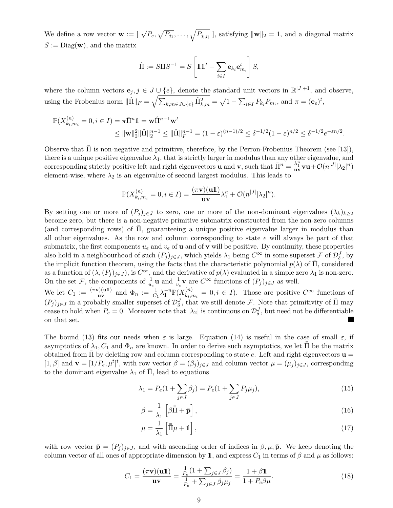We define a row vector  $\mathbf{w} := [\sqrt{P_e}, \sqrt{P_{j_1}}, \dots, \sqrt{P_{j_{|J|}}}]$ , satisfying  $\|\mathbf{w}\|_2 = 1$ , and a diagonal matrix  $S := \text{Diag}(\mathbf{w})$ , and the matrix

$$
\hat{\Pi} := S\bar{\Pi}S^{-1} = S\left[\mathbb{1}\mathbb{1}^t - \sum_{i \in I} \mathbf{e}_{k_i} \mathbf{e}_{m_i}^t\right]S,
$$

where the column vectors  $e_j, j \in J \cup \{e\}$ , denote the standard unit vectors in  $\mathbb{R}^{|J|+1}$ , and observe, using the Frobenius norm  $\|\hat{\Pi}\|_F = \sqrt{\sum_{k,m \in J \cup \{e\}} \hat{\Pi}_{k,m}^2} = \sqrt{1 - \sum_{i \in I} P_{k_i} P_{m_i}}$ , and  $\pi = (\mathbf{e}_e)^t$ ,

$$
\mathbb{P}(X_{k_i,m_i}^{(n)} = 0, i \in I) = \pi \bar{\Pi}^n \mathbb{1} = \mathbf{w} \hat{\Pi}^{n-1} \mathbf{w}^t
$$
  

$$
\leq ||\mathbf{w}||_2^2 ||\hat{\Pi}||_2^{n-1} \leq ||\hat{\Pi}||_F^{n-1} = (1 - \varepsilon)^{(n-1)/2} \leq \delta^{-1/2} (1 - \varepsilon)^{n/2} \leq \delta^{-1/2} e^{-\varepsilon n/2}.
$$

Observe that  $\Pi$  is non-negative and primitive, therefore, by the Perron-Frobenius Theorem (see [13]), there is a unique positive eigenvalue  $\lambda_1$ , that is strictly larger in modulus than any other eigenvalue, and corresponding strictly positive left and right eigenvectors **u** and **v**, such that  $\overline{\Pi}^n = \frac{\lambda_1^n}{\mathbf{u} \mathbf{v}} \mathbf{u} + \mathcal{O}(n^{|J|} |\lambda_2|^n)$ element-wise, where  $\lambda_2$  is an eigenvalue of second largest modulus. This leads to

$$
\mathbb{P}(X_{k_i,m_i}^{(n)}=0,i\in I)=\frac{(\pi\mathbf{v})(\mathbf{u}\mathbf{1})}{\mathbf{u}\mathbf{v}}\lambda_1^n+\mathcal{O}(n^{|J|}|\lambda_2|^n).
$$

By setting one or more of  $(P_i)_{i\in J}$  to zero, one or more of the non-dominant eigenvalues  $(\lambda_k)_{k\geq 2}$ become zero, but there is a non-negative primitive submatrix constructed from the non-zero columns (and corresponding rows) of  $\overline{\Pi}$ , guaranteeing a unique positive eigenvalue larger in modulus than all other eigenvalues. As the row and column corresponding to state  $e$  will always be part of that submatrix, the first components  $u_e$  and  $v_e$  of **u** and of **v** will be positive. By continuity, these properties also hold in a neighbourhood of such  $(P_j)_{j\in J}$ , which yields  $\lambda_1$  being  $C^{\infty}$  in some superset F of  $\mathcal{D}^J_{\delta}$ , by the implicit function theorem, using the facts that the characteristic polynomial  $p(\lambda)$  of  $\overline{\Pi}$ , considered as a function of  $(\lambda,(P_j)_{j\in J})$ , is  $C^{\infty}$ , and the derivative of  $p(\lambda)$  evaluated in a simple zero  $\lambda_1$  is non-zero. On the set F, the components of  $\frac{1}{u_e}$ **u** and  $\frac{1}{v_e}$ **v** are  $C^{\infty}$  functions of  $(P_j)_{j\in J}$  as well.

We let  $C_1 := \frac{(\pi \mathbf{v})(\mathbf{u}\mathbf{1})}{\mathbf{u}\mathbf{v}}$  $\frac{d\mathbf{u}}{\mathbf{u}}$  and  $\Phi_n := \frac{1}{C_1} \lambda_1^{-n} \mathbb{P}(X_{k_i,n}^{(n)})$  $k_{i,m_i}^{(n)} = 0, i \in I$ . Those are positive  $C^{\infty}$  functions of  $(P_j)_{j\in J}$  in a probably smaller superset of  $\mathcal{D}_\delta^J$ , that we still denote F. Note that primitivity of  $\bar{\Pi}$  may cease to hold when  $P_e = 0$ . Moreover note that  $|\lambda_2|$  is continuous on  $\mathcal{D}_{\delta}^J$ , but need not be differentiable on that set.

The bound (13) fits our needs when  $\varepsilon$  is large. Equation (14) is useful in the case of small  $\varepsilon$ , if asymptotics of  $\lambda_1, C_1$  and  $\Phi_n$  are known. In order to derive such asymptotics, we let  $\Pi$  be the matrix obtained from  $\Pi$  by deleting row and column corresponding to state e. Left and right eigenvectors  $\mathbf{u} =$ [1,  $\beta$ ] and  $\mathbf{v} = [1/P_e, \mu^t]^t$ , with row vector  $\beta = (\beta_j)_{j \in J}$  and column vector  $\mu = (\mu_j)_{j \in J}$ , corresponding to the dominant eigenvalue  $\lambda_1$  of  $\overline{\Pi}$ , lead to equations

$$
\lambda_1 = P_e(1 + \sum_{j \in J} \beta_j) = P_e(1 + \sum_{j \in J} P_j \mu_j),\tag{15}
$$

$$
\beta = \frac{1}{\lambda_1} \left[ \beta \bar{\Pi} + \bar{\mathbf{p}} \right],\tag{16}
$$

$$
\mu = \frac{1}{\lambda_1} \left[ \bar{\bar{\Pi}} \mu + \mathbb{1} \right],\tag{17}
$$

with row vector  $\bar{\mathbf{p}} = (P_j)_{j \in J}$ , and with ascending order of indices in  $\beta, \mu, \bar{\mathbf{p}}$ . We keep denoting the column vector of all ones of appropriate dimension by 1, and express  $C_1$  in terms of  $\beta$  and  $\mu$  as follows:

$$
C_1 = \frac{(\pi \mathbf{v})(\mathbf{u}\mathbf{1})}{\mathbf{u}\mathbf{v}} = \frac{\frac{1}{P_e}(1 + \sum_{j \in J} \beta_j)}{\frac{1}{P_e} + \sum_{j \in J} \beta_j \mu_j} = \frac{1 + \beta \mathbf{1}}{1 + P_e \beta \mu}.
$$
 (18)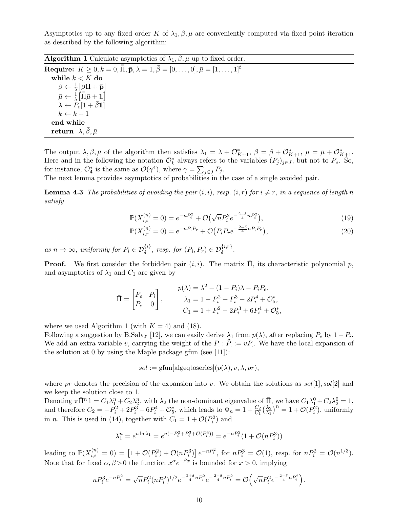Asymptotics up to any fixed order K of  $\lambda_1, \beta, \mu$  are conveniently computed via fixed point iteration as described by the following algorithm:

**Algorithm 1** Calculate asymptotics of  $\lambda_1, \beta, \mu$  up to fixed order.

 ${\bf Require:} \ \ K\geq0,k=0,\bar{\bar{\Pi}},\bar{\mathbf{p}},\lambda=1,\bar{\beta}=[0,\ldots,0], \bar{\mu}=[1,\ldots,1]^t$ while  $k < K$  do  $\bar{\beta} \leftarrow \frac{1}{\lambda} \left[ \bar{\beta} \bar{\bar{\Pi}} + \bar{\mathbf{p}} \right]$  $\bar{\mu} \leftarrow \frac{\hat{1}}{\lambda} \left[ \bar{\bar{\Pi}} \bar{\mu} + \mathbb{1} \right]$  $\lambda \leftarrow P_e[1 + \bar{\beta}1]$  $k \leftarrow k + 1$ end while return  $\lambda, \beta, \bar{\mu}$ 

The output  $\lambda, \bar{\beta}, \bar{\mu}$  of the algorithm then satisfies  $\lambda_1 = \lambda + \mathcal{O}_{K+1}^*$ ,  $\beta = \bar{\beta} + \mathcal{O}_{K+1}^*$ ,  $\mu = \bar{\mu} + \mathcal{O}_{K+1}^*$ . Here and in the following the notation  $\mathcal{O}_k^*$  always refers to the variables  $(P_j)_{j\in J}$ , but not to  $P_e$ . So, for instance,  $\mathcal{O}_4^*$  is the same as  $\mathcal{O}(\gamma^4)$ , where  $\gamma = \sum_{j \in J} P_j$ .

The next lemma provides asymptotics of probabilities in the case of a single avoided pair.

**Lemma 4.3** The probabilities of avoiding the pair  $(i, i)$ , resp.  $(i, r)$  for  $i \neq r$ , in a sequence of length n satisfy

$$
\mathbb{P}(X_{i,i}^{(n)} = 0) = e^{-nP_i^2} + \mathcal{O}\left(\sqrt{n}P_i^2 e^{-\frac{2-\delta}{4}nP_i^2}\right),\tag{19}
$$

$$
\mathbb{P}(X_{i,r}^{(n)} = 0) = e^{-nP_iP_r} + \mathcal{O}(P_iP_re^{-\frac{2-\delta}{4}nP_iP_r}),\tag{20}
$$

as  $n \to \infty$ , uniformly for  $P_i \in \mathcal{D}_{\delta}^{\{i\}}$ , resp. for  $(P_i, P_r) \in \mathcal{D}_{\delta}^{\{i,r\}}$ .

**Proof.** We first consider the forbidden pair  $(i, i)$ . The matrix  $\Pi$ , its characteristic polynomial p, and asymptotics of  $\lambda_1$  and  $C_1$  are given by

$$
\bar{\Pi} = \begin{bmatrix} P_e & P_i \\ P_e & 0 \end{bmatrix}, \qquad \begin{aligned} p(\lambda) &= \lambda^2 - (1 - P_i)\lambda - P_i P_e, \\ \lambda_1 &= 1 - P_i^2 + P_i^3 - 2P_i^4 + \mathcal{O}_5^*, \\ C_1 &= 1 + P_i^2 - 2P_i^3 + 6P_i^4 + \mathcal{O}_5^*, \end{aligned}
$$

where we used Algorithm 1 (with  $K = 4$ ) and (18).

Following a suggestion by B.Salvy [12], we can easily derive  $\lambda_1$  from  $p(\lambda)$ , after replacing  $P_e$  by  $1-P_i$ . We add an extra variable v, carrying the weight of the  $P : \tilde{P} := vP$ . We have the local expansion of the solution at 0 by using the Maple package gfun (see  $[11]$ ):

 $sol := \text{gfun}[\text{algeqtoseries}](p(\lambda), v, \lambda, pr),$ 

where pr denotes the precision of the expansion into v. We obtain the solutions as  $sol[1], sol[2]$  and we keep the solution close to 1.

Denoting  $\pi \bar{\Pi}^n \mathbb{1} = C_1 \lambda_1^n + C_2 \lambda_2^n$ , with  $\lambda_2$  the non-dominant eigenvalue of  $\bar{\Pi}$ , we have  $C_1 \lambda_1^0 + C_2 \lambda_2^0 = 1$ , and therefore  $C_2 = -P_i^2 + 2P_i^3 - 6P_i^4 + \mathcal{O}_5^*$ , which leads to  $\Phi_n = 1 + \frac{C_2}{C_1} \left( \frac{\lambda_2}{\lambda_1} \right)$  $\left(\frac{\lambda_2}{\lambda_1}\right)^n = 1 + \mathcal{O}(P_i^2)$ , uniformly in *n*. This is used in (14), together with  $C_1 = 1 + \mathcal{O}(P_i^2)$  and

$$
\lambda_1^n = e^{n\ln \lambda_1} = e^{n(-P_i^2 + P_i^3 + \mathcal{O}(P_i^4))} = e^{-nP_i^2}(1 + \mathcal{O}(nP_i^3))
$$

leading to  $\mathbb{P}(X_{i,i}^{(n)} = 0) = [1 + \mathcal{O}(P_i^2) + \mathcal{O}(nP_i^3)] e^{-nP_i^2}$ , for  $nP_i^3 = \mathcal{O}(1)$ , resp. for  $nP_i^2 = \mathcal{O}(n^{1/3})$ . Note that for fixed  $\alpha, \beta > 0$  the function  $x^{\alpha}e^{-\beta x}$  is bounded for  $x > 0$ , implying

$$
nP_i^3e^{-nP_i^2} = \sqrt{n}P_i^2(nP_i^2)^{1/2}e^{-\frac{2+\delta}{4}nP_i^2}e^{-\frac{2-\delta}{4}nP_i^2} = \mathcal{O}\left(\sqrt{n}P_i^2e^{-\frac{2-\delta}{4}nP_i^2}\right).
$$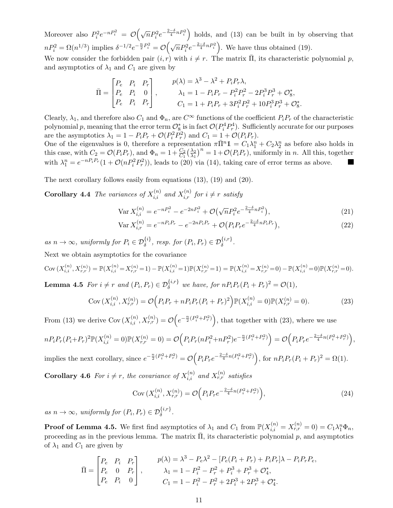Moreover also  $P_i^2 e^{-nP_i^2} = \mathcal{O}(\sqrt{n}P_i^2 e^{-\frac{2-\delta}{4}nP_i^2})$  holds, and (13) can be built in by observing that  $nP_i^2 = \Omega(n^{1/3})$  implies  $\delta^{-1/2}e^{-\frac{n}{2}P_i^2} = \mathcal{O}\left(\sqrt{n}P_i^2e^{-\frac{2-\delta}{4}nP_i^2}\right)$ . We have thus obtained (19).

We now consider the forbidden pair  $(i, r)$  with  $i \neq r$ . The matrix  $\overline{\Pi}$ , its characteristic polynomial p, and asymptotics of  $\lambda_1$  and  $C_1$  are given by

$$
\bar{\Pi} = \begin{bmatrix} P_e & P_i & P_r \\ P_e & P_i & 0 \\ P_e & P_i & P_r \end{bmatrix}, \qquad \begin{array}{c} p(\lambda) = \lambda^3 - \lambda^2 + P_i P_r \lambda, \\ \lambda_1 = 1 - P_i P_r - P_i^2 P_r^2 - 2 P_i^3 P_r^3 + \mathcal{O}_8^*, \\ C_1 = 1 + P_i P_r + 3 P_i^2 P_r^2 + 10 P_i^3 P_r^3 + \mathcal{O}_8^*. \end{array}
$$

Clearly,  $\lambda_1$ , and therefore also  $C_1$  and  $\Phi_n$ , are  $C^{\infty}$  functions of the coefficient  $P_iP_r$  of the characteristic polynomial p, meaning that the error term  $\mathcal{O}_8^*$  is in fact  $\mathcal{O}(P_i^4 P_r^4)$ . Sufficiently accurate for our purposes are the asymptotics  $\lambda_1 = 1 - P_i P_r + \mathcal{O}(P_i^2 P_r^2)$  and  $C_1 = 1 + \mathcal{O}(P_i P_r)$ .

One of the eigenvalues is 0, therefore a representation  $\pi \bar{\Pi}^n \mathbb{1} = C_1 \lambda_1^n + C_2 \lambda_2^n$  as before also holds in this case, with  $C_2 = \mathcal{O}(P_i P_r)$ , and  $\Phi_n = 1 + \frac{C_2}{C_1} \left(\frac{\lambda_2}{\lambda_1}\right)$  $\left(\frac{\lambda_2}{\lambda_1}\right)^n = 1 + \mathcal{O}(P_i P_r)$ , uniformly in *n*. All this, together with  $\lambda_1^n = e^{-nP_iP_r}(1 + \mathcal{O}(nP_i^2P_r^2))$ , leads to (20) via (14), taking care of error terms as above.

The next corollary follows easily from equations (13), (19) and (20).

**Corollary 4.4** The variances of  $X_{i,i}^{(n)}$  and  $X_{i,r}^{(n)}$  for  $i \neq r$  satisfy

$$
\text{Var}\,X_{i,i}^{(n)} = e^{-nP_i^2} - e^{-2nP_i^2} + \mathcal{O}\left(\sqrt{n}P_i^2e^{-\frac{2-\delta}{4}nP_i^2}\right),\tag{21}
$$

$$
\text{Var}\,X_{i,r}^{(n)} = e^{-nP_iP_r} - e^{-2nP_iP_r} + \mathcal{O}(P_iP_re^{-\frac{2-\delta}{4}nP_iP_r}),\tag{22}
$$

as  $n \to \infty$ , uniformly for  $P_i \in \mathcal{D}_{\delta}^{\{i\}}$ , resp. for  $(P_i, P_r) \in \mathcal{D}_{\delta}^{\{i,r\}}$ . Next we obtain asymptotics for the covariance

$$
\text{Cov}\left(X_{i,i}^{(n)}, X_{r,r}^{(n)}\right) = \mathbb{P}(X_{i,i}^{(n)} = X_{r,r}^{(n)} = 1) - \mathbb{P}(X_{i,i}^{(n)} = 1)\mathbb{P}(X_{r,r}^{(n)} = 1) = \mathbb{P}(X_{i,i}^{(n)} = X_{r,r}^{(n)} = 0) - \mathbb{P}(X_{i,i}^{(n)} = 0)\mathbb{P}(X_{r,r}^{(n)} = 0).
$$

**Lemma 4.5** For  $i \neq r$  and  $(P_i, P_r) \in \mathcal{D}_{\delta}^{\{i,r\}}$  we have, for  $nP_i P_r (P_i + P_r)^2 = \mathcal{O}(1)$ ,

$$
Cov\left(X_{i,i}^{(n)}, X_{r,r}^{(n)}\right) = \mathcal{O}\left(P_i P_r + n P_i P_r (P_i + P_r)^2\right) \mathbb{P}(X_{i,i}^{(n)} = 0) \mathbb{P}(X_{r,r}^{(n)} = 0). \tag{23}
$$

From (13) we derive Cov  $(X_{i,i}^{(n)}, X_{r,r}^{(n)}) = \mathcal{O}\left(e^{-\frac{n}{2}(P_i^2 + P_r^2)}\right)$ , that together with (23), where we use

$$
n P_i P_r (P_i + P_r)^2 \mathbb{P}(X_{i,i}^{(n)} = 0) \mathbb{P}(X_{r,r}^{(n)} = 0) = \mathcal{O}\Big(P_i P_r (n P_i^2 + n P_r^2) e^{-\frac{n}{2}(P_i^2 + P_r^2)}\Big) = \mathcal{O}\Big(P_i P_r e^{-\frac{2-\delta}{4}n(P_i^2 + P_r^2)}\Big),
$$

implies the next corollary, since  $e^{-\frac{n}{2}(P_i^2+P_r^2)} = \mathcal{O}\left(P_i P_r e^{-\frac{2-\delta}{4}n(P_i^2+P_r^2)}\right)$ , for  $nP_i P_r (P_i + P_r)^2 = \Omega(1)$ .

**Corollary 4.6** For  $i \neq r$ , the covariance of  $X_{i,i}^{(n)}$  and  $X_{r,r}^{(n)}$  satisfies

Cov 
$$
(X_{i,i}^{(n)}, X_{r,r}^{(n)}) = \mathcal{O}\Big(P_i P_r e^{-\frac{2-\delta}{4}n(P_i^2 + P_r^2)}\Big),
$$
 (24)

as  $n \to \infty$ , uniformly for  $(P_i, P_r) \in \mathcal{D}_{\delta}^{\{i,r\}}$ .

**Proof of Lemma 4.5.** We first find asymptotics of  $\lambda_1$  and  $C_1$  from  $\mathbb{P}(X_{i,i}^{(n)} = X_{r,r}^{(n)} = 0) = C_1 \lambda_1^n \Phi_n$ , proceeding as in the previous lemma. The matrix  $\overline{\Pi}$ , its characteristic polynomial p, and asymptotics of  $\lambda_1$  and  $C_1$  are given by

$$
\bar{\Pi} = \begin{bmatrix} P_e & P_i & P_r \\ P_e & 0 & P_r \\ P_e & P_i & 0 \end{bmatrix}, \qquad \begin{array}{c} p(\lambda) = \lambda^3 - P_e\lambda^2 - [P_e(P_i + P_r) + P_iP_r]\lambda - P_iP_rP_e, \\ \lambda_1 = 1 - P_i^2 - P_r^2 + P_i^3 + P_r^3 + \mathcal{O}_4^*, \\ C_1 = 1 - P_i^2 - P_r^2 + 2P_i^3 + 2P_r^3 + \mathcal{O}_4^*. \end{array}
$$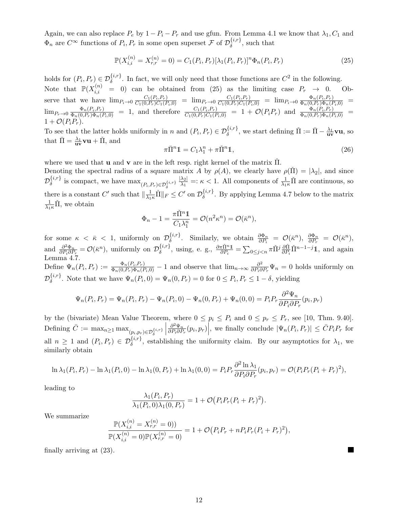Again, we can also replace  $P_e$  by  $1 - P_i - P_r$  and use gfun. From Lemma 4.1 we know that  $\lambda_1, C_1$  and  $\Phi_n$  are  $C^{\infty}$  functions of  $P_i, P_r$  in some open superset  $\mathcal F$  of  $\mathcal{D}_{\delta}^{\{i,r\}}$  $\delta^{i,r}$ , such that

$$
\mathbb{P}(X_{i,i}^{(n)} = X_{r,r}^{(n)} = 0) = C_1(P_i, P_r)[\lambda_1(P_i, P_r)]^n \Phi_n(P_i, P_r)
$$
\n(25)

holds for  $(P_i, P_r) \in \mathcal{D}_{\delta}^{\{i,r\}}$ . In fact, we will only need that those functions are  $C^2$  in the following. Note that  $\mathbb{P}(X_{i,i}^{(n)} = 0)$  can be obtained from (25) as the limiting case  $P_r \to 0$ . Observe that we have  $\lim_{P_i \to 0} \frac{C_1(P_i, P_r)}{C_1(0, P_r)C_1(P_i, 0)} = \lim_{P_r \to 0} \frac{C_1(P_i, P_r)}{C_1(0, P_r)C_1(P_i, 0)} = \lim_{P_i \to 0} \frac{\Phi_n(P_i, P_r)}{\Phi_n(0, P_r) \Phi_n(P_i, 0)} =$  $\lim_{P_r\to 0} \frac{\Phi_n(P_i,P_r)}{\Phi_n(0,P_r)\Phi_n(P_i,0)} = 1$ , and therefore  $\frac{C_1(P_i,P_r)}{C_1(0,P_r)C_1(P_i,0)} = 1 + \mathcal{O}(P_iP_r)$  and  $\frac{\Phi_n(P_i,P_r)}{\Phi_n(0,P_r)\Phi_n(P_i,0)} =$  $1 + \mathcal{O}(P_i P_r)$ .

To see that the latter holds uniformly in n and  $(P_i, P_r) \in \mathcal{D}_{\delta}^{\{i,r\}}$ , we start defining  $\check{\Pi} := \bar{\Pi} - \frac{\lambda_1}{\mathbf{u}\mathbf{v}}\mathbf{u}$ , so that  $\bar{\Pi} = \frac{\lambda_1}{uv}vu + \tilde{\Pi}$ , and

$$
\pi \bar{\Pi}^n \mathbb{1} = C_1 \lambda_1^n + \pi \check{\Pi}^n \mathbb{1},\tag{26}
$$

where we used that **u** and **v** are in the left resp. right kernel of the matrix  $\Pi$ .

Denoting the spectral radius of a square matrix A by  $\rho(A)$ , we clearly have  $\rho(\Pi) = |\lambda_2|$ , and since  $\mathcal{D}_\delta^{\{i,r\}}$  $\delta^{\{i,r\}}$  is compact, we have  $\max_{(P_i,P_r)\in\mathcal{D}_{\delta}^{\{i,r\}}}\frac{|\lambda_2|}{\lambda_1}$ δ  $\frac{\lambda_2}{\lambda_1}$  =:  $\kappa$  < 1. All components of  $\frac{1}{\lambda_1 \kappa} \tilde{\Pi}$  are continuous, so there is a constant  $C'$  such that  $\|\frac{1}{\lambda_{1}\kappa}\check{\Pi}\|_{F} \leq C'$  on  $\mathcal{D}_{\delta}^{\{i,r\}}$  $\delta^{\{\iota,\tau\}}$ . By applying Lemma 4.7 below to the matrix  $\frac{1}{\lambda_1 \kappa} \check{\Pi}$ , we obtain

$$
\Phi_n - 1 = \frac{\pi \check{\Pi}^n \mathbb{1}}{C_1 \lambda_1^n} = \mathcal{O}(n^2 \kappa^n) = \mathcal{O}(\bar{\kappa}^n),
$$

for some  $\kappa < \bar{\kappa} < 1$ , uniformly on  $\mathcal{D}_{\delta}^{\{i,r\}}$ . Similarly, we obtain  $\frac{\partial \Phi_n}{\partial P} = \mathcal{O}(\bar{\kappa}^n)$ ,  $\frac{\partial \Phi_n}{\partial P} = \mathcal{O}(\bar{\kappa}^n)$ ,  $\delta$  · Similarly, we obtain  $\overline{\partial P_i}$  =  $\mathcal{O}(\kappa)$ ,  $\overline{\partial P_r}$ and  $\frac{\partial^2 \Phi_n}{\partial P \cdot \partial P}$  $\frac{\partial^2 \Phi_n}{\partial P_i \partial P_r} = \mathcal{O}(\bar{\kappa}^n)$ , uniformly on  $\mathcal{D}_{\delta}^{\{i,r\}}$  $\{\delta^{i,r}\}\$ , using, e. g.,  $\frac{\partial \pi \check{\Pi}^{n} \mathbf{1}}{\partial P_{i}} = \sum_{0 \leq j < n} \pi \check{\Pi}^{j} \frac{\partial \check{\Pi}}{\partial P_{i}} \check{\Pi}^{n-1-j} \mathbf{1}$ , and again Lemma 4.7. Define  $\Psi_n(P_i, P_r) := \frac{\Phi_n(P_i, P_r)}{\Phi_n(0, P_r)\Phi_n(P_i, 0)} - 1$  and observe that  $\lim_{n \to \infty} \frac{\partial^2}{\partial P_i \partial P_n(P_i, P_r)}$  $\frac{\partial^2}{\partial P_i \partial P_r} \Psi_n = 0$  holds uniformly on  $\mathcal{D}_\delta^{\{i,r\}}$  $\oint_{\delta}^{\{\iota,r\}}$ . Note that we have  $\Psi_n(P_i,0) = \Psi_n(0,P_r) = 0$  for  $0 \le P_i, P_r \le 1-\delta$ , yielding

$$
\Psi_n(P_i, P_r) = \Psi_n(P_i, P_r) - \Psi_n(P_i, 0) - \Psi_n(0, P_r) + \Psi_n(0, 0) = P_i P_r \frac{\partial^2 \Psi_n}{\partial P_i \partial P_r}(p_i, p_r)
$$

by the (bivariate) Mean Value Theorem, where  $0 \le p_i \le P_i$  and  $0 \le p_r \le P_r$ , see [10, Thm. 9.40]. Defining  $\overline{C} := \max_{n \geq 1} \max_{(p_i, p_r) \in \mathcal{D}_{\delta}^{\{i,r\}}}$   $\partial^2 \Psi_n$  $\frac{\partial^2 \Psi_n}{\partial P_i \partial P_r}(p_i, p_r)\Big|$ , we finally conclude  $|\Psi_n(P_i, P_r)| \leq \bar{C}P_i P_r$  for all  $n \geq 1$  and  $(P_i, P_r) \in \mathcal{D}_{\delta}^{\{i,r\}}$ , establishing the uniformity claim. By our asymptotics for  $\lambda_1$ , we similarly obtain

$$
\ln \lambda_1(P_i, P_r) - \ln \lambda_1(P_i, 0) - \ln \lambda_1(0, P_r) + \ln \lambda_1(0, 0) = P_i P_r \frac{\partial^2 \ln \lambda_1}{\partial P_i \partial P_r}(p_i, p_r) = \mathcal{O}(P_i P_r (P_i + P_r)^2),
$$

leading to

$$
\frac{\lambda_1(P_i, P_r)}{\lambda_1(P_i, 0)\lambda_1(0, P_r)} = 1 + \mathcal{O}(P_i P_r (P_i + P_r)^2).
$$

We summarize

$$
\frac{\mathbb{P}(X_{i,i}^{(n)} = X_{r,r}^{(n)} = 0)}{\mathbb{P}(X_{i,i}^{(n)} = 0)\mathbb{P}(X_{r,r}^{(n)} = 0)} = 1 + \mathcal{O}(P_i P_r + n P_i P_r (P_i + P_r)^2),
$$

finally arriving at (23).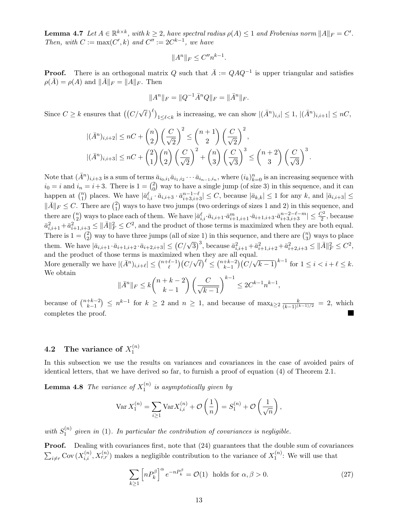**Lemma 4.7** Let  $A \in \mathbb{R}^{k \times k}$ , with  $k \geq 2$ , have spectral radius  $\rho(A) \leq 1$  and Frobenius norm  $||A||_F = C'$ . Then, with  $C := \max(C', k)$  and  $C'':= 2C^{k-1}$ , we have

$$
||A^n||_F \le C''n^{k-1}.
$$

**Proof.** There is an orthogonal matrix Q such that  $\overline{A} := QAQ^{-1}$  is upper triangular and satisfies  $\rho(\bar{A}) = \rho(A)$  and  $\|\bar{A}\|_F = \|A\|_F$ . Then

$$
||A^n||_F = ||Q^{-1}\bar{A}^nQ||_F = ||\bar{A}^n||_F.
$$

Since  $C \geq k$  ensures that  $((C/\sqrt{\ell})^{\ell})_{1 \leq \ell < k}$  is increasing, we can show  $|(\bar{A}^n)_{i,i}| \leq 1, |(\bar{A}^n)_{i,i+1}| \leq nC$ ,

$$
\begin{aligned} |(\bar{A}^n)_{i,i+2}| &\le nC + \binom{n}{2} \left(\frac{C}{\sqrt{2}}\right)^2 \le \binom{n+1}{2} \left(\frac{C}{\sqrt{2}}\right)^2, \\ |(\bar{A}^n)_{i,i+3}| &\le nC + \binom{2}{1} \binom{n}{2} \left(\frac{C}{\sqrt{2}}\right)^2 + \binom{n}{3} \left(\frac{C}{\sqrt{3}}\right)^3 \le \binom{n+2}{3} \left(\frac{C}{\sqrt{3}}\right)^3. \end{aligned}
$$

Note that  $(\bar{A}^n)_{i,i+3}$  is a sum of terms  $\bar{a}_{i_0,i_1}\bar{a}_{i_1,i_2}\cdots \bar{a}_{i_{n-1},i_n}$ , where  $(i_k)_{k=0}^n$  is an increasing sequence with  $i_0 = i$  and  $i_n = i+3$ . There is  $1 = {2 \choose 0}$  $\binom{2}{0}$  way to have a single jump (of size 3) in this sequence, and it can happen at  $\binom{n}{1}$  $\binom{n}{1}$  places. We have  $|\bar{a}^{\ell}_{i,i} \cdot \bar{a}_{i,i+3} \cdot \bar{a}^{n-1-\ell}_{i+3,i+3}| \leq C$ , because  $|\bar{a}_{k,k}| \leq 1$  for any k, and  $|\bar{a}_{i,i+3}| \leq C$  $\|\bar{A}\|_F \leq C$ . There are  $\binom{2}{1}$  $_{1}^{2}$ ) ways to have two jumps (two orderings of sizes 1 and 2) in this sequence, and there are  $\binom{n}{2}$  $\binom{n}{2}$  ways to place each of them. We have  $|\bar{a}^{\ell}_{i,i} \cdot \bar{a}_{i,i+1} \cdot \bar{a}^{m}_{i+1,i+1} \cdot \bar{a}_{i+1,i+3} \cdot \bar{a}^{n-2-\ell-m}_{i+3,i+3}| \leq \frac{C^2}{2}$ , because  $\bar{a}_{i,i+1}^2 + \bar{a}_{i+1,i+3}^2 \leq ||\bar{A}||_F^2 \leq C^2$ , and the product of those terms is maximized when they are both equal. There is  $1 = \binom{2}{3}$  $^{2}_{2}$ ) way to have three jumps (all of size 1) in this sequence, and there are  $\binom{n}{3}$  $\binom{n}{3}$  ways to place them. We have  $|\bar{a}_{i,i+1} \cdot \bar{a}_{i+1,i+2} \cdot \bar{a}_{i+2,i+3}| \le (C/\sqrt{3})^3$ , because  $\bar{a}_{i,i+1}^2 + \bar{a}_{i+1,i+2}^2 + \bar{a}_{i+2,i+3}^2 \le ||\bar{A}||_F^2 \le C^2$ , and the product of those terms is maximized when they are all equal. More generally we have  $|(\bar{A}^n)_{i,i+\ell}| \leq {\binom{n+\ell-1}{\ell}}$ fized when they are and<br>  $\binom{\ell-1}{\ell}$   $\left(\frac{C}{\sqrt{\ell}}\right)^{\ell} \leq \binom{n+k-2}{k-1}$  $\binom{k+2}{k-1}$  (*C*/√ $\frac{k-1}{k-1}$ <sup>k-1</sup> for 1 ≤ *i* < *i* +  $\ell$  ≤ *k*. We obtain

$$
\|\bar{A}^n\|_F \le k \binom{n+k-2}{k-1} \left(\frac{C}{\sqrt{k-1}}\right)^{k-1} \le 2C^{k-1}n^{k-1},
$$

because of  $\binom{n+k-2}{k-1}$  $(k+1)(k+1) \leq n^{k-1}$  for  $k \geq 2$  and  $n \geq 1$ , and because of  $\max_{k \geq 2} \frac{k}{(k-1)(k-1)/2} = 2$ , which completes the proof.

#### **4.2** The variance of  $X_1^{(n)}$ 1

In this subsection we use the results on variances and covariances in the case of avoided pairs of identical letters, that we have derived so far, to furnish a proof of equation (4) of Theorem 2.1.

**Lemma 4.8** The variance of  $X_1^{(n)}$  $i_1^{(n)}$  is asymptotically given by

$$
\text{Var}\,X_1^{(n)} = \sum_{i\geq 1} \text{Var}\,X_{i,i}^{(n)} + \mathcal{O}\left(\frac{1}{n}\right) = S_1^{(n)} + \mathcal{O}\left(\frac{1}{\sqrt{n}}\right),
$$

with  $S_1^{(n)}$  $\binom{n}{1}$  given in (1). In particular the contribution of covariances is negligible.

**Proof.** Dealing with covariances first, note that  $(24)$  guarantees that the double sum of covariances  $\sum_{i\neq r}$ Cov  $(X_{i,i}^{(n)}, X_{r,r}^{(n)})$  makes a negligible contribution to the variance of  $X_1^{(n)}$  $1^{(n)}$ : We will use that

$$
\sum_{k\geq 1} \left[ n P_k^{\beta} \right]^{\alpha} e^{-n P_k^{\beta}} = \mathcal{O}(1) \text{ holds for } \alpha, \beta > 0. \tag{27}
$$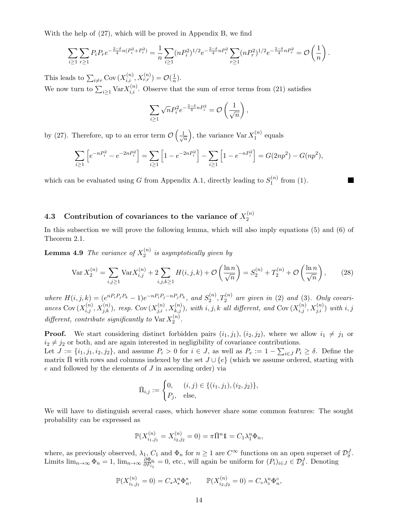With the help of (27), which will be proved in Appendix B, we find

$$
\sum_{i\geq 1}\sum_{r\geq 1}P_iP_re^{-\frac{2-\delta}{4}n(P_i^2+P_r^2)}=\frac{1}{n}\sum_{i\geq 1}(nP_i^2)^{1/2}e^{-\frac{2-\delta}{4}nP_i^2}\sum_{r\geq 1}(nP_r^2)^{1/2}e^{-\frac{2-\delta}{4}nP_r^2}=\mathcal{O}\left(\frac{1}{n}\right).
$$

This leads to  $\sum_{i \neq r}$  Cov  $(X_{i,i}^{(n)}, X_{r,r}^{(n)}) = \mathcal{O}(\frac{1}{n})$  $\frac{1}{n}$ ).

We now turn to  $\sum_{i\geq 1} \text{Var} X_{i,i}^{(n)}$ . Observe that the sum of error terms from (21) satisfies

$$
\sum_{i\geq 1} \sqrt{n} P_i^2 e^{-\frac{2-\delta}{4}nP_i^2} = \mathcal{O}\left(\frac{1}{\sqrt{n}}\right),\,
$$

by (27). Therefore, up to an error term  $\mathcal{O}\left(\frac{1}{\ell}\right)$  $\overline{n}$ ), the variance  $\text{Var } X_1^{(n)}$  $1^{(n)}$  equals

$$
\sum_{i\geq 1} \left[ e^{-nP_i^2} - e^{-2nP_i^2} \right] = \sum_{i\geq 1} \left[ 1 - e^{-2nP_i^2} \right] - \sum_{i\geq 1} \left[ 1 - e^{-nP_i^2} \right] = G(2np^2) - G(np^2),
$$

which can be evaluated using G from Appendix A.1, directly leading to  $S_1^{(n)}$  $1^{(n)}$  from (1).

#### 4.3 Contribution of covariances to the variance of  $X_2^{(n)}$ 2

In this subsection we will prove the following lemma, which will also imply equations (5) and (6) of Theorem 2.1.

**Lemma 4.9** The variance of  $X_2^{(n)}$  $e_2^{(n)}$  is asymptotically given by

$$
\text{Var}\,X_2^{(n)} = \sum_{i,j\geq 1} \text{Var}\,X_{i,j}^{(n)} + 2\sum_{i,j,k\geq 1} H(i,j,k) + \mathcal{O}\left(\frac{\ln n}{\sqrt{n}}\right) = S_2^{(n)} + T_2^{(n)} + \mathcal{O}\left(\frac{\ln n}{\sqrt{n}}\right),\tag{28}
$$

where  $H(i, j, k) = (e^{nP_i P_j P_k} - 1)e^{-nP_i P_j - nP_j P_k},$  and  $S_2^{(n)}$  $\mathcal{Z}_2^{(n)}$ ,  $T_2^{(n)}$  are given in (2) and (3). Only covariances Cov  $(X_{i,j}^{(n)}, X_{j,k}^{(n)})$ , resp. Cov  $(X_{j,i}^{(n)}, X_{k,j}^{(n)})$ , with i, j, k all different, and Cov  $(X_{i,j}^{(n)}, X_{j,i}^{(n)})$  with i, j different, contribute significantly to  $\text{Var } X_2^{(n)}$  $2^{(n)}$ .

**Proof.** We start considering distinct forbidden pairs  $(i_1, j_1)$ ,  $(i_2, j_2)$ , where we allow  $i_1 \neq j_1$  or  $i_2 \neq j_2$  or both, and are again interested in negligibility of covariance contributions.

Let  $J := \{i_1, j_1, i_2, j_2\}$ , and assume  $P_i > 0$  for  $i \in J$ , as well as  $P_e := 1 - \sum_{i \in J} P_i \ge \delta$ . Define the matrix  $\Pi$  with rows and columns indexed by the set  $J \cup \{e\}$  (which we assume ordered, starting with e and followed by the elements of J in ascending order) via

$$
\bar{\Pi}_{i,j} := \begin{cases} 0, & (i,j) \in \{ (i_1, j_1), (i_2, j_2) \}, \\ P_j, & \text{else,} \end{cases}
$$

We will have to distinguish several cases, which however share some common features: The sought probability can be expressed as

$$
\mathbb{P}(X_{i_1,j_1}^{(n)} = X_{i_2,j_2}^{(n)} = 0) = \pi \bar{\Pi}^n \mathbb{1} = C_1 \lambda_1^n \Phi_n,
$$

where, as previously observed,  $\lambda_1, C_1$  and  $\Phi_n$  for  $n \geq 1$  are  $C^{\infty}$  functions on an open superset of  $\mathcal{D}_{\delta}^J$ . Limits  $\lim_{n\to\infty} \Phi_n = 1$ ,  $\lim_{n\to\infty} \frac{\partial \Phi_n}{\partial P_n}$  $\frac{\partial \Phi_n}{\partial P_{i_1}} = 0$ , etc., will again be uniform for  $(P_i)_{i \in J} \in \mathcal{D}_{\delta}^J$ . Denoting

$$
\mathbb{P}(X_{i_1,j_1}^{(n)}=0)=C_*\lambda_*^n\Phi_n^*, \qquad \mathbb{P}(X_{i_2,j_2}^{(n)}=0)=C_\circ\lambda_\circ^n\Phi_n^{\circ},
$$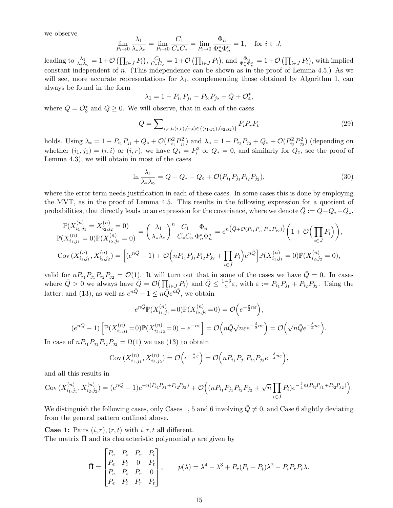we observe

$$
\lim_{P_i \to 0} \frac{\lambda_1}{\lambda_* \lambda_{\circ}} = \lim_{P_i \to 0} \frac{C_1}{C_* C_{\circ}} = \lim_{P_i \to 0} \frac{\Phi_n}{\Phi_n^* \Phi_n^{\circ}} = 1, \text{ for } i \in J,
$$

leading to  $\frac{\lambda_1}{\lambda_* \lambda_o} = 1 + \mathcal{O}\left(\prod_{i \in J} P_i\right), \frac{C_1}{C_* C}$  $\frac{C_1}{C_*C_\circ} = 1 + \mathcal{O}\left(\prod_{i \in J} P_i\right),$  and  $\frac{\Phi_n}{\Phi_n^* \Phi_n^{\circ}} = 1 + \mathcal{O}\left(\prod_{i \in J} P_i\right)$ , with implied constant independent of  $n$ . (This independence can be shown as in the proof of Lemma 4.5.) As we will see, more accurate representations for  $\lambda_1$ , complementing those obtained by Algorithm 1, can always be found in the form

$$
\lambda_1 = 1 - P_{i_1} P_{j_1} - P_{i_2} P_{j_2} + Q + \mathcal{O}_4^*,
$$

where  $Q = \mathcal{O}_3^*$  and  $Q \geq 0$ . We will observe, that in each of the cases

$$
Q = \sum_{i,r,t:(i,r),(r,t)\in\{(i_1,j_1),(i_2,j_2)\}} P_i P_r P_t
$$
\n(29)

holds. Using  $\lambda_* = 1 - P_{i_1}P_{j_1} + Q_* + \mathcal{O}(P_{i_1}^2P_{j_1}^2)$  and  $\lambda_{\circ} = 1 - P_{i_2}P_{j_2} + Q_{\circ} + \mathcal{O}(P_{i_2}^2P_{j_2}^2)$  (depending on whether  $(i_1, j_1) = (i, i)$  or  $(i, r)$ , we have  $Q_* = P_i^3$  or  $Q_* = 0$ , and similarly for  $Q_{\circ}$ , see the proof of Lemma 4.3), we will obtain in most of the cases

$$
\ln \frac{\lambda_1}{\lambda_* \lambda_{\circ}} = Q - Q_* - Q_{\circ} + \mathcal{O}(P_{i_1} P_{j_1} P_{i_2} P_{j_2}), \tag{30}
$$

where the error term needs justification in each of these cases. In some cases this is done by employing the MVT, as in the proof of Lemma 4.5. This results in the following expression for a quotient of probabilities, that directly leads to an expression for the covariance, where we denote  $\bar{Q} := Q - Q_* - Q_\circ$ ,

$$
\frac{\mathbb{P}(X_{i_1,j_1}^{(n)} = X_{i_2,j_2}^{(n)} = 0)}{\mathbb{P}(X_{i_1,j_1}^{(n)} = 0)\mathbb{P}(X_{i_2,j_2}^{(n)} = 0)} = \left(\frac{\lambda_1}{\lambda_*\lambda_o}\right)^n \frac{C_1}{C_*C_o} \frac{\Phi_n}{\Phi_n^*\Phi_n^o} = e^{n\left(\bar{Q} + \mathcal{O}(P_{i_1}P_{j_1}P_{i_2}P_{j_2})\right)} \left(1 + \mathcal{O}\left(\prod_{i \in J} P_i\right)\right),
$$
  
\n
$$
\text{Cov}\left(X_{i_1,j_1}^{(n)}, X_{i_2,j_2}^{(n)}\right) = \left[(e^{n\bar{Q}} - 1) + \mathcal{O}\left(nP_{i_1}P_{j_1}P_{i_2}P_{j_2} + \prod_{i \in J} P_i\right)e^{n\bar{Q}}\right] \mathbb{P}(X_{i_1,j_1}^{(n)} = 0)\mathbb{P}(X_{i_2,j_2}^{(n)} = 0),
$$

valid for  $nP_{i_1}P_{j_1}P_{i_2}P_{j_2} = \mathcal{O}(1)$ . It will turn out that in some of the cases we have  $\overline{Q}=0$ . In cases where  $\overline{Q} > 0$  we always have  $\overline{Q} = \mathcal{O}(\prod_{i \in J} P_i)$  and  $\overline{Q} \leq \frac{1-\delta}{2}\varepsilon$ , with  $\varepsilon := P_{i_1}P_{j_1} + P_{i_2}P_{j_2}$ . Using the latter, and (13), as well as  $e^{n\bar{Q}} - 1 \leq n\bar{Q}e^{n\bar{Q}}$ , we obtain

$$
e^{n\bar{Q}}\mathbb{P}(X_{i_1,j_1}^{(n)}=0)\mathbb{P}(X_{i_2,j_2}^{(n)}=0)=\mathcal{O}\Big(e^{-\frac{\delta}{2}n\varepsilon}\Big),
$$
  

$$
(e^{n\bar{Q}}-1)\left[\mathbb{P}(X_{i_1,j_1}^{(n)}=0)\mathbb{P}(X_{i_2,j_2}^{(n)}=0)-e^{-n\varepsilon}\right]=\mathcal{O}\Big(n\bar{Q}\sqrt{n\varepsilon}e^{-\frac{\delta}{2}n\varepsilon}\Big)=\mathcal{O}\Big(\sqrt{n}\bar{Q}e^{-\frac{\delta}{4}n\varepsilon}\Big).
$$

In case of  $nP_{i_1}P_{j_1}P_{i_2}P_{j_2} = \Omega(1)$  we use (13) to obtain

Cov 
$$
(X_{i_1,j_1}^{(n)}, X_{i_2,j_2}^{(n)}) = \mathcal{O}\left(e^{-\frac{n}{2}\varepsilon}\right) = \mathcal{O}\left(nP_{i_1}P_{j_1}P_{i_2}P_{j_2}e^{-\frac{\delta}{4}n\varepsilon}\right),
$$

and all this results in

$$
Cov(X_{i_1,j_1}^{(n)}, X_{i_2,j_2}^{(n)}) = (e^{n\bar{Q}} - 1)e^{-n(P_{i_1}P_{j_1} + P_{i_2}P_{j_2})} + \mathcal{O}\Big((nP_{i_1}P_{j_1}P_{i_2}P_{j_2} + \sqrt{n}\prod_{i \in J}P_i)e^{-\frac{\delta}{4}n(P_{i_1}P_{j_1} + P_{i_2}P_{j_2})}\Big).
$$

We distinguish the following cases, only Cases 1, 5 and 6 involving  $\overline{Q} \neq 0$ , and Case 6 slightly deviating from the general pattern outlined above.

**Case 1:** Pairs  $(i, r)$ ,  $(r, t)$  with  $i, r, t$  all different.

The matrix  $\Pi$  and its characteristic polynomial  $p$  are given by

$$
\bar{\Pi} = \begin{bmatrix} P_e & P_i & P_r & P_t \\ P_e & P_i & 0 & P_t \\ P_e & P_i & P_r & 0 \\ P_e & P_i & P_r & P_t \end{bmatrix}, \qquad p(\lambda) = \lambda^4 - \lambda^3 + P_r(P_i + P_t)\lambda^2 - P_iP_rP_t\lambda.
$$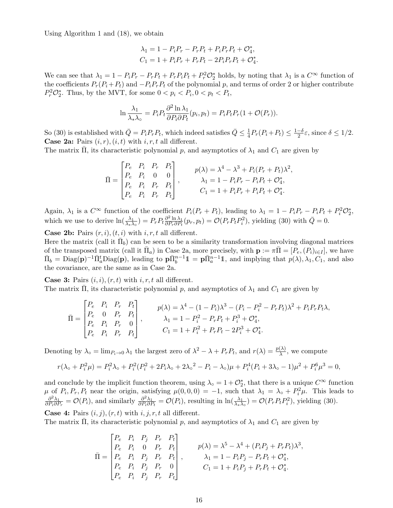Using Algorithm 1 and (18), we obtain

$$
\lambda_1 = 1 - P_i P_r - P_r P_t + P_i P_r P_t + O_4^*,
$$
  
\n
$$
C_1 = 1 + P_i P_r + P_r P_t - 2P_i P_r P_t + O_4^*.
$$

We can see that  $\lambda_1 = 1 - P_i P_r - P_r P_t + P_r P_i P_t + P_r^2 \mathcal{O}_2^*$  holds, by noting that  $\lambda_1$  is a  $C^{\infty}$  function of the coefficients  $P_r(P_i+P_t)$  and  $-P_iP_rP_t$  of the polynomial p, and terms of order 2 or higher contribute  $P_r^2 \mathcal{O}_2^*$ . Thus, by the MVT, for some  $0 < p_i < P_i, 0 < p_t < P_t$ ,

$$
\ln \frac{\lambda_1}{\lambda_* \lambda_{\circ}} = P_i P_t \frac{\partial^2 \ln \lambda_1}{\partial P_i \partial P_t} (p_i, p_t) = P_i P_t P_r (1 + \mathcal{O}(P_r)).
$$

So (30) is established with  $\bar{Q} = P_i P_r P_t$ , which indeed satisfies  $\bar{Q} \leq \frac{1}{4}$  $\frac{1}{4}P_r(P_i+P_t) \leq \frac{1-\delta}{2}\varepsilon$ , since  $\delta \leq 1/2$ . **Case 2a:** Pairs  $(i, r)$ ,  $(i, t)$  with  $i, r, t$  all different.

The matrix  $\Pi$ , its characteristic polynomial p, and asymptotics of  $\lambda_1$  and  $C_1$  are given by

$$
\bar{\Pi} = \begin{bmatrix} P_e & P_i & P_r & P_t \\ P_e & P_i & 0 & 0 \\ P_e & P_i & P_r & P_t \\ P_e & P_i & P_r & P_t \\ P_e & P_i & P_r & P_t \end{bmatrix}, \qquad \begin{aligned} p(\lambda) &= \lambda^4 - \lambda^3 + P_i(P_r + P_t)\lambda^2, \\ \lambda_1 &= 1 - P_i P_r - P_i P_t + \mathcal{O}_4^*, \\ C_1 &= 1 + P_i P_r + P_i P_t + \mathcal{O}_4^*. \end{aligned}
$$

Again,  $\lambda_1$  is a  $C^{\infty}$  function of the coefficient  $P_i(P_r + P_t)$ , leading to  $\lambda_1 = 1 - P_i P_r - P_i P_t + P_i^2 \mathcal{O}_2^*$ , which we use to derive  $\ln(\frac{\lambda_1}{\lambda_* \lambda_0}) = P_r P_t \frac{\partial^2 \ln \lambda_1}{\partial P_r \partial P_t}$  $\frac{\partial^2 \ln \lambda_1}{\partial P_r \partial P_t}(p_r, p_t) = \mathcal{O}(P_r P_t P_i^2)$ , yielding (30) with  $\bar{Q} = 0$ .

**Case 2b:** Pairs  $(r, i)$ ,  $(t, i)$  with  $i, r, t$  all different.

Here the matrix (call it  $\bar{\Pi}_b$ ) can be seen to be a similarity transformation involving diagonal matrices of the transposed matrix (call it  $\bar{\Pi}_a$ ) in Case 2a, more precisely, with  $\mathbf{p} := \pi \bar{\Pi} = [P_e, (P_i)_{i \in I}]$ , we have  $\bar{\Pi}_b = \text{Diag}(\mathbf{p})^{-1} \bar{\Pi}_a^t \text{Diag}(\mathbf{p})$ , leading to  $\mathbf{p} \bar{\Pi}_b^{n-1} \mathbb{1} = \mathbf{p} \bar{\Pi}_a^{n-1} \mathbb{1}$ , and implying that  $p(\lambda), \lambda_1, C_1$ , and also the covariance, are the same as in Case 2a.

**Case 3:** Pairs  $(i, i)$ ,  $(r, t)$  with  $i, r, t$  all different. The matrix  $\overline{\Pi}$ , its characteristic polynomial p, and asymptotics of  $\lambda_1$  and  $C_1$  are given by

$$
\bar{\Pi} = \begin{bmatrix} P_e & P_i & P_r & P_t \\ P_e & 0 & P_r & P_t \\ P_e & P_i & P_r & 0 \\ P_e & P_i & P_r & P_t \end{bmatrix}, \qquad \begin{aligned} p(\lambda) &= \lambda^4 - (1 - P_i)\lambda^3 - (P_i - P_i^2 - P_r P_t)\lambda^2 + P_i P_r P_t \lambda, \\ \lambda_1 &= 1 - P_i^2 - P_r P_t + P_i^3 + \mathcal{O}_4^*, \\ C_1 &= 1 + P_i^2 + P_r P_t - 2P_i^3 + \mathcal{O}_4^*. \end{aligned}
$$

Denoting by  $\lambda_{\circ} = \lim_{P_i \to 0} \lambda_1$  the largest zero of  $\lambda^2 - \lambda + P_r P_t$ , and  $r(\lambda) = \frac{p(\lambda)}{\lambda}$ , we compute

$$
r(\lambda_{\circ} + P_i^2 \mu) = P_i^2 \lambda_{\circ} + P_i^2 (P_i^2 + 2P_i \lambda_{\circ} + 2\lambda_{\circ}^2 - P_i - \lambda_{\circ}) \mu + P_i^4 (P_i + 3\lambda_{\circ} - 1) \mu^2 + P_i^6 \mu^3 = 0,
$$

and conclude by the implicit function theorem, using  $\lambda_{\circ} = 1 + \mathcal{O}_{2}^{*}$ , that there is a unique  $C^{\infty}$  function  $\mu$  of  $P_i$ ,  $P_r$ ,  $P_t$  near the origin, satisfying  $\mu(0,0,0) = -1$ , such that  $\lambda_1 = \lambda_0 + P_i^2 \mu$ . This leads to  $\frac{\partial^2 \lambda_1}{\partial t^2} - \mathcal{O}(P_i)$  and similarly  $\frac{\partial^2 \lambda_1}{\partial t^2} - \mathcal{O}(P_i)$  resulting in  $\ln(\frac{\lambda_1}{\lambda_1}) - \mathcal{O$  $\frac{\partial^2 \lambda_1}{\partial P_i \partial P_r} = \mathcal{O}(P_i)$ , and similarly  $\frac{\partial^2 \lambda_1}{\partial P_i \partial P_r}$  $\frac{\partial^2 \lambda_1}{\partial P_i \partial P_i} = \mathcal{O}(P_i)$ , resulting in  $\ln(\frac{\lambda_1}{\lambda_* \lambda_0}) = \mathcal{O}(P_r P_t P_i^2)$ , yielding (30).

**Case 4:** Pairs  $(i, j)$ ,  $(r, t)$  with  $i, j, r, t$  all different.

The matrix  $\Pi$ , its characteristic polynomial p, and asymptotics of  $\lambda_1$  and  $C_1$  are given by

$$
\bar{\Pi} = \begin{bmatrix} P_e & P_i & P_j & P_r & P_t \\ P_e & P_i & 0 & P_r & P_t \\ P_e & P_i & P_j & P_r & P_t \\ P_e & P_i & P_j & P_r & 0 \\ P_e & P_i & P_j & P_r & 0 \\ P_e & P_i & P_j & P_r & P_t \end{bmatrix}, \qquad \begin{aligned} p(\lambda) &= \lambda^5 - \lambda^4 + (P_i P_j + P_r P_t) \lambda^3 \\ \lambda_1 &= 1 - P_i P_j - P_r P_t + \mathcal{O}_4^*, \\ C_1 &= 1 + P_i P_j + P_r P_t + \mathcal{O}_4^*. \end{aligned}
$$

,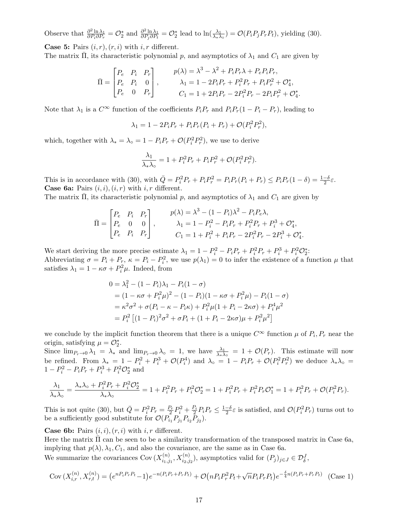Observe that  $\frac{\partial^2 \ln \lambda_1}{\partial P \cdot \partial P}$  $\frac{\partial^2 \ln \lambda_1}{\partial P_i \partial P_r} = \mathcal{O}_2^*$  and  $\frac{\partial^2 \ln \lambda_1}{\partial P_j \partial P_t}$  $\frac{\partial^2 \ln \lambda_1}{\partial P_j \partial P_t} = \mathcal{O}_2^*$  lead to  $\ln(\frac{\lambda_1}{\lambda_* \lambda_\circ}) = \mathcal{O}(P_i P_j P_r P_t)$ , yielding (30).

**Case 5:** Pairs  $(i, r)$ ,  $(r, i)$  with  $i, r$  different.

The matrix  $\Pi$ , its characteristic polynomial p, and asymptotics of  $\lambda_1$  and  $C_1$  are given by

$$
\bar{\Pi} = \begin{bmatrix} P_e & P_i & P_r \\ P_e & P_i & 0 \\ P_e & 0 & P_r \end{bmatrix}, \qquad \begin{array}{c} p(\lambda) = \lambda^3 - \lambda^2 + P_i P_r \lambda + P_e P_i P_r, \\ \lambda_1 = 1 - 2P_i P_r + P_i^2 P_r + P_i P_r^2 + \mathcal{O}_4^*, \\ C_1 = 1 + 2P_i P_r - 2P_i^2 P_r - 2P_i P_r^2 + \mathcal{O}_4^* \end{array}
$$

.

Note that  $\lambda_1$  is a  $C^{\infty}$  function of the coefficients  $P_i P_r$  and  $P_i P_r (1 - P_i - P_r)$ , leading to

$$
\lambda_1 = 1 - 2P_i P_r + P_i P_r (P_i + P_r) + \mathcal{O}(P_i^2 P_r^2),
$$

which, together with  $\lambda_* = \lambda_{\circ} = 1 - P_i P_r + \mathcal{O}(P_i^2 P_r^2)$ , we use to derive

$$
\frac{\lambda_1}{\lambda_*\lambda_{\circ}} = 1 + P_i^2 P_r + P_i P_r^2 + \mathcal{O}(P_i^2 P_r^2).
$$

This is in accordance with (30), with  $\overline{Q} = P_i^2 P_r + P_i P_r^2 = P_i P_r (P_i + P_r) \le P_i P_r (1 - \delta) = \frac{1 - \delta}{2} \varepsilon$ . **Case 6a:** Pairs  $(i, i), (i, r)$  with  $i, r$  different.

The matrix  $\overline{\Pi}$ , its characteristic polynomial p, and asymptotics of  $\lambda_1$  and  $C_1$  are given by

$$
\bar{\Pi} = \begin{bmatrix} P_e & P_i & P_r \\ P_e & 0 & 0 \\ P_e & P_i & P_r \end{bmatrix}, \qquad \begin{aligned} p(\lambda) &= \lambda^3 - (1 - P_i)\lambda^2 - P_i P_e \lambda, \\ \lambda_1 &= 1 - P_i^2 - P_i P_r + P_i^2 P_r + P_i^3 + \mathcal{O}_4^*, \\ C_1 &= 1 + P_i^2 + P_i P_r - 2P_i^2 P_r - 2P_i^3 + \mathcal{O}_4^*. \end{aligned}
$$

We start deriving the more precise estimate  $\lambda_1 = 1 - P_i^2 - P_i P_r + P_i^2 P_r + P_i^3 + P_i^2 \mathcal{O}_2^*$ : Abbreviating  $\sigma = P_i + P_r$ ,  $\kappa = P_i - P_i^2$ , we use  $p(\lambda_1) = 0$  to infer the existence of a function  $\mu$  that satisfies  $\lambda_1 = 1 - \kappa \sigma + P_i^2 \mu$ . Indeed, from

$$
0 = \lambda_1^2 - (1 - P_i)\lambda_1 - P_i(1 - \sigma)
$$
  
=  $(1 - \kappa\sigma + P_i^2\mu)^2 - (1 - P_i)(1 - \kappa\sigma + P_i^2\mu) - P_i(1 - \sigma)$   
=  $\kappa^2\sigma^2 + \sigma(P_i - \kappa - P_i\kappa) + P_i^2\mu(1 + P_i - 2\kappa\sigma) + P_i^4\mu^2$   
=  $P_i^2 [(1 - P_i)^2\sigma^2 + \sigma P_i + (1 + P_i - 2\kappa\sigma)\mu + P_i^2\mu^2]$ 

we conclude by the implicit function theorem that there is a unique  $C^{\infty}$  function  $\mu$  of  $P_i, P_r$  near the origin, satisfying  $\mu = \mathcal{O}_2^*$ .

Since  $\lim_{P_r\to 0}\lambda_1 = \lambda_*$  and  $\lim_{P_r\to 0}\lambda_{\circ} = 1$ , we have  $\frac{\lambda_1}{\lambda_*\lambda_{\circ}} = 1 + \mathcal{O}(P_r)$ . This estimate will now be refined. From  $\lambda_* = 1 - P_i^2 + P_i^3 + \mathcal{O}(P_i^4)$  and  $\lambda_{\circ} = 1 - P_i P_r + \mathcal{O}(P_i^2 P_r^2)$  we deduce  $\lambda_* \lambda_{\circ} =$  $1 - P_i^2 - P_i P_r + P_i^3 + P_i^2 \mathcal{O}_2^*$  and

$$
\frac{\lambda_1}{\lambda_*\lambda_{\circ}} = \frac{\lambda_*\lambda_{\circ} + P_i^2 P_r + P_i^2 \mathcal{O}_2^*}{\lambda_*\lambda_{\circ}} = 1 + P_i^2 P_r + P_i^2 \mathcal{O}_2^* = 1 + P_i^2 P_r + P_i^2 P_r \mathcal{O}_1^* = 1 + P_i^2 P_r + \mathcal{O}(P_i^2 P_r).
$$

This is not quite (30), but  $\overline{Q} = P_i^2 P_r = \frac{P_r}{2} P_i^2 + \frac{P_i}{2} P_i P_r \leq \frac{1-\delta}{2} \varepsilon$  is satisfied, and  $\mathcal{O}(P_i^2 P_r)$  turns out to be a sufficiently good substitute for  $\mathcal{O}(P_{i_1}P_{j_1}P_{i_2}P_{j_2})$ .

**Case 6b:** Pairs  $(i, i)$ ,  $(r, i)$  with  $i, r$  different.

Here the matrix  $\bar{\Pi}$  can be seen to be a similarity transformation of the transposed matrix in Case 6a, implying that  $p(\lambda), \lambda_1, C_1$ , and also the covariance, are the same as in Case 6a.

We summarize the covariances Cov $(X_{i,j}^{(n)})$  $\sum_{i_1,j_1}^{(n)}$ ,  $X_{i_2,j_2}^{(n)}$ ), asymptotics valid for  $(P_j)_{j\in J} \in \mathcal{D}_{\delta}^J$ ,

Cov 
$$
(X_{i,r}^{(n)}, X_{r,t}^{(n)}) = (e^{nP_iP_rP_t} - 1)e^{-n(P_iP_r + P_rP_t)} + \mathcal{O}(nP_iP_r^2P_t + \sqrt{n}P_iP_rP_t)e^{-\frac{\delta}{4}n(P_iP_r + P_rP_t)}
$$
 (Case 1)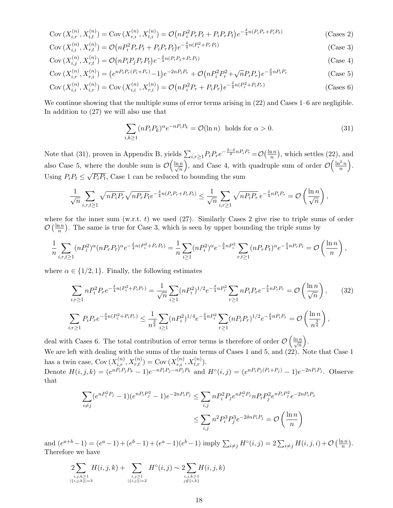$$
Cov\left(X_{i,r}^{(n)}, X_{i,t}^{(n)}\right) = Cov\left(X_{r,i}^{(n)}, X_{t,i}^{(n)}\right) = \mathcal{O}\left(nP_i^2 P_r P_t + P_i P_r P_t\right) e^{-\frac{\delta}{4}n(P_i P_r + P_i P_t)}\tag{Casees 2}
$$

$$
Cov\left(X_{i,i}^{(n)}, X_{r,t}^{(n)}\right) = \mathcal{O}\left(nP_i^2 P_r P_t + P_i P_r P_t\right) e^{-\frac{\delta}{4}n(P_i^2 + P_r P_t)}\tag{Case 3}
$$

$$
Cov\left(X_{i,j}^{(n)}, X_{r,t}^{(n)}\right) = \mathcal{O}\left(nP_iP_jP_rP_t\right)e^{-\frac{\delta}{4}n(P_iP_j + P_rP_t)}\tag{Case 4}
$$

$$
Cov\left(X_{i,r}^{(n)}, X_{r,i}^{(n)}\right) = \left(e^{nP_i P_r (P_i + P_r)} - 1\right)e^{-2nP_i P_r} + \mathcal{O}\left(nP_i^2 P_r^2 + \sqrt{n}P_i P_r\right)e^{-\frac{\delta}{2}nP_i P_r}
$$
\n(Case 5)

$$
Cov\left(X_{i,i}^{(n)}, X_{i,r}^{(n)}\right) = Cov\left(X_{i,i}^{(n)}, X_{r,i}^{(n)}\right) = \mathcal{O}\left(nP_i^2 P_r + P_i P_r\right) e^{-\frac{\delta}{4}n(P_i^2 + P_i P_r)}\tag{Cases 6}
$$

We continue showing that the multiple sums of error terms arising in  $(22)$  and Cases 1–6 are negligible. In addition to (27) we will also use that

$$
\sum_{i,k\geq 1} (nP_i P_k)^{\alpha} e^{-nP_i P_k} = \mathcal{O}(\ln n) \text{ holds for } \alpha > 0.
$$
 (31)

Note that (31), proven in Appendix B, yields  $\sum_{i,r\geq 1} P_i P_r e^{-\frac{2-\delta}{4}nP_iP_r} = \mathcal{O}\left(\frac{\ln n}{n}\right)$  $\frac{d^{n}}{n}$ , which settles (22), and also Case 5, where the double sum is  $\mathcal{O}\left(\frac{\ln n}{\sqrt{n}}\right)$ ), and Case 4, with quadruple sum of order  $\mathcal{O}\left(\frac{\ln^2 n}{n}\right)$  $\frac{2n}{n}$ . Using  $P_i P_t \leq \sqrt{P_i P_t}$ , Case 1 can be reduced to bounding the sum √

$$
\frac{1}{\sqrt{n}}\sum_{i,r,t\geq 1}\sqrt{nP_iP_r}\sqrt{nP_rP_t}e^{-\frac{\delta}{4}n(P_iP_r+P_rP_t)} \leq \frac{1}{\sqrt{n}}\sum_{i,r\geq 1}\sqrt{nP_iP_r}e^{-\frac{\delta}{4}nP_iP_r} = \mathcal{O}\left(\frac{\ln n}{\sqrt{n}}\right),
$$

where for the inner sum (w.r.t.  $t$ ) we used (27). Similarly Cases 2 give rise to triple sums of order  $\mathcal{O}\left(\frac{\ln n}{n}\right)$  $\frac{2n}{n}$ ). The same is true for Case 3, which is seen by upper bounding the triple sums by

$$
\frac{1}{n} \sum_{i,r,t \ge 1} (nP_i^2)^{\alpha} (nP_r P_t)^{\alpha} e^{-\frac{\delta}{4}n(P_i^2 + P_r P_t)} = \frac{1}{n} \sum_{i \ge 1} (nP_i^2)^{\alpha} e^{-\frac{\delta}{4}nP_i^2} \sum_{r,t \ge 1} (nP_r P_t)^{\alpha} e^{-\frac{\delta}{4}nP_r P_t} = \mathcal{O}\left(\frac{\ln n}{n}\right),
$$

where  $\alpha \in \{1/2, 1\}$ . Finally, the following estimates

$$
\sum_{i,r\geq 1} n P_i^2 P_r e^{-\frac{\delta}{4}n(P_i^2 + P_i P_r)} = \frac{1}{\sqrt{n}} \sum_{i\geq 1} (n P_i^2)^{1/2} e^{-\frac{\delta}{4}n P_i^2} \sum_{r\geq 1} n P_i P_r e^{-\frac{\delta}{4}n P_i P_r} = \mathcal{O}\left(\frac{\ln n}{\sqrt{n}}\right),\tag{32}
$$
\n
$$
\sum_{i,r\geq 1} P_i P_r e^{-\frac{\delta}{4}n(P_i^2 + P_i P_r)} \leq \frac{1}{n^{\frac{3}{4}}} \sum_{i\geq 1} (n P_i^2)^{1/4} e^{-\frac{\delta}{4}n P_i^2} \sum_{r\geq 1} (n P_i P_r)^{1/2} e^{-\frac{\delta}{4}n P_i P_r} = \mathcal{O}\left(\frac{\ln n}{n^{\frac{3}{4}}}\right),
$$

deal with Cases 6. The total contribution of error terms is therefore of order  $\mathcal{O}\left(\frac{\ln n}{\sqrt{n}}\right)$  . We are left with dealing with the sums of the main terms of Cases 1 and 5, and  $(22)$ . Note that Case 1 has a twin case,  $Cov(X_{i,r}^{(n)}, X_{r,t}^{(n)}) = Cov(X_{r,i}^{(n)}, X_{t,r}^{(n)})$ . Denote  $H(i, j, k) = (e^{nP_i P_j P_k} - 1)e^{-nP_i P_j - nP_j P_k}$  and  $H^{\circ}(i, j) = (e^{nP_i P_j (P_i + P_j)} - 1)e^{-2nP_i P_j}$ . Observe that

$$
\sum_{i \neq j} (e^{nP_i^2 P_j} - 1)(e^{nP_i P_j^2} - 1)e^{-2nP_i P_j} \le \sum_{i,j} n P_i^2 P_j e^{nP_i^2 P_j} n P_i P_j^2 e^{nP_i P_j^2} e^{-2nP_i P_j}
$$

$$
\le \sum_{i,j} n^2 P_i^3 P_j^3 e^{-2\delta n P_i P_j} = \mathcal{O}\left(\frac{\ln n}{n}\right)
$$

and  $(e^{a+b}-1) = (e^a-1) + (e^b-1) + (e^a-1)(e^b-1)$  imply  $\sum_{i \neq j} H^{\circ}(i, j) = 2 \sum_{i \neq j} H(i, j, i) + \mathcal{O}\left(\frac{\ln n}{n}\right)$  $\frac{1}{n}$ ). Therefore we have

$$
2\sum_{\substack{i,j,k \ge 1 \\ |\{i,j,k\}|=3}} H(i,j,k) + \sum_{\substack{i,j \ge 1 \\ |\{i,j\}|=2}} H^{\circ}(i,j) \sim 2\sum_{\substack{i,j,k \ge 1 \\ j \notin \{i,k\}}} H(i,j,k)
$$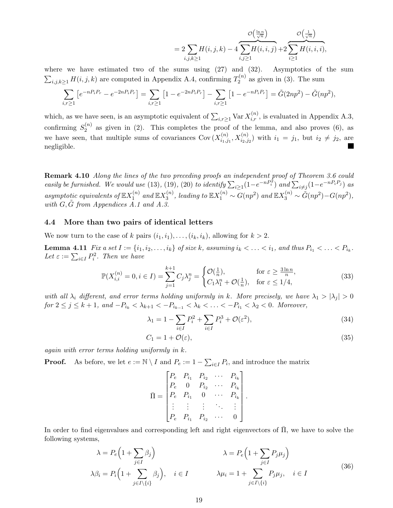$$
=2\sum_{i,j,k\geq 1}H(i,j,k)-4\overbrace{\sum_{i,j\geq 1}H(i,i,j)}^{\mathcal{O}\left(\frac{\ln n}{\sqrt{n}}\right)}+2\overbrace{\sum_{i\geq 1}H(i,i,i)}^{\mathcal{O}\left(\frac{1}{\sqrt{n}}\right)},
$$

where we have estimated two of the sums using (27) and (32). Asymptotics of the sum  $\sum_{i,j,k\geq 1} H(i,j,k)$  are computed in Appendix A.4, confirming  $T_2^{(n)}$  $2^{(n)}$  as given in (3). The sum

$$
\sum_{i,r\geq 1} \left[ e^{-nP_iP_r} - e^{-2nP_iP_r} \right] = \sum_{i,r\geq 1} \left[ 1 - e^{-2nP_iP_r} \right] - \sum_{i,r\geq 1} \left[ 1 - e^{-nP_iP_r} \right] = \tilde{G}(2np^2) - \tilde{G}(np^2),
$$

which, as we have seen, is an asymptotic equivalent of  $\sum_{i,r\geq 1} \text{Var } X_{i,r}^{(n)}$ , is evaluated in Appendix A.3, confirming  $S_2^{(n)}$  $2^{(n)}$  as given in (2). This completes the proof of the lemma, and also proves (6), as we have seen, that multiple sums of covariances Cov $(X_{i,j}^{(n)})$  $i_{i_1,j_1}^{(n)}, X_{i_2,j_2}^{(n)}$  with  $i_1 = j_1$ , but  $i_2 \neq j_2$ , are negligible.

Remark 4.10 Along the lines of the two preceding proofs an independent proof of Theorem 3.6 could easily be furnished. We would use (13), (19), (20) to identify  $\sum_{i\geq 1}(1-e^{-nP_i^2})$  and  $\sum_{i\neq j}(1-e^{-nP_iP_j})$  as asymptotic equivalents of  $\mathbb{E} X_1^{(n)}$  $_1^{(n)}$  and  $\mathbb{E} X_3^{(n)}$  $S_3^{(n)}$ , leading to  $\mathbb{E} X_1^{(n)} \sim G(np^2)$  and  $\mathbb{E} X_3^{(n)} \sim \tilde{G}(np^2) - G(np^2)$ , with  $G, \tilde{G}$  from Appendices  $\tilde{A}.1$  and  $\tilde{A}.3$ .

#### 4.4 More than two pairs of identical letters

We now turn to the case of k pairs  $(i_1, i_1), \ldots, (i_k, i_k)$ , allowing for  $k > 2$ .

**Lemma 4.11** Fix a set  $I := \{i_1, i_2, \ldots, i_k\}$  of size k, assuming  $i_k < \ldots < i_1$ , and thus  $P_{i_1} < \ldots < P_{i_k}$ . Let  $\varepsilon := \sum_{i \in I} P_i^2$ . Then we have

$$
\mathbb{P}(X_{i,i}^{(n)}=0, i \in I) = \sum_{j=1}^{k+1} C_j \lambda_j^n = \begin{cases} \mathcal{O}(\frac{1}{n}), & \text{for } \varepsilon \ge \frac{3\ln n}{n}, \\ C_1 \lambda_1^n + \mathcal{O}(\frac{1}{n}), & \text{for } \varepsilon \le 1/4, \end{cases} \tag{33}
$$

with all  $\lambda_i$  different, and error terms holding uniformly in k. More precisely, we have  $\lambda_1 > |\lambda_j| > 0$  $for\ 2 ≤ j ≤ k + 1, and \ -P_{i_k} < \lambda_{k+1} < -P_{i_{k-1}} < \lambda_k < \ldots < -P_{i_1} < \lambda_2 < 0.$  Moreover,

$$
\lambda_1 = 1 - \sum_{i \in I} P_i^2 + \sum_{i \in I} P_i^3 + \mathcal{O}(\varepsilon^2),\tag{34}
$$

$$
C_1 = 1 + \mathcal{O}(\varepsilon),\tag{35}
$$

again with error terms holding uniformly in k.

**Proof.** As before, we let  $e := \mathbb{N} \setminus I$  and  $P_e := 1 - \sum_{i \in I} P_i$ , and introduce the matrix

$$
\bar{\Pi} = \begin{bmatrix} P_e & P_{i_1} & P_{i_2} & \cdots & P_{i_k} \\ P_e & 0 & P_{i_2} & \cdots & P_{i_k} \\ P_e & P_{i_1} & 0 & \cdots & P_{i_k} \\ \vdots & \vdots & \vdots & \ddots & \vdots \\ P_e & P_{i_1} & P_{i_2} & \cdots & 0 \end{bmatrix}.
$$

In order to find eigenvalues and corresponding left and right eigenvectors of  $\Pi$ , we have to solve the following systems,

$$
\lambda = P_e \left( 1 + \sum_{j \in I} \beta_j \right) \qquad \lambda = P_e \left( 1 + \sum_{j \in I} P_j \mu_j \right)
$$
\n
$$
\lambda \beta_i = P_i \left( 1 + \sum_{j \in I \setminus \{i\}} \beta_j \right), \quad i \in I \qquad \lambda \mu_i = 1 + \sum_{j \in I \setminus \{i\}} P_j \mu_j, \quad i \in I \tag{36}
$$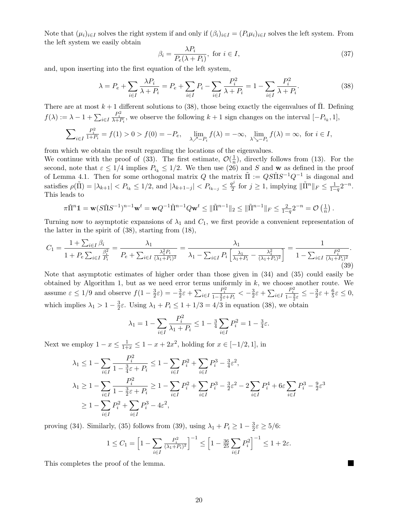Note that  $(\mu_i)_{i\in I}$  solves the right system if and only if  $(\beta_i)_{i\in I} = (P_i\mu_i)_{i\in I}$  solves the left system. From the left system we easily obtain

$$
\beta_i = \frac{\lambda P_i}{P_e(\lambda + P_i)}, \text{ for } i \in I,
$$
\n(37)

and, upon inserting into the first equation of the left system,

$$
\lambda = P_e + \sum_{i \in I} \frac{\lambda P_i}{\lambda + P_i} = P_e + \sum_{i \in I} P_i - \sum_{i \in I} \frac{P_i^2}{\lambda + P_i} = 1 - \sum_{i \in I} \frac{P_i^2}{\lambda + P_i}.
$$
 (38)

There are at most  $k + 1$  different solutions to (38), those being exactly the eigenvalues of  $\Pi$ . Defining  $f(\lambda) := \lambda - 1 + \sum_{i \in I}$  $\frac{P_i^2}{\lambda+P_i}$ , we observe the following  $k+1$  sign changes on the interval  $[-P_{i_k}, 1]$ ,

$$
\sum_{i\in I}\frac{P_i^2}{1+P_i}=f(1)>0>f(0)=-P_e,\quad \lim_{\lambda\nearrow -P_i}f(\lambda)=-\infty,\ \lim_{\lambda\searrow -P_i}f(\lambda)=\infty,\text{ for }i\in I,
$$

from which we obtain the result regarding the locations of the eigenvalues.

We continue with the proof of (33). The first estimate,  $\mathcal{O}(\frac{1}{n})$  $\frac{1}{n}$ , directly follows from (13). For the second, note that  $\varepsilon \leq 1/4$  implies  $P_{i_k} \leq 1/2$ . We then use (26) and S and w as defined in the proof of Lemma 4.1. Then for some orthogonal matrix  $Q$  the matrix  $\tilde{\Pi} := QS\tilde{\Pi}S^{-1}Q^{-1}$  is diagonal and satisfies  $\rho(\tilde{\Pi}) = |\lambda_{k+1}| < P_{i_k} \leq 1/2$ , and  $|\lambda_{k+1-j}| < P_{i_{k-j}} \leq \frac{q^j}{2}$  $\frac{p^j}{2}$  for  $j \ge 1$ , implying  $\|\tilde{\Pi}^n\|_F \le \frac{1}{1-q} 2^{-n}$ . This leads to

$$
\pi \check{\Pi}^n \mathbb{1} = \mathbf{w}(S\check{\Pi}S^{-1})^{n-1}\mathbf{w}^t = \mathbf{w}Q^{-1}\check{\Pi}^{n-1}Q\mathbf{w}^t \le \|\check{\Pi}^{n-1}\|_2 \le \|\check{\Pi}^{n-1}\|_F \le \frac{2}{1-q}2^{-n} = \mathcal{O}\left(\frac{1}{n}\right).
$$

Turning now to asymptotic expansions of  $\lambda_1$  and  $C_1$ , we first provide a convenient representation of the latter in the spirit of (38), starting from (18),

$$
C_1 = \frac{1 + \sum_{i \in I} \beta_i}{1 + P_e \sum_{i \in I} \frac{\beta_i^2}{P_i}} = \frac{\lambda_1}{P_e + \sum_{i \in I} \frac{\lambda_1^2 P_i}{(\lambda_1 + P_i)^2}} = \frac{\lambda_1}{\lambda_1 - \sum_{i \in I} P_i \left[\frac{\lambda_1}{\lambda_1 + P_i} - \frac{\lambda_1^2}{(\lambda_1 + P_i)^2}\right]} = \frac{1}{1 - \sum_{i \in I} \frac{P_i^2}{(\lambda_1 + P_i)^2}}.
$$
\n(39)

Note that asymptotic estimates of higher order than those given in (34) and (35) could easily be obtained by Algorithm 1, but as we need error terms uniformly in  $k$ , we choose another route. We assume  $\varepsilon \leq 1/9$  and observe  $f(1-\frac{3}{2})$  $(\frac{3}{2}\varepsilon) = -\frac{3}{2}$  $\frac{3}{2}\varepsilon + \sum_{i\in I}$  $\frac{P_i^2}{1-\frac{3}{2}\varepsilon+P_i} < -\frac{3}{2}$  $\frac{3}{2}\varepsilon + \sum_{i\in I}$  $\frac{P_i^2}{1-\frac{3}{2}\varepsilon} \leq -\frac{3}{2}\varepsilon + \frac{6}{5}$  $\frac{6}{5}\varepsilon \leq 0,$ which implies  $\lambda_1 > 1 - \frac{3}{2}$  $\frac{3}{2}\varepsilon$ . Using  $\lambda_1 + P_i \leq 1 + 1/3 = 4/3$  in equation (38), we obtain

$$
\lambda_1 = 1 - \sum_{i \in I} \frac{P_i^2}{\lambda_1 + P_i} \le 1 - \frac{3}{4} \sum_{i \in I} P_i^2 = 1 - \frac{3}{4} \varepsilon.
$$

Next we employ  $1 - x \le \frac{1}{1+x} \le 1 - x + 2x^2$ , holding for  $x \in [-1/2, 1]$ , in

$$
\lambda_1 \le 1 - \sum_{i \in I} \frac{P_i^2}{1 - \frac{3}{4}\varepsilon + P_i} \le 1 - \sum_{i \in I} P_i^2 + \sum_{i \in I} P_i^3 - \frac{3}{4}\varepsilon^2,
$$
  
\n
$$
\lambda_1 \ge 1 - \sum_{i \in I} \frac{P_i^2}{1 - \frac{3}{2}\varepsilon + P_i} \ge 1 - \sum_{i \in I} P_i^2 + \sum_{i \in I} P_i^3 - \frac{3}{2}\varepsilon^2 - 2\sum_{i \in I} P_i^4 + 6\varepsilon \sum_{i \in I} P_i^3 - \frac{9}{2}\varepsilon^3
$$
  
\n
$$
\ge 1 - \sum_{i \in I} P_i^2 + \sum_{i \in I} P_i^3 - 4\varepsilon^2,
$$

proving (34). Similarly, (35) follows from (39), using  $\lambda_1 + P_i \geq 1 - \frac{3}{2}$  $\frac{3}{2}\varepsilon \geq 5/6$ :

$$
1 \le C_1 = \left[1 - \sum_{i \in I} \frac{P_i^2}{(\lambda_1 + P_i)^2}\right]^{-1} \le \left[1 - \frac{36}{25} \sum_{i \in I} P_i^2\right]^{-1} \le 1 + 2\varepsilon.
$$

This completes the proof of the lemma.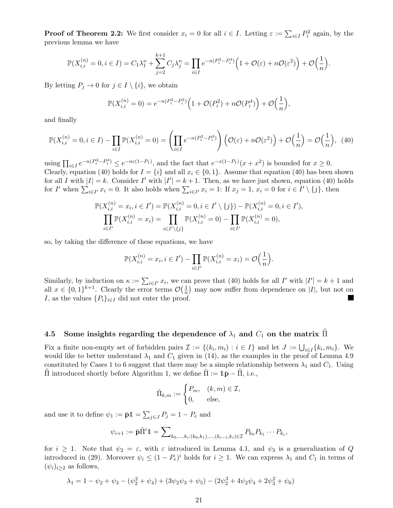**Proof of Theorem 2.2:** We first consider  $x_i = 0$  for all  $i \in I$ . Letting  $\varepsilon := \sum_{i \in I} P_i^2$  again, by the previous lemma we have

$$
\mathbb{P}(X_{i,i}^{(n)}=0, i \in I) = C_1 \lambda_1^n + \sum_{j=2}^{k+1} C_j \lambda_j^n = \prod_{i \in I} e^{-n(P_i^2 - P_i^3)} \Big( 1 + \mathcal{O}(\varepsilon) + n\mathcal{O}(\varepsilon^2) \Big) + \mathcal{O}\Big(\frac{1}{n}\Big).
$$

By letting  $P_i \to 0$  for  $j \in I \setminus \{i\}$ , we obtain

$$
\mathbb{P}(X_{i,i}^{(n)} = 0) = e^{-n(P_i^2 - P_i^3)} \left( 1 + \mathcal{O}(P_i^2) + n\mathcal{O}(P_i^4) \right) + \mathcal{O}\left(\frac{1}{n}\right),
$$

and finally

$$
\mathbb{P}(X_{i,i}^{(n)}=0, i \in I) - \prod_{i \in I} \mathbb{P}(X_{i,i}^{(n)}=0) = \left(\prod_{i \in I} e^{-n(P_i^2 - P_i^3)}\right) \left(\mathcal{O}(\varepsilon) + n\mathcal{O}(\varepsilon^2)\right) + \mathcal{O}\left(\frac{1}{n}\right) = \mathcal{O}\left(\frac{1}{n}\right), (40)
$$

using  $\prod_{i\in I}e^{-n(P_i^2-P_i^3)} \leq e^{-n\varepsilon(1-P_1)}$ , and the fact that  $e^{-x(1-P_1)}(x+x^2)$  is bounded for  $x\geq 0$ . Clearly, equation (40) holds for  $I = \{i\}$  and all  $x_i \in \{0, 1\}$ . Assume that equation (40) has been shown for all I with  $|I| = k$ . Consider I' with  $|I'| = k + 1$ . Then, as we have just shown, equation (40) holds for I' when  $\sum_{i\in I'} x_i = 0$ . It also holds when  $\sum_{i\in I'} x_i = 1$ : If  $x_j = 1$ ,  $x_i = 0$  for  $i \in I' \setminus \{j\}$ , then

$$
\mathbb{P}(X_{i,i}^{(n)} = x_i, i \in I') = \mathbb{P}(X_{i,i}^{(n)} = 0, i \in I' \setminus \{j\}) - \mathbb{P}(X_{i,i}^{(n)} = 0, i \in I'),
$$
  

$$
\prod_{i \in I'} \mathbb{P}(X_{i,i}^{(n)} = x_i) = \prod_{i \in I' \setminus \{j\}} \mathbb{P}(X_{i,i}^{(n)} = 0) - \prod_{i \in I'} \mathbb{P}(X_{i,i}^{(n)} = 0),
$$

so, by taking the difference of these equations, we have

$$
\mathbb{P}(X_{i,i}^{(n)} = x_i, i \in I') - \prod_{i \in I'} \mathbb{P}(X_{i,i}^{(n)} = x_i) = \mathcal{O}\Big(\frac{1}{n}\Big).
$$

Similarly, by induction on  $\kappa := \sum_{i \in I'} x_i$ , we can prove that (40) holds for all I' with  $|I'| = k + 1$  and all  $x \in \{0,1\}^{k+1}$ . Clearly the error terms  $\mathcal{O}(\frac{1}{n})$  $\frac{1}{n}$  may now suffer from dependence on |I|, but not on I, as the values  $\{P_i\}_{i\in I}$  did not enter the proof.

# 4.5 Some insights regarding the dependence of  $\lambda_1$  and  $C_1$  on the matrix  ${\bar {\bar \Pi}}$

Fix a finite non-empty set of forbidden pairs  $\mathcal{I} := \{(k_i, m_i) : i \in I\}$  and let  $J := \bigcup_{i \in I} \{k_i, m_i\}$ . We would like to better understand  $\lambda_1$  and  $C_1$  given in (14), as the examples in the proof of Lemma 4.9 constituted by Cases 1 to 6 suggest that there may be a simple relationship between  $\lambda_1$  and  $C_1$ . Using  $\Pi$  introduced shortly before Algorithm 1, we define  $\Pi := 1\bar{p} − \Pi$ , i.e.,

$$
\tilde{\Pi}_{k,m} := \begin{cases} P_m, & (k,m) \in \mathcal{I}, \\ 0, & \text{else,} \end{cases}
$$

and use it to define  $\psi_1 := \bar{\mathbf{p}} \mathbb{1} = \sum_{j \in J} P_j = 1 - P_e$  and

$$
\psi_{i+1} := \bar{\mathbf{p}} \bar{\Pi}^i \mathbf{1} = \sum_{k_0, \dots, k_i: (k_0, k_1), \dots, (k_{i-1}, k_i) \in \mathcal{I}} P_{k_0} P_{k_1} \cdots P_{k_i},
$$

for  $i \geq 1$ . Note that  $\psi_2 = \varepsilon$ , with  $\varepsilon$  introduced in Lemma 4.1, and  $\psi_3$  is a generalization of Q introduced in (29). Moreover  $\psi_i \leq (1 - P_e)^i$  holds for  $i \geq 1$ . We can express  $\lambda_1$  and  $C_1$  in terms of  $(\psi_i)_{i>2}$  as follows,

$$
\lambda_1 = 1 - \psi_2 + \psi_3 - (\psi_2^2 + \psi_4) + (3\psi_2\psi_3 + \psi_5) - (2\psi_2^3 + 4\psi_2\psi_4 + 2\psi_3^2 + \psi_6)
$$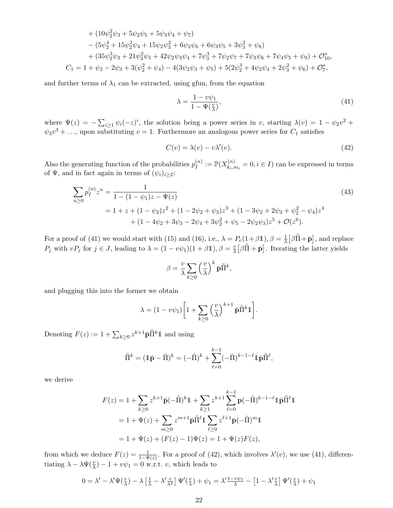+ 
$$
(10\psi_2^2\psi_3 + 5\psi_2\psi_5 + 5\psi_3\psi_4 + \psi_7)
$$
  
\n-  $(5\psi_2^4 + 15\psi_2^2\psi_4 + 15\psi_2\psi_3^2 + 6\psi_2\psi_6 + 6\psi_3\psi_5 + 3\psi_3^2 + \psi_8)$   
\n+  $(35\psi_2^3\psi_3 + 21\psi_2^2\psi_5 + 42\psi_2\psi_3\psi_4 + 7\psi_3^3 + 7\psi_2\psi_7 + 7\psi_3\psi_6 + 7\psi_4\psi_5 + \psi_9) + \mathcal{O}_{10}^*$ ,  
\n
$$
C_1 = 1 + \psi_2 - 2\psi_3 + 3(\psi_2^2 + \psi_4) - 4(3\psi_2\psi_3 + \psi_5) + 5(2\psi_2^3 + 4\psi_2\psi_4 + 2\psi_3^2 + \psi_6) + \mathcal{O}_7^*,
$$

and further terms of  $\lambda_1$  can be extracted, using gfun, from the equation

$$
\lambda = \frac{1 - v\psi_1}{1 - \Psi(\frac{v}{\lambda})},\tag{41}
$$

where  $\Psi(z) = -\sum_{i\geq 1} \psi_i(-z)^i$ , the solution being a power series in v, starting  $\lambda(v) = 1 - \psi_2 v^2 + \psi_1(v)$  $\psi_3 v^3 + \ldots$ , upon substituting  $v = 1$ . Furthermore an analogous power series for  $C_1$  satisfies

$$
C(v) = \lambda(v) - v\lambda'(v). \tag{42}
$$

Also the generating function of the probabilities  $p_I^{(n)}$  $\mathbb{P}^{(n)}_I := \mathbb{P}(X_{k_i, n}^{(n)})$  $k_{i,m_i}^{(n)} = 0, i \in I$  can be expressed in terms of  $\Psi$ , and in fact again in terms of  $(\psi_i)_{i\geq 2}$ :

$$
\sum_{n\geq 0} p_I^{(n)} z^n = \frac{1}{1 - (1 - \psi_1)z - \Psi(z)}
$$
\n
$$
= 1 + z + (1 - \psi_2)z^2 + (1 - 2\psi_2 + \psi_3)z^3 + (1 - 3\psi_2 + 2\psi_3 + \psi_2^2 - \psi_4)z^4
$$
\n
$$
+ (1 - 4\psi_2 + 3\psi_3 - 2\psi_4 + 3\psi_2^2 + \psi_5 - 2\psi_2\psi_3)z^5 + \mathcal{O}(z^6).
$$
\n(43)

For a proof of (41) we would start with (15) and (16), i.e.,  $\lambda = P_e(1+\beta 1), \beta = \frac{1}{\lambda}$  $\frac{1}{\lambda} \left[ \beta \bar{\bar{\Pi}} + \bar{\mathbf{p}} \right]$ , and replace P<sub>j</sub> with  $vP_j$  for  $j \in J$ , leading to  $\lambda = (1 - v\psi_1)(1 + \beta \mathbb{1}), \beta = \frac{v}{\lambda}$  $\frac{v}{\lambda} \left[ \beta \bar{\Pi} + \bar{\mathbf{p}} \right]$ . Iterating the latter yields

$$
\beta = \frac{v}{\lambda} \sum_{k \ge 0} \left(\frac{v}{\lambda}\right)^k \bar{\mathbf{p}} \bar{\bar{\Pi}}^k,
$$

and plugging this into the former we obtain

$$
\lambda = (1 - v\psi_1) \bigg[ 1 + \sum_{k \ge 0} \left( \frac{v}{\lambda} \right)^{k+1} \bar{\mathbf{p}} \bar{\bar{\Pi}}^k \mathbf{1} \bigg].
$$

Denoting  $F(z) := 1 + \sum_{k \geq 0} z^{k+1} \bar{\mathbf{p}} \bar{\bar{\Pi}}^k \mathbf{1}$  and using

$$
\overline{\overline{\Pi}}^k = (\mathbb{1}\overline{\mathbf{p}} - \widetilde{\Pi})^k = (-\widetilde{\Pi})^k + \sum_{\ell=0}^{k-1} (-\widetilde{\Pi})^{k-1-\ell} \mathbb{1}\overline{\mathbf{p}} \overline{\overline{\Pi}}^{\ell},
$$

we derive

$$
F(z) = 1 + \sum_{k\geq 0} z^{k+1} \bar{\mathbf{p}} (-\tilde{\Pi})^k \mathbb{1} + \sum_{k\geq 1} z^{k+1} \sum_{\ell=0}^{k-1} \mathbf{p} (-\tilde{\Pi})^{k-1-\ell} \mathbb{1} \bar{\mathbf{p}} \bar{\Pi}^{\ell} \mathbb{1}
$$
  
= 1 +  $\Psi(z)$  +  $\sum_{m\geq 0} z^{m+1} \bar{\mathbf{p}} \bar{\Pi}^{\ell} \mathbb{1} \sum_{\ell\geq 0} z^{\ell+1} \bar{\mathbf{p}} (-\tilde{\Pi})^m \mathbb{1}$   
= 1 +  $\Psi(z)$  +  $(F(z) - 1)\Psi(z) = 1 + \Psi(z)F(z)$ ,

from which we deduce  $F(z) = \frac{1}{1-\Psi(z)}$ . For a proof of (42), which involves  $\lambda'(v)$ , we use (41), differentiating  $\lambda - \lambda \Psi(\frac{v}{\lambda}) - 1 + v\psi_1 = 0$  w.r.t. v, which leads to

$$
0 = \lambda' - \lambda' \Psi(\frac{v}{\lambda}) - \lambda \left[\frac{1}{\lambda} - \lambda' \frac{v}{\lambda^2}\right] \Psi'(\frac{v}{\lambda}) + \psi_1 = \lambda' \frac{1 - v\psi_1}{\lambda} - \left[1 - \lambda' \frac{v}{\lambda}\right] \Psi'(\frac{v}{\lambda}) + \psi_1
$$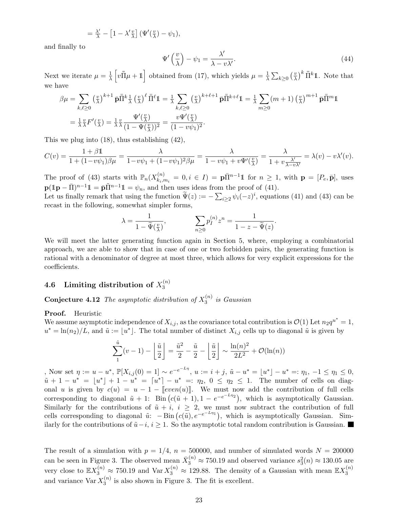$$
= \frac{\lambda'}{\lambda} - \left[1 - \lambda' \frac{v}{\lambda}\right] \left(\Psi'(\frac{v}{\lambda}) - \psi_1\right),
$$

and finally to

$$
\Psi'\left(\frac{v}{\lambda}\right) - \psi_1 = \frac{\lambda'}{\lambda - v\lambda'}.\tag{44}
$$

Next we iterate  $\mu = \frac{1}{\lambda}$  $\frac{1}{\lambda} \left[ v \bar{\Pi} \mu + \mathbb{1} \right]$  obtained from (17), which yields  $\mu = \frac{1}{\lambda}$  $\frac{1}{\lambda} \sum_{k \geq 0} \left( \frac{v}{\lambda} \right)$  $\left(\frac{v}{\lambda}\right)^k \bar{\bar{\Pi}}^k \mathbb{1}$ . Note that we have

$$
\beta \mu = \sum_{k,\ell \ge 0} \left(\frac{v}{\lambda}\right)^{k+1} \bar{\mathbf{p}} \bar{\bar{\Pi}}^k \frac{1}{\lambda} \left(\frac{v}{\lambda}\right)^{\ell} \bar{\bar{\Pi}}^{\ell} \mathbb{1} = \frac{1}{\lambda} \sum_{k,\ell \ge 0} \left(\frac{v}{\lambda}\right)^{k+\ell+1} \bar{\mathbf{p}} \bar{\bar{\Pi}}^{k+\ell} \mathbb{1} = \frac{1}{\lambda} \sum_{m \ge 0} (m+1) \left(\frac{v}{\lambda}\right)^{m+1} \bar{\mathbf{p}} \bar{\bar{\Pi}}^m \mathbb{1}
$$

$$
= \frac{1}{\lambda} \frac{v}{\lambda} F'(\frac{v}{\lambda}) = \frac{1}{\lambda} \frac{v}{\lambda} \frac{\Psi'(\frac{v}{\lambda})}{(1 - \Psi(\frac{v}{\lambda}))^2} = \frac{v \Psi'(\frac{v}{\lambda})}{(1 - v \psi_1)^2}.
$$

This we plug into (18), thus establishing (42),

$$
C(v) = \frac{1+\beta\mathbb{1}}{1+(1-v\psi_1)\beta\mu} = \frac{\lambda}{1-v\psi_1+(1-v\psi_1)^2\beta\mu} = \frac{\lambda}{1-v\psi_1+v\Psi'(\frac{v}{\lambda})} = \frac{\lambda}{1+v\frac{\lambda'}{\lambda-v\lambda'}} = \lambda(v)-v\lambda'(v).
$$

The proof of (43) starts with  $\mathbb{P}_n(X_{k_i}^{(n)})$  $\mathbf{E}_{k_i,m_i}^{(n)} = 0, i \in I$  =  $\mathbf{p}\bar{\Pi}^{n-1}\mathbf{1}$  for  $n \geq 1$ , with  $\mathbf{p} = [P_e, \bar{\mathbf{p}}]$ , uses  $\mathbf{p}(\mathbb{1}\mathbf{p}-\bar{\Pi})^{n-1}\mathbb{1}=\bar{\mathbf{p}}\tilde{\Pi}^{n-1}\mathbb{1}=\psi_n$ , and then uses ideas from the proof of (41).

Let us finally remark that using the function  $\Psi(z) := -\sum_{i\geq 2} \psi_i(-z)^i$ , equations (41) and (43) can be recast in the following, somewhat simpler forms,

$$
\lambda = \frac{1}{1 - \widetilde{\Psi}(\frac{v}{\lambda})}, \qquad \sum_{n \geq 0} p_I^{(n)} z^n = \frac{1}{1 - z - \widetilde{\Psi}(z)}.
$$

We will meet the latter generating function again in Section 5, where, employing a combinatorial approach, we are able to show that in case of one or two forbidden pairs, the generating function is rational with a denominator of degree at most three, which allows for very explicit expressions for the coefficients.

#### 4.6 Limiting distribution of  $X_3^{(n)}$ 3

**Conjecture 4.12** The asymptotic distribution of  $X_3^{(n)}$  $s_3^{(n)}$  is Gaussian

#### Proof. Heuristic

We assume asymptotic independence of  $X_{i,j}$ , as the covariance total contribution is  $\mathcal{O}(1)$  Let  $n_2q^{u^*}=1$ ,  $u^* = \ln(n_2)/L$ , and  $\tilde{u} := \lfloor u^* \rfloor$ . The total number of distinct  $X_{i,j}$  cells up to diagonal  $\tilde{u}$  is given by

$$
\sum_{1}^{\tilde{u}}(v-1) - \left\lfloor \frac{\tilde{u}}{2} \right\rfloor = \frac{\tilde{u}^2}{2} - \frac{\tilde{u}}{2} - \left\lfloor \frac{\tilde{u}}{2} \right\rfloor \sim \frac{\ln(n)^2}{2L^2} + \mathcal{O}(\ln(n))
$$

, Now set  $\eta := u - u^*$ ,  $\mathbb{P}[X_{i,j}(0) = 1] \sim e^{-e^{-L\eta}}$ ,  $u := i + j$ ,  $\tilde{u} - u^* = \lfloor u^* \rfloor - u^* =: \eta_1, -1 \le \eta_1 \le 0$ ,  $\tilde{u} + 1 - u^* = [u^*] + 1 - u^* = [u^*] - u^* =: \eta_2, 0 \leq \eta_2 \leq 1.$  The number of cells on diagonal u is given by  $c(u) = u - 1 - [even(u)]$ . We must now add the contribution of full cells corresponding to diagonal  $\tilde{u} + 1$ : Bin  $(c(\tilde{u} + 1), 1 - e^{-e^{-L\eta_2}})$ , which is asymptotically Gaussian. Similarly for the contributions of  $\tilde{u} + i$ ,  $i \geq 2$ , we must now subtract the contribution of full cells corresponding to diagonal  $\tilde{u}$ :  $-\text{Bin}(c(\tilde{u}), e^{-e^{-L\eta_1}})$ , which is asymptotically Gaussian. Similarly for the contributions of  $\tilde{u}-i$ ,  $i \geq 1$ . So the asymptotic total random contribution is Gaussian.

The result of a simulation with  $p = 1/4$ ,  $n = 500000$ , and number of simulated words  $N = 200000$ can be seen in Figure 3. The observed mean  $\bar{X}_3^{(n)} \approx 750.19$  and observed variance  $s_3^2(n) \approx 130.05$  are very close to  $\mathbb{E}X_3^{(n)} \approx 750.19$  and  $\text{Var }X_3^{(n)} \approx 129.88$ . The density of a Gaussian with mean  $\mathbb{E}X_3^{(n)}$ 3 and variance  $\text{Var } X_3^{(n)}$  $\mathcal{L}_{3}^{(n)}$  is also shown in Figure 3. The fit is excellent.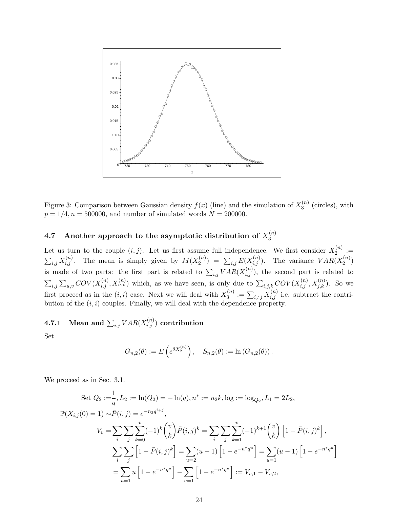

Figure 3: Comparison between Gaussian density  $f(x)$  (line) and the simulation of  $X_3^{(n)}$  $3^{(n)}$  (circles), with  $p = 1/4, n = 500000$ , and number of simulated words  $N = 200000$ .

#### 4.7 Another approach to the asymptotic distribution of  $X_3^{(n)}$ 3

Let us turn to the couple  $(i, j)$ . Let us first assume full independence. We first consider  $X_2^{(n)}$  $2^{(n)}:=$  $\sum_{i,j} X_{i,j}^{(n)}$ . The mean is simply given by  $M(X_2^{(n)})$  $\mathcal{L}^{(n)}_{2}$  =  $\sum_{i,j} E(X_{i,j}^{(n)})$ . The variance  $VAR(X_2^{(n)})$  $\binom{n}{2}$ is made of two parts: the first part is related to  $\sum_{i,j} VAR(X_{i,j}^{(n)})$ , the second part is related to  $\sum_{i,j}\sum_{u,v}COV(X_{i,j}^{(n)},X_{u,v}^{(n)})$  which, as we have seen, is only due to  $\sum_{i,j,k}COV(X_{i,j}^{(n)},X_{j,k}^{(n)})$ . So we first proceed as in the  $(i, i)$  case. Next we will deal with  $X_3^{(n)}$  $\chi_3^{(n)} := \sum_{i \neq j} X_{i,j}^{(n)}$  i.e. subtract the contribution of the  $(i, i)$  couples. Finally, we will deal with the dependence property.

# 4.7.1 Mean and  $\sum_{i,j} VAR(X_{i,j}^{(n)})$  contribution

Set

$$
G_{n,2}(\theta) := E\left(e^{\theta X_2^{(n)}}\right), \quad S_{n,2}(\theta) := \ln(G_{n,2}(\theta)).
$$

We proceed as in Sec. 3.1.

Set 
$$
Q_2 := \frac{1}{q}, L_2 := \ln(Q_2) = -\ln(q), n^* := n_2k, \log := \log_{Q_2}, L_1 = 2L_2,
$$
  
\n
$$
\mathbb{P}(X_{i,j}(0) = 1) \sim \bar{P}(i, j) = e^{-n_2 q^{i+j}},
$$
\n
$$
V_v = \sum_i \sum_j \sum_{k=0}^v (-1)^k {v \choose k} \bar{P}(i, j)^k = \sum_i \sum_j \sum_{k=1}^v (-1)^{k+1} {v \choose k} \left[1 - \bar{P}(i, j)^k\right],
$$
\n
$$
\sum_i \sum_j \left[1 - \bar{P}(i, j)^k\right] = \sum_{u=2} (u - 1) \left[1 - e^{-n^* q^u}\right] = \sum_{u=1} (u - 1) \left[1 - e^{-n^* q^u}\right]
$$
\n
$$
= \sum_{u=1} u \left[1 - e^{-n^* q^u}\right] - \sum_{u=1} \left[1 - e^{-n^* q^u}\right] := V_{v,1} - V_{v,2},
$$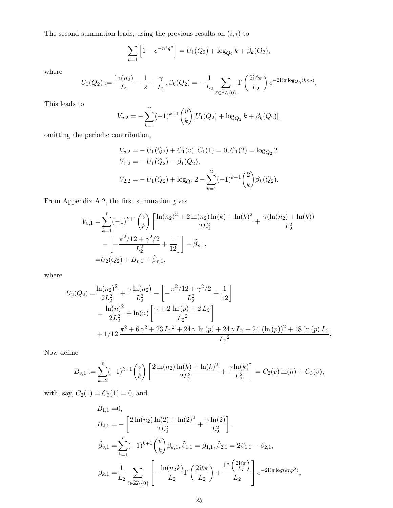The second summation leads, using the previous results on  $(i, i)$  to

$$
\sum_{u=1} [1 - e^{-n^* q^u}] = U_1(Q_2) + \log_{Q_2} k + \beta_k(Q_2),
$$

where

$$
U_1(Q_2) := \frac{\ln(n_2)}{L_2} - \frac{1}{2} + \frac{\gamma}{L_2}, \beta_k(Q_2) = -\frac{1}{L_2} \sum_{\ell \in \mathbb{Z} \setminus \{0\}} \Gamma\left(\frac{2i\ell\pi}{L_2}\right) e^{-2i\ell\pi \log_{Q_2}(kn_2)},
$$

This leads to

$$
V_{v,2} = -\sum_{k=1}^{v} (-1)^{k+1} {v \choose k} [U_1(Q_2) + \log_{Q_2} k + \beta_k(Q_2)],
$$

omitting the periodic contribution,

$$
V_{v,2} = -U_1(Q_2) + C_1(v), C_1(1) = 0, C_1(2) = \log_{Q_2} 2
$$
  
\n
$$
V_{1,2} = -U_1(Q_2) - \beta_1(Q_2),
$$
  
\n
$$
V_{2,2} = -U_1(Q_2) + \log_{Q_2} 2 - \sum_{k=1}^{2} (-1)^{k+1} {2 \choose k} \beta_k(Q_2).
$$

From Appendix A.2, the first summation gives

$$
V_{v,1} = \sum_{k=1}^{v} (-1)^{k+1} {v \choose k} \left[ \frac{\ln(n_2)^2 + 2\ln(n_2)\ln(k) + \ln(k)^2}{2L_2^2} + \frac{\gamma(\ln(n_2) + \ln(k))}{L_2^2} - \left[ -\frac{\pi^2/12 + \gamma^2/2}{L_2^2} + \frac{1}{12} \right] \right] + \tilde{\beta}_{v,1},
$$
  
=  $U_2(Q_2) + B_{v,1} + \tilde{\beta}_{v,1},$ 

where

$$
U_2(Q_2) = \frac{\ln(n_2)^2}{2L_2^2} + \frac{\gamma \ln(n_2)}{L_2^2} - \left[ -\frac{\pi^2/12 + \gamma^2/2}{L_2^2} + \frac{1}{12} \right]
$$
  
=  $\frac{\ln(n)^2}{2L_2^2} + \ln(n) \left[ \frac{\gamma + 2 \ln(p) + 2L_2}{L_2^2} \right]$   
+  $1/12 \frac{\pi^2 + 6\gamma^2 + 23L_2^2 + 24\gamma \ln(p) + 24\gamma L_2 + 24(\ln(p))^2 + 48 \ln(p) L_2}{L_2^2},$ 

Now define

$$
B_{v,1} := \sum_{k=2}^{v} (-1)^{k+1} {v \choose k} \left[ \frac{2 \ln(n_2) \ln(k) + \ln(k)^2}{2L_2^2} + \frac{\gamma \ln(k)}{L_2^2} \right] = C_2(v) \ln(n) + C_3(v),
$$

with, say,  $C_2(1) = C_3(1) = 0$ , and

$$
B_{1,1} = 0,
$$
  
\n
$$
B_{2,1} = -\left[\frac{2\ln(n_2)\ln(2) + \ln(2)^2}{2L_2^2} + \frac{\gamma\ln(2)}{L_2^2}\right],
$$
  
\n
$$
\tilde{\beta}_{v,1} = \sum_{k=1}^v (-1)^{k+1} {v \choose k} \beta_{k,1}, \tilde{\beta}_{1,1} = \beta_{1,1}, \tilde{\beta}_{2,1} = 2\beta_{1,1} - \beta_{2,1},
$$
  
\n
$$
\beta_{k,1} = \frac{1}{L_2} \sum_{\ell \in \mathbb{Z} \setminus \{0\}} \left[ -\frac{\ln(n_2 k)}{L_2} \Gamma\left(\frac{2i\ell \pi}{L_2}\right) + \frac{\Gamma'\left(\frac{2i\ell \pi}{L_2}\right)}{L_2} \right] e^{-2i\ell \pi \log(knp^2)},
$$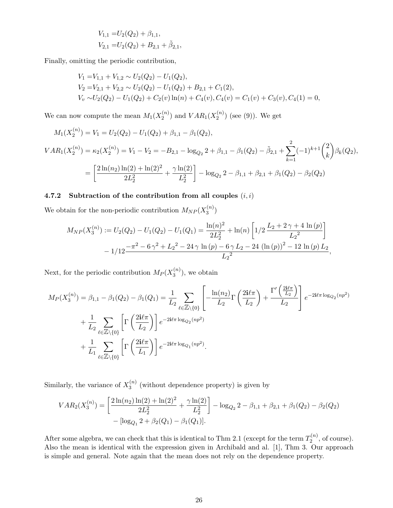$$
V_{1,1} = U_2(Q_2) + \beta_{1,1},
$$
  
\n
$$
V_{2,1} = U_2(Q_2) + B_{2,1} + \tilde{\beta}_{2,1},
$$

Finally, omitting the periodic contribution,

$$
V_1 = V_{1,1} + V_{1,2} \sim U_2(Q_2) - U_1(Q_2),
$$
  
\n
$$
V_2 = V_{2,1} + V_{2,2} \sim U_2(Q_2) - U_1(Q_2) + B_{2,1} + C_1(2),
$$
  
\n
$$
V_v \sim U_2(Q_2) - U_1(Q_2) + C_2(v) \ln(n) + C_4(v), C_4(v) = C_1(v) + C_3(v), C_4(1) = 0,
$$

We can now compute the mean  $M_1(X_2^{(n)}$  $\binom{n}{2}$  and  $VAR_1(X_2^{(n)})$  $2^{(n)}$  (see (9)). We get

$$
M_1(X_2^{(n)}) = V_1 = U_2(Q_2) - U_1(Q_2) + \beta_{1,1} - \beta_1(Q_2),
$$
  
\n
$$
VAR_1(X_2^{(n)}) = \kappa_2(X_2^{(n)}) = V_1 - V_2 = -B_{2,1} - \log_{Q_2} 2 + \beta_{1,1} - \beta_1(Q_2) - \tilde{\beta}_{2,1} + \sum_{k=1}^2 (-1)^{k+1} {2 \choose k} \beta_k(Q_2),
$$
  
\n
$$
= \left[ \frac{2\ln(n_2)\ln(2) + \ln(2)^2}{2L_2^2} + \frac{\gamma \ln(2)}{L_2^2} \right] - \log_{Q_2} 2 - \beta_{1,1} + \beta_{2,1} + \beta_1(Q_2) - \beta_2(Q_2)
$$

#### 4.7.2 Subtraction of the contribution from all couples  $(i, i)$

We obtain for the non-periodic contribution  $M_{NP}(X_3^{(n)})$  $\binom{n}{3}$ 

$$
M_{NP}(X_3^{(n)}) := U_2(Q_2) - U_1(Q_2) - U_1(Q_1) = \frac{\ln(n)^2}{2L_2^2} + \ln(n) \left[ 1/2 \frac{L_2 + 2\gamma + 4\ln(p)}{L_2^2} \right] - 1/12 \frac{-\pi^2 - 6\gamma^2 + L_2^2 - 24\gamma \ln(p) - 6\gamma L_2 - 24\left(\ln(p)\right)^2 - 12\ln(p) L_2}{L_2^2},
$$

Next, for the periodic contribution  $M_P(X_3^{(n)})$  $3^{(n)}$ , we obtain

$$
M_P(X_3^{(n)}) = \beta_{1,1} - \beta_1(Q_2) - \beta_1(Q_1) = \frac{1}{L_2} \sum_{\ell \in \mathbb{Z} \setminus \{0\}} \left[ -\frac{\ln(n_2)}{L_2} \Gamma\left(\frac{2i\ell\pi}{L_2}\right) + \frac{\Gamma'\left(\frac{2i\ell\pi}{L_2}\right)}{L_2} \right] e^{-2i\ell\pi \log_{Q_2}(np^2)} + \frac{1}{L_2} \sum_{\ell \in \mathbb{Z} \setminus \{0\}} \left[ \Gamma\left(\frac{2i\ell\pi}{L_2}\right) \right] e^{-2i\ell\pi \log_{Q_2}(np^2)} + \frac{1}{L_1} \sum_{\ell \in \mathbb{Z} \setminus \{0\}} \left[ \Gamma\left(\frac{2i\ell\pi}{L_1}\right) \right] e^{-2i\ell\pi \log_{Q_1}(np^2)}.
$$

Similarly, the variance of  $X_3^{(n)}$  $\binom{n}{3}$  (without dependence property) is given by

$$
VAR_2(X_3^{(n)}) = \left[ \frac{2\ln(n_2)\ln(2) + \ln(2)^2}{2L_2^2} + \frac{\gamma \ln(2)}{L_2^2} \right] - \log_{Q_2} 2 - \beta_{1,1} + \beta_{2,1} + \beta_1(Q_2) - \beta_2(Q_2) - \left[\log_{Q_1} 2 + \beta_2(Q_1) - \beta_1(Q_1)\right].
$$

After some algebra, we can check that this is identical to Thm 2.1 (except for the term  $T_2^{(n)}$  $2^{(n)}$ , of course). Also the mean is identical with the expression given in Archibald and al. [1], Thm 3. Our approach is simple and general. Note again that the mean does not rely on the dependence property.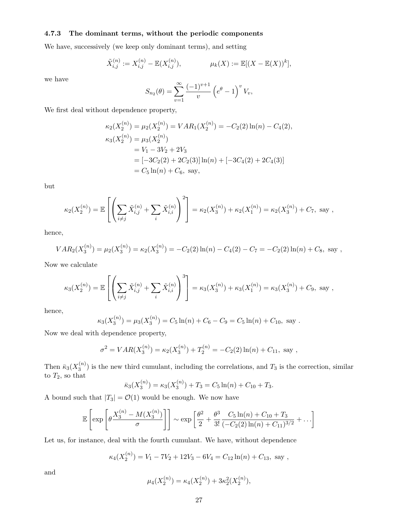#### 4.7.3 The dominant terms, without the periodic components

We have, successively (we keep only dominant terms), and setting

$$
\tilde{X}_{i,j}^{(n)} := X_{i,j}^{(n)} - \mathbb{E}(X_{i,j}^{(n)}), \qquad \mu_k(X) := \mathbb{E}[(X - \mathbb{E}(X))^k],
$$

we have

$$
S_{n_2}(\theta) = \sum_{v=1}^{\infty} \frac{(-1)^{v+1}}{v} \left( e^{\theta} - 1 \right)^v V_v,
$$

We first deal without dependence property,

$$
\kappa_2(X_2^{(n)}) = \mu_2(X_2^{(n)}) = VAR_1(X_2^{(n)}) = -C_2(2)\ln(n) - C_4(2),
$$
  
\n
$$
\kappa_3(X_2^{(n)}) = \mu_3(X_2^{(n)})
$$
  
\n
$$
= V_1 - 3V_2 + 2V_3
$$
  
\n
$$
= [-3C_2(2) + 2C_2(3)]\ln(n) + [-3C_4(2) + 2C_4(3)]
$$
  
\n
$$
= C_5\ln(n) + C_6, \text{ say,}
$$

but

$$
\kappa_2(X_2^{(n)}) = \mathbb{E}\left[\left(\sum_{i \neq j} \tilde{X}_{i,j}^{(n)} + \sum_i \tilde{X}_{i,i}^{(n)}\right)^2\right] = \kappa_2(X_3^{(n)}) + \kappa_2(X_1^{(n)}) = \kappa_2(X_3^{(n)}) + C_7, \text{ say,}
$$

hence,

$$
VAR_2(X_3^{(n)}) = \mu_2(X_3^{(n)}) = \kappa_2(X_3^{(n)}) = -C_2(2)\ln(n) - C_4(2) - C_7 = -C_2(2)\ln(n) + C_8
$$
, say,

Now we calculate

$$
\kappa_3(X_2^{(n)}) = \mathbb{E}\left[\left(\sum_{i \neq j} \tilde{X}_{i,j}^{(n)} + \sum_i \tilde{X}_{i,i}^{(n)}\right)^3\right] = \kappa_3(X_3^{(n)}) + \kappa_3(X_1^{(n)}) = \kappa_3(X_3^{(n)}) + C_9, \text{ say,}
$$

hence,

$$
\kappa_3(X_3^{(n)}) = \mu_3(X_3^{(n)}) = C_5 \ln(n) + C_6 - C_9 = C_5 \ln(n) + C_{10}, \text{ say}.
$$

Now we deal with dependence property,

$$
\sigma^{2} = VAR(X_{3}^{(n)}) = \kappa_{2}(X_{3}^{(n)}) + T_{2}^{(n)} = -C_{2}(2)\ln(n) + C_{11}, \text{ say},
$$

Then  $\bar{\kappa}_3(X_3^{(n)}$  $3^{(n)}$ ) is the new third cumulant, including the correlations, and  $T_3$  is the correction, similar to  $T_2$ , so that  $\bar{F}_1(\mathbf{v}^{(n)}) = \bar{F}_2(\mathbf{v}^{(n)})$ 

$$
\overline{\kappa}_3(X_3^{(n)}) = \kappa_3(X_3^{(n)}) + T_3 = C_5 \ln(n) + C_{10} + T_3.
$$

A bound such that  $|T_3| = \mathcal{O}(1)$  would be enough. We now have

$$
\mathbb{E}\left[\exp\left[\theta \frac{X_3^{(n)} - M(X_3^{(n)})}{\sigma}\right]\right] \sim \exp\left[\frac{\theta^2}{2} + \frac{\theta^3}{3!} \frac{C_5 \ln(n) + C_{10} + T_3}{(-C_2(2) \ln(n) + C_{11})^{3/2}} + \ldots\right]
$$

Let us, for instance, deal with the fourth cumulant. We have, without dependence

$$
\kappa_4(X_2^{(n)}) = V_1 - 7V_2 + 12V_3 - 6V_4 = C_{12}\ln(n) + C_{13}
$$
, say,

and

$$
\mu_4(X_2^{(n)}) = \kappa_4(X_2^{(n)}) + 3\kappa_2^2(X_2^{(n)}),
$$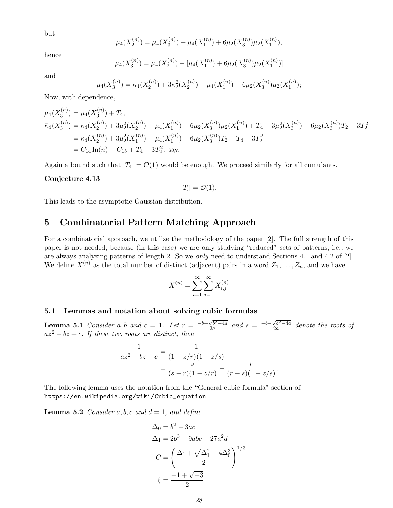but

$$
\mu_4(X_2^{(n)}) = \mu_4(X_3^{(n)}) + \mu_4(X_1^{(n)}) + 6\mu_2(X_3^{(n)})\mu_2(X_1^{(n)}),
$$

hence

$$
\mu_4(X_3^{(n)}) = \mu_4(X_2^{(n)}) - [\mu_4(X_1^{(n)}) + 6\mu_2(X_3^{(n)})\mu_2(X_1^{(n)})]
$$

and

$$
\mu_4(X_3^{(n)}) = \kappa_4(X_2^{(n)}) + 3\kappa_2^2(X_2^{(n)}) - \mu_4(X_1^{(n)}) - 6\mu_2(X_3^{(n)})\mu_2(X_1^{(n)});
$$

Now, with dependence,

 $\lambda$ 

$$
\bar{\mu}_4(X_3^{(n)}) = \mu_4(X_3^{(n)}) + T_4,
$$
\n
$$
\bar{\kappa}_4(X_3^{(n)}) = \kappa_4(X_2^{(n)}) + 3\mu_2^2(X_2^{(n)}) - \mu_4(X_1^{(n)}) - 6\mu_2(X_3^{(n)})\mu_2(X_1^{(n)}) + T_4 - 3\mu_2^2(X_3^{(n)}) - 6\mu_2(X_3^{(n)})T_2 - 3T_2^2
$$
\n
$$
= \kappa_4(X_2^{(n)}) + 3\mu_2^2(X_1^{(n)}) - \mu_4(X_1^{(n)}) - 6\mu_2(X_3^{(n)})T_2 + T_4 - 3T_2^2
$$
\n
$$
= C_{14}\ln(n) + C_{15} + T_4 - 3T_2^2, \text{ say.}
$$

Again a bound such that  $|T_4| = \mathcal{O}(1)$  would be enough. We proceed similarly for all cumulants.

#### Conjecture 4.13

$$
|T| = \mathcal{O}(1).
$$

This leads to the asymptotic Gaussian distribution.

## 5 Combinatorial Pattern Matching Approach

For a combinatorial approach, we utilize the methodology of the paper [2]. The full strength of this paper is not needed, because (in this case) we are only studying "reduced" sets of patterns, i.e., we are always analyzing patterns of length 2. So we only need to understand Sections 4.1 and 4.2 of [2]. We define  $X^{(n)}$  as the total number of distinct (adjacent) pairs in a word  $Z_1, \ldots, Z_n$ , and we have

$$
X^{(n)} = \sum_{i=1}^{\infty} \sum_{j=1}^{\infty} X_{i,j}^{(n)}
$$

## 5.1 Lemmas and notation about solving cubic formulas

**Lemma 5.1** Consider a,b and  $c = 1$ . Let  $r = \frac{-b + \sqrt{b^2 - 4a}}{2a}$  $\frac{\sqrt{b^2-4a}}{2a}$  and  $s = \frac{-b-\sqrt{b^2-4a}}{2a}$  $\frac{\sqrt{b^2-4a}}{2a}$  denote the roots of  $az^2 + bz + c$ . If these two roots are distinct, then

$$
\frac{1}{az^2 + bz + c} = \frac{1}{(1 - z/r)(1 - z/s)}
$$

$$
= \frac{s}{(s - r)(1 - z/r)} + \frac{r}{(r - s)(1 - z/s)}.
$$

The following lemma uses the notation from the "General cubic formula" section of https://en.wikipedia.org/wiki/Cubic\_equation

**Lemma 5.2** Consider a, b, c and  $d = 1$ , and define

$$
\Delta_0 = b^2 - 3ac
$$
  
\n
$$
\Delta_1 = 2b^3 - 9abc + 27a^2d
$$
  
\n
$$
C = \left(\frac{\Delta_1 + \sqrt{\Delta_1^2 - 4\Delta_0^3}}{2}\right)^{1/3}
$$
  
\n
$$
\xi = \frac{-1 + \sqrt{-3}}{2}
$$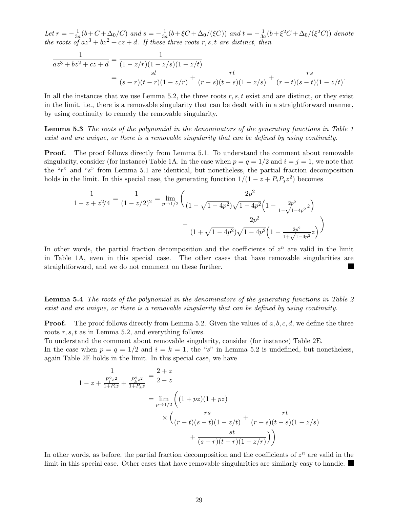Let  $r=-\frac{1}{3a}$  $\frac{1}{3a}(b+C+\Delta_0/C)$  and  $s=-\frac{1}{3a}$  $\frac{1}{3a}(b+\xi C+\Delta_0/(\xi C))$  and  $t=-\frac{1}{3a}$  $\frac{1}{3a}(b+\xi^2C+\Delta_0/(\xi^2C))$  denote the roots of  $az^3 + bz^2 + cz + d$ . If these three roots r, s, t are distinct, then

$$
\frac{1}{az^3 + bz^2 + cz + d} = \frac{1}{(1 - z/r)(1 - z/s)(1 - z/t)} \n= \frac{st}{(s - r)(t - r)(1 - z/r)} + \frac{rt}{(r - s)(t - s)(1 - z/s)} + \frac{rs}{(r - t)(s - t)(1 - z/t)}.
$$

In all the instances that we use Lemma 5.2, the three roots  $r, s, t$  exist and are distinct, or they exist in the limit, i.e., there is a removable singularity that can be dealt with in a straightforward manner, by using continuity to remedy the removable singularity.

**Lemma 5.3** The roots of the polynomial in the denominators of the generating functions in Table 1 exist and are unique, or there is a removable singularity that can be defined by using continuity.

Proof. The proof follows directly from Lemma 5.1. To understand the comment about removable singularity, consider (for instance) Table 1A. In the case when  $p = q = 1/2$  and  $i = j = 1$ , we note that the "r" and "s" from Lemma 5.1 are identical, but nonetheless, the partial fraction decomposition holds in the limit. In this special case, the generating function  $1/(1 - z + P_i P_j z^2)$  becomes

$$
\frac{1}{1-z+z^2/4} = \frac{1}{(1-z/2)^2} = \lim_{p \to 1/2} \left( \frac{2p^2}{(1-\sqrt{1-4p^2})\sqrt{1-4p^2} \left(1 - \frac{2p^2}{1-\sqrt{1-4p^2}z}\right)} - \frac{2p^2}{(1+\sqrt{1-4p^2})\sqrt{1-4p^2} \left(1 - \frac{2p^2}{1+\sqrt{1-4p^2}z}\right)} \right)
$$

In other words, the partial fraction decomposition and the coefficients of  $z^n$  are valid in the limit in Table 1A, even in this special case. The other cases that have removable singularities are straightforward, and we do not comment on these further.

**Lemma 5.4** The roots of the polynomial in the denominators of the generating functions in Table 2 exist and are unique, or there is a removable singularity that can be defined by using continuity.

**Proof.** The proof follows directly from Lemma 5.2. Given the values of  $a, b, c, d$ , we define the three roots r, s, t as in Lemma 5.2, and everything follows.

To understand the comment about removable singularity, consider (for instance) Table 2E.

In the case when  $p = q = 1/2$  and  $i = k = 1$ , the "s" in Lemma 5.2 is undefined, but nonetheless, again Table 2E holds in the limit. In this special case, we have

$$
\frac{1}{1-z+\frac{P_i^2 z^2}{1+P_i z}+\frac{P_k^2 z^2}{1+P_k z}} = \frac{2+z}{2-z}
$$
\n
$$
= \lim_{p\to 1/2} \left( (1+p z)(1+pz) \times \left( \frac{rs}{(r-t)(s-t)(1-z/t)} + \frac{rt}{(r-s)(t-s)(1-z/s)} + \frac{st}{(s-r)(t-r)(1-z/r)} \right) \right)
$$

In other words, as before, the partial fraction decomposition and the coefficients of  $z<sup>n</sup>$  are valid in the limit in this special case. Other cases that have removable singularities are similarly easy to handle.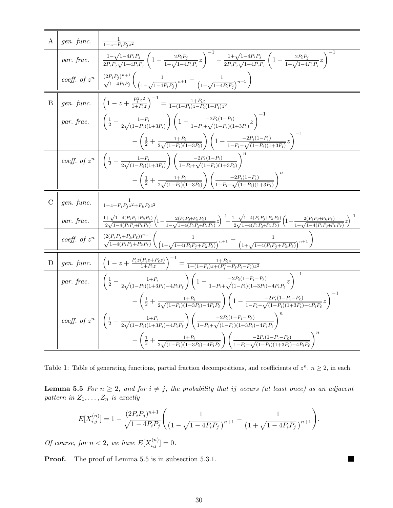A gen. func. 
$$
\frac{1}{1-z+P_{t}P_{j}z^{2}}{par. frac.} \frac{1}{2r_{t}P_{j}\sqrt{1-4P_{t}P_{j}}} \left(1-\frac{2P_{t}P_{j}}{1-\sqrt{1-4P_{t}P_{j}}}z\right)^{-1} - \frac{1+\sqrt{1-4P_{t}P_{j}}}{2P_{t}P_{j}\sqrt{1-4P_{t}P_{j}}} \left(1-\frac{2P_{t}P_{j}}{1+\sqrt{1-4P_{t}P_{j}}}z\right)^{-1}
$$
  
\ncoeff. of  $z^{n}$  
$$
\frac{(2P_{t}P_{j})^{n+1}}{\sqrt{1-4P_{t}P_{j}}} \left(\frac{1}{(1-\sqrt{1-4P_{t}P_{j}})^{n+1}} - \frac{1}{(1+\sqrt{1-4P_{t}P_{j}})^{n+1}}\right)
$$
  
\nB gen. func. 
$$
\left(1-z+\frac{P_{j}^{2}z^{2}}{1+P_{k}z}\right)^{-1} = \frac{1+P_{t}z}{1-(1-P_{t})z-P_{t}(1-P_{t})z^{2}}
$$
  
\npar. frac. 
$$
\left(\frac{1}{2}-\frac{1+P_{t}}{2\sqrt{(1-P_{t})(1+3P_{t})}}\right)\left(1-\frac{2P_{t}(1-P_{t})}{1-P_{t}+\sqrt{(1-P_{t})(1+3P_{j}})}z\right)^{-1}
$$
  
\ncoeff. of  $z^{n}$  
$$
\left(\frac{1}{2}-\frac{1+P_{t}}{2\sqrt{(1-P_{t})(1+3P_{t})}}\right)\left(1-\frac{2P_{t}(1-P_{t})}{1-P_{t}+\sqrt{(1-P_{t})(1+3P_{t})}}z\right)^{-1}
$$
  
\ncoeff. of  $z^{n}$  
$$
\left(\frac{1}{2}-\frac{1+P_{t}}{2\sqrt{(1-P_{t})(1+3P_{t})}}\right)\left(\frac{-2P_{t}(1-P_{t})}{1-P_{t}+\sqrt{(1-P_{t})(1+3P_{t})}}\right)^{n}
$$
  
\n
$$
-\left(\frac{1}{2}+\frac{1+P_{t}}{2\sqrt{(1-P_{t})(1+3P_{t})}}\right)\left(1-\frac{2P_{t}(1-P_{t})}{1-P_{t}+\sqrt{(1-P_{t})(
$$

Table 1: Table of generating functions, partial fraction decompositions, and coefficients of  $z^n$ ,  $n \geq 2$ , in each.

**Lemma 5.5** For  $n \geq 2$ , and for  $i \neq j$ , the probability that ij occurs (at least once) as an adjacent pattern in  $Z_1, \ldots, Z_n$  is exactly

$$
E[X_{i,j}^{(n)}] = 1 - \frac{(2P_i P_j)^{n+1}}{\sqrt{1 - 4P_i P_j}} \left( \frac{1}{\left(1 - \sqrt{1 - 4P_i P_j}\right)^{n+1}} - \frac{1}{\left(1 + \sqrt{1 - 4P_i P_j}\right)^{n+1}} \right).
$$

Of course, for  $n < 2$ , we have  $E[X_{i,j}^{(n)}] = 0$ .

**Proof.** The proof of Lemma 5.5 is in subsection 5.3.1.

 $\Box$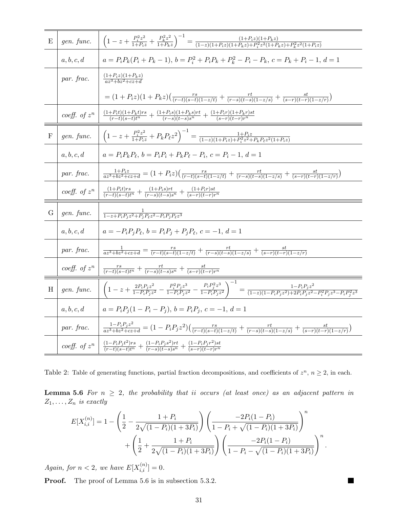| Ε            | gen. func.      | $\left(1-z+\tfrac{P_i^2 z^2}{1+P_i z}+\tfrac{P_k^2 z^2}{1+P_k z}\right)^{-1}=\tfrac{(1+P_i z)(1+P_k z)}{(1-z)(1+P_i z)(1+P_k z)+P_i^2 z^2(1+P_k z)+P_k^2 z^2(1+P_i z)}$                                                                                                        |
|--------------|-----------------|--------------------------------------------------------------------------------------------------------------------------------------------------------------------------------------------------------------------------------------------------------------------------------|
|              | a, b, c, d      | $a = P_i P_k (P_i + P_k - 1), b = P_i^2 + P_i P_k + P_k^2 - P_i - P_k, c = P_k + P_i - 1, d = 1$                                                                                                                                                                               |
|              | par. frac.      | $\frac{(1+P_iz)(1+P_kz)}{az^3+bz^2+cz+d}$                                                                                                                                                                                                                                      |
|              |                 | $= (1+P_iz)(1+P_kz)\left(\frac{rs}{(r-t)(s-t)(1-z/t)}+\frac{rt}{(r-s)(t-s)(1-z/s)}+\frac{st}{(s-r)(t-r)(1-z/r)}\right)$                                                                                                                                                        |
|              | coeff. of $z^n$ | $\frac{(1+P_it)(1+P_kt)rs}{(r-t)(s-t)t^n} + \frac{(1+P_is)(1+P_ks)rt}{(r-s)(t-s)s^n} + \frac{(1+P_ir)(1+P_kr)st}{(s-r)(t-r)r^n}$                                                                                                                                               |
| $\mathbf{F}$ | gen. func.      | $\left(1-z+\frac{P_i^2 z^2}{1+P_i z}+P_k P_\ell z^2\right)^{-1}=\frac{1+P_i z}{(1-z)(1+P_i z)+P_i^2 z^2+P_k P_\ell z^2(1+P_i z)}$                                                                                                                                              |
|              | a, b, c, d      | $a = P_i P_k P_\ell, b = P_i P_i + P_k P_\ell - P_i, c = P_i - 1, d = 1$                                                                                                                                                                                                       |
|              | par. frac.      | $\frac{1+P_iz}{az^3+bz^2+cz+d} = (1+P_iz)\left(\frac{rs}{(r-t)(s-t)(1-z/t)}+\frac{rt}{(r-s)(t-s)(1-z/s)}+\frac{st}{(s-r)(t-r)(1-z/r)}\right)$                                                                                                                                  |
|              | coeff. of $z^n$ | $\frac{(1+P_it)rs}{(r-t)(s-t)t^n} + \frac{(1+P_is)rt}{(r-s)(t-s)s^n} + \frac{(1+P_ir)st}{(s-r)(t-r)r^n}$                                                                                                                                                                       |
| G            | gen. func.      | $\frac{1}{1-z+P_iP_iz^2+P_iP_{\ell}z^2-P_iP_iP_{\ell}z^3}$                                                                                                                                                                                                                     |
|              | a, b, c, d      | $a = -P_iP_jP_\ell, b = P_iP_j + P_jP_\ell, c = -1, d = 1$                                                                                                                                                                                                                     |
|              | par. frac.      | $\frac{1}{az^3+bz^2+cz+d} = \frac{rs}{(r-t)(s-t)(1-z/t)} + \frac{rt}{(r-s)(t-s)(1-z/s)} + \frac{st}{(s-r)(t-r)(1-z/r)}$                                                                                                                                                        |
|              | coeff. of $z^n$ | $\frac{rs}{(r-t)(s-t)t^n} + \frac{rt}{(r-s)(t-s)s^n} + \frac{st}{(s-r)(t-r)r^n}$                                                                                                                                                                                               |
| H            | gen. func.      | $\left(1-z+\tfrac{2P_{i}P_{j}z^{2}}{1-P_{i}P_{i}z^{2}}-\tfrac{P_{i}^{2}P_{j}z^{3}}{1-P_{i}P_{j}z^{2}}-\tfrac{P_{i}P_{j}^{2}z^{3}}{1-P_{i}P_{j}z^{2}}\right)^{-1}=\tfrac{1-P_{i}P_{j}z^{2}}{(1-z)(1-P_{i}P_{j}z^{2})+2P_{i}P_{j}z^{2}-P_{i}^{2}P_{j}z^{3}-P_{i}P_{j}^{2}z^{3}}$ |
|              | a, b, c, d      | $a = P_i P_i (1 - P_i - P_i), b = P_i P_i, c = -1, d = 1$                                                                                                                                                                                                                      |
|              | par. frac.      | $\frac{1-P_iP_jz^2}{az^3+bz^2+cz+d} = (1-P_iP_jz^2)\left(\frac{rs}{(r-t)(s-t)(1-z/t)}+\frac{rt}{(r-s)(t-s)(1-z/s)}+\frac{st}{(s-r)(t-r)(1-z/r)}\right)$                                                                                                                        |
|              | coeff. of $z^n$ | $\frac{(1-P_iP_jt^2)rs}{(r-t)(s-t)t^n} + \frac{(1-P_iP_js^2)rt}{(r-s)(t-s)s^n} + \frac{(1-P_iP_jr^2)st}{(s-r)(t-r)r^n}$                                                                                                                                                        |

Table 2: Table of generating functions, partial fraction decompositions, and coefficients of  $z^n$ ,  $n \geq 2$ , in each.

**Lemma 5.6** For  $n \geq 2$ , the probability that ii occurs (at least once) as an adjacent pattern in  $Z_1, \ldots, Z_n$  is exactly

$$
E[X_{i,i}^{(n)}] = 1 - \left(\frac{1}{2} - \frac{1+P_i}{2\sqrt{(1-P_i)(1+3P_i)}}\right) \left(\frac{-2P_i(1-P_i)}{1-P_i + \sqrt{(1-P_i)(1+3P_i)}}\right)^n + \left(\frac{1}{2} + \frac{1+P_i}{2\sqrt{(1-P_i)(1+3P_i)}}\right) \left(\frac{-2P_i(1-P_i)}{1-P_i - \sqrt{(1-P_i)(1+3P_i)}}\right)^n.
$$

Again, for  $n < 2$ , we have  $E[X_{i,i}^{(n)}] = 0$ .

**Proof.** The proof of Lemma 5.6 is in subsection 5.3.2.

П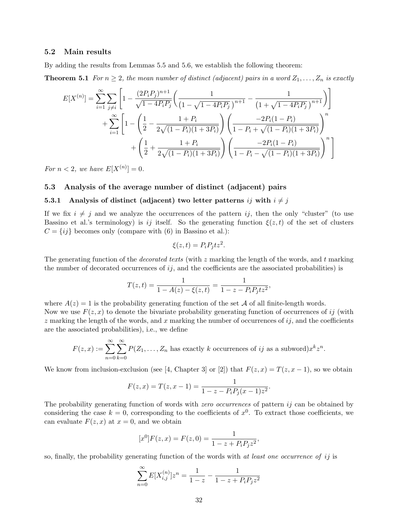#### 5.2 Main results

By adding the results from Lemmas 5.5 and 5.6, we establish the following theorem:

**Theorem 5.1** For  $n \geq 2$ , the mean number of distinct (adjacent) pairs in a word  $Z_1, \ldots, Z_n$  is exactly

$$
E[X^{(n)}] = \sum_{i=1}^{\infty} \sum_{j \neq i} \left[ 1 - \frac{(2P_i P_j)^{n+1}}{\sqrt{1 - 4P_i P_j}} \left( \frac{1}{\left(1 - \sqrt{1 - 4P_i P_j}\right)^{n+1}} - \frac{1}{\left(1 + \sqrt{1 - 4P_i P_j}\right)^{n+1}} \right) \right]
$$
  
+ 
$$
\sum_{i=1}^{\infty} \left[ 1 - \left( \frac{1}{2} - \frac{1 + P_i}{2\sqrt{(1 - P_i)(1 + 3P_i)}} \right) \left( \frac{-2P_i(1 - P_i)}{1 - P_i + \sqrt{(1 - P_i)(1 + 3P_i)}} \right)^n + \left( \frac{1}{2} + \frac{1 + P_i}{2\sqrt{(1 - P_i)(1 + 3P_i)}} \right) \left( \frac{-2P_i(1 - P_i)}{1 - P_i - \sqrt{(1 - P_i)(1 + 3P_i)}} \right)^n \right]
$$

For  $n < 2$ , we have  $E[X^{(n)}] = 0$ .

#### 5.3 Analysis of the average number of distinct (adjacent) pairs

#### 5.3.1 Analysis of distinct (adjacent) two letter patterns ij with  $i \neq j$

If we fix  $i \neq j$  and we analyze the occurrences of the pattern ij, then the only "cluster" (to use Bassino et al.'s terminology) is ij itself. So the generating function  $\xi(z,t)$  of the set of clusters  $C = \{ij\}$  becomes only (compare with (6) in Bassino et al.):

$$
\xi(z,t) = P_i P_j t z^2.
$$

The generating function of the *decorated texts* (with z marking the length of the words, and t marking the number of decorated occurrences of  $ij$ , and the coefficients are the associated probabilities) is

$$
T(z,t) = \frac{1}{1 - A(z) - \xi(z,t)} = \frac{1}{1 - z - P_i P_j t z^2},
$$

where  $A(z) = 1$  is the probability generating function of the set A of all finite-length words. Now we use  $F(z, x)$  to denote the bivariate probability generating function of occurrences of ij (with  $z$  marking the length of the words, and x marking the number of occurrences of  $ij$ , and the coefficients are the associated probabilities), i.e., we define

$$
F(z, x) := \sum_{n=0}^{\infty} \sum_{k=0}^{\infty} P(Z_1, \dots, Z_n \text{ has exactly } k \text{ occurrences of } ij \text{ as a subword}) x^k z^n.
$$

We know from inclusion-exclusion (see [4, Chapter 3] or [2]) that  $F(z, x) = T(z, x - 1)$ , so we obtain

$$
F(z, x) = T(z, x - 1) = \frac{1}{1 - z - P_i P_j (x - 1) z^2}
$$

.

The probability generating function of words with *zero occurrences* of pattern  $ij$  can be obtained by considering the case  $k = 0$ , corresponding to the coefficients of  $x^0$ . To extract those coefficients, we can evaluate  $F(z, x)$  at  $x = 0$ , and we obtain

$$
[x^{0}]F(z,x) = F(z,0) = \frac{1}{1 - z + P_{i}P_{j}z^{2}},
$$

so, finally, the probability generating function of the words with *at least one occurrence of ij* is

$$
\sum_{n=0}^{\infty} E[X_{i,j}^{(n)}]z^n = \frac{1}{1-z} - \frac{1}{1-z + P_i P_j z^2}
$$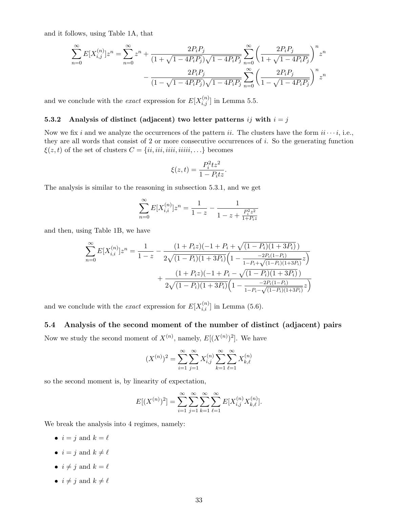and it follows, using Table 1A, that

$$
\begin{split} \sum_{n=0}^{\infty}E[X_{i,j}^{(n)}]z^n&=\sum_{n=0}^{\infty}z^n+\frac{2P_iP_j}{(1+\sqrt{1-4P_iP_j})\sqrt{1-4P_iP_j}}\sum_{n=0}^{\infty}\left(\frac{2P_iP_j}{1+\sqrt{1-4P_iP_j}}\right)^nz^n\\ &-\frac{2P_iP_j}{(1-\sqrt{1-4P_iP_j})\sqrt{1-4P_iP_j}}\sum_{n=0}^{\infty}\left(\frac{2P_iP_j}{1-\sqrt{1-4P_iP_j}}\right)^nz^n \end{split}
$$

and we conclude with the *exact* expression for  $E[X_{i,j}^{(n)}]$  in Lemma 5.5.

#### 5.3.2 Analysis of distinct (adjacent) two letter patterns ij with  $i = j$

Now we fix i and we analyze the occurrences of the pattern ii. The clusters have the form  $ii \cdots i$ , i.e., they are all words that consist of 2 or more consecutive occurrences of i. So the generating function  $\xi(z, t)$  of the set of clusters  $C = \{ii, iii, iiiii, iii, ...\}$  becomes

$$
\xi(z,t) = \frac{P_i^2 t z^2}{1 - P_i t z}.
$$

The analysis is similar to the reasoning in subsection 5.3.1, and we get

$$
\sum_{n=0}^{\infty} E[X_{i,i}^{(n)}]z^n = \frac{1}{1-z} - \frac{1}{1-z + \frac{P_i^2 z^2}{1+P_i z}}
$$

and then, using Table 1B, we have

$$
\sum_{n=0}^{\infty} E[X_{i,i}^{(n)}]z^n = \frac{1}{1-z} - \frac{(1+P_iz)(-1+P_i+\sqrt{(1-P_i)(1+3P_i)})}{2\sqrt{(1-P_i)(1+3P_i)}\left(1-\frac{-2P_i(1-P_i)}{1-P_i+\sqrt{(1-P_i)(1+3P_i)}}z\right)} + \frac{(1+P_iz)(-1+P_i-\sqrt{(1-P_i)(1+3P_i)})}{2\sqrt{(1-P_i)(1+3P_i)}\left(1-\frac{-2P_i(1-P_i)}{1-P_i-\sqrt{(1-P_i)(1+3P_i)}}z\right)}
$$

and we conclude with the *exact* expression for  $E[X_{i,i}^{(n)}]$  in Lemma (5.6).

5.4 Analysis of the second moment of the number of distinct (adjacent) pairs Now we study the second moment of  $X^{(n)}$ , namely,  $E[(X^{(n)})^2]$ . We have

$$
(X^{(n)})^2 = \sum_{i=1}^{\infty} \sum_{j=1}^{\infty} X_{i,j}^{(n)} \sum_{k=1}^{\infty} \sum_{\ell=1}^{\infty} X_{k,\ell}^{(n)}
$$

so the second moment is, by linearity of expectation,

$$
E[(X^{(n)})^2] = \sum_{i=1}^{\infty} \sum_{j=1}^{\infty} \sum_{k=1}^{\infty} \sum_{\ell=1}^{\infty} E[X_{i,j}^{(n)} X_{k,\ell}^{(n)}].
$$

We break the analysis into 4 regimes, namely:

- $i = j$  and  $k = \ell$
- $i = j$  and  $k \neq \ell$
- $i \neq j$  and  $k = \ell$
- $i \neq j$  and  $k \neq \ell$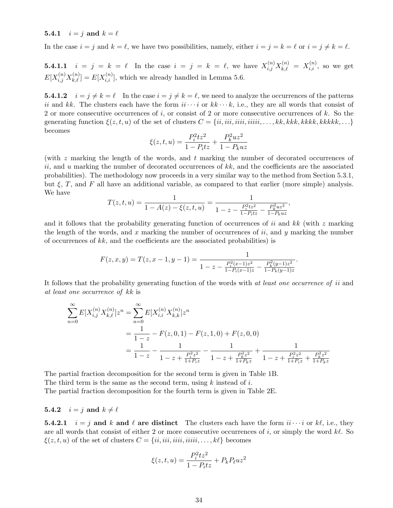5.4.1  $i = j$  and  $k = \ell$ 

In the case  $i = j$  and  $k = \ell$ , we have two possibilities, namely, either  $i = j = k = \ell$  or  $i = j \neq k = \ell$ .

**5.4.1.1**  $i = j = k = \ell$  In the case  $i = j = k = \ell$ , we have  $X_{i,j}^{(n)} X_{k,\ell}^{(n)} = X_{i,i}^{(n)}$ , so we get  $E[X_{i,j}^{(n)}X_{k,\ell}^{(n)}] = E[X_{i,i}^{(n)}]$ , which we already handled in Lemma 5.6.

**5.4.1.2**  $i = j \neq k = \ell$  In the case  $i = j \neq k = \ell$ , we need to analyze the occurrences of the patterns ii and kk. The clusters each have the form  $ii \cdots i$  or  $kk \cdots k$ , i.e., they are all words that consist of 2 or more consecutive occurrences of  $i$ , or consist of 2 or more consecutive occurrences of  $k$ . So the generating function  $\xi(z, t, u)$  of the set of clusters  $C = \{ii, iii, iiiii, \dots, kk, kkk, kkkk, kkkk, \dots\}$ becomes

$$
\xi(z, t, u) = \frac{P_i^2 t z^2}{1 - P_i t z} + \frac{P_k^2 u z^2}{1 - P_k u z}
$$

(with  $z$  marking the length of the words, and  $t$  marking the number of decorated occurrences of ii, and u marking the number of decorated occurrences of  $kk$ , and the coefficients are the associated probabilities). The methodology now proceeds in a very similar way to the method from Section 5.3.1, but  $\xi$ , T, and F all have an additional variable, as compared to that earlier (more simple) analysis. We have

$$
T(z,t,u) = \frac{1}{1 - A(z) - \xi(z,t,u)} = \frac{1}{1 - z - \frac{P_i^2 t z^2}{1 - P_t t z} - \frac{P_k^2 u z^2}{1 - P_k u z}},
$$

and it follows that the probability generating function of occurrences of ii and  $kk$  (with z marking the length of the words, and x marking the number of occurrences of  $ii$ , and y marking the number of occurrences of  $kk$ , and the coefficients are the associated probabilities) is

$$
F(z, x, y) = T(z, x - 1, y - 1) = \frac{1}{1 - z - \frac{P_i^2(x - 1)z^2}{1 - P_i(x - 1)z} - \frac{P_k^2(y - 1)z^2}{1 - P_k(y - 1)z}}.
$$

It follows that the probability generating function of the words with at least one occurrence of ii and at least one occurrence of kk is

$$
\sum_{n=0}^{\infty} E[X_{i,j}^{(n)} X_{k,\ell}^{(n)}] z^n = \sum_{n=0}^{\infty} E[X_{i,i}^{(n)} X_{k,k}^{(n)}] z^n
$$
  
= 
$$
\frac{1}{1-z} - F(z,0,1) - F(z,1,0) + F(z,0,0)
$$
  
= 
$$
\frac{1}{1-z} - \frac{1}{1-z + \frac{P_i^2 z^2}{1+P_i z}} - \frac{1}{1-z + \frac{P_k^2 z^2}{1+P_k z}} + \frac{1}{1-z + \frac{P_i^2 z^2}{1+P_i z} + \frac{P_k^2 z^2}{1+P_k z}}
$$

The partial fraction decomposition for the second term is given in Table 1B. The third term is the same as the second term, using  $k$  instead of  $i$ . The partial fraction decomposition for the fourth term is given in Table 2E.

### 5.4.2  $i = j$  and  $k \neq \ell$

**5.4.2.1**  $i = j$  and k and l are distinct The clusters each have the form  $ii \cdots i$  or kl, i.e., they are all words that consist of either 2 or more consecutive occurrences of i, or simply the word  $k\ell$ . So  $\xi(z, t, u)$  of the set of clusters  $C = \{ii, iii, iiiii, iiiii, \dots, k\}$  becomes

$$
\xi(z,t,u) = \frac{P_i^2 t z^2}{1 - P_i t z} + P_k P_\ell u z^2
$$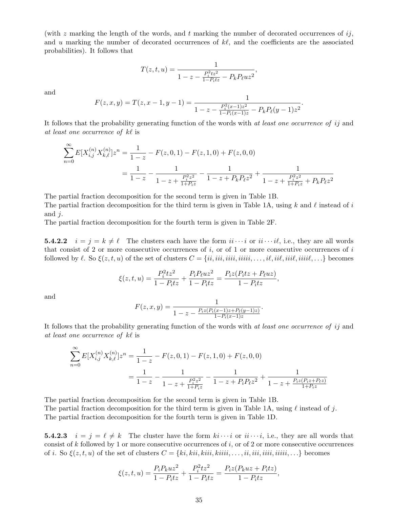(with  $z$  marking the length of the words, and  $t$  marking the number of decorated occurrences of  $ij$ , and u marking the number of decorated occurrences of  $k\ell$ , and the coefficients are the associated probabilities). It follows that

$$
T(z, t, u) = \frac{1}{1 - z - \frac{P_i^2 t z^2}{1 - P_t t z} - P_k P_\ell u z^2},
$$

and

$$
F(z, x, y) = T(z, x - 1, y - 1) = \frac{1}{1 - z - \frac{P_i^2(x - 1)z^2}{1 - P_i(x - 1)z} - P_kP_\ell(y - 1)z^2}
$$

.

It follows that the probability generating function of the words with at least one occurrence of ij and at least one occurrence of  $k\ell$  is

$$
\sum_{n=0}^{\infty} E[X_{i,j}^{(n)} X_{k,\ell}^{(n)}] z^n = \frac{1}{1-z} - F(z,0,1) - F(z,1,0) + F(z,0,0)
$$
  
= 
$$
\frac{1}{1-z} - \frac{1}{1-z + \frac{P_i^2 z^2}{1+P_i z}} - \frac{1}{1-z + P_k P_\ell z^2} + \frac{1}{1-z + \frac{P_i^2 z^2}{1+P_k z} + P_k P_\ell z^2}
$$

The partial fraction decomposition for the second term is given in Table 1B.

The partial fraction decomposition for the third term is given in Table 1A, using k and  $\ell$  instead of i and  $i$ .

The partial fraction decomposition for the fourth term is given in Table 2F.

**5.4.2.2**  $i = j = k \neq \ell$  The clusters each have the form  $ii \cdots i$  or  $ii \cdots i\ell$ , i.e., they are all words that consist of 2 or more consecutive occurrences of  $i$ , or of 1 or more consecutive occurrences of  $i$ followed by  $\ell$ . So  $\xi(z, t, u)$  of the set of clusters  $C = \{ii, iii, iiiii, \ldots, i\ell, iii\ell, iii\ell, iii\ell, \ldots\}$  becomes

$$
\xi(z, t, u) = \frac{P_i^2 t z^2}{1 - P_i t z} + \frac{P_i P_\ell u z^2}{1 - P_i t z} = \frac{P_i z (P_i t z + P_\ell u z)}{1 - P_i t z},
$$

and

$$
F(z, x, y) = \frac{1}{1 - z - \frac{P_i z (P_i (x-1)z + P_\ell (y-1)z)}{1 - P_i (x-1)z}}
$$

.

It follows that the probability generating function of the words with *at least one occurrence of ij* and at least one occurrence of  $k\ell$  is

$$
\sum_{n=0}^{\infty} E[X_{i,j}^{(n)} X_{k,\ell}^{(n)}] z^n = \frac{1}{1-z} - F(z,0,1) - F(z,1,0) + F(z,0,0)
$$
  
= 
$$
\frac{1}{1-z} - \frac{1}{1-z + \frac{P_i^2 z^2}{1+P_i z}} - \frac{1}{1-z + P_i P_\ell z^2} + \frac{1}{1-z + \frac{P_i z (P_i z + P_\ell z)}{1+P_i z}}
$$

The partial fraction decomposition for the second term is given in Table 1B. The partial fraction decomposition for the third term is given in Table 1A, using  $\ell$  instead of j. The partial fraction decomposition for the fourth term is given in Table 1D.

**5.4.2.3**  $i = j = \ell \neq k$  The cluster have the form  $ki \cdots i$  or  $ii \cdots i$ , i.e., they are all words that consist of k followed by 1 or more consecutive occurrences of  $i$ , or of 2 or more consecutive occurrences of i. So  $\xi(z, t, u)$  of the set of clusters  $C = \{ki, kii, kiii, kiiii, \ldots, ii, iii, iiiii, iiiii, \ldots\}$  becomes

$$
\xi(z,t,u) = \frac{P_i P_k u z^2}{1 - P_i t z} + \frac{P_i^2 t z^2}{1 - P_i t z} = \frac{P_i z (P_k u z + P_i t z)}{1 - P_i t z},
$$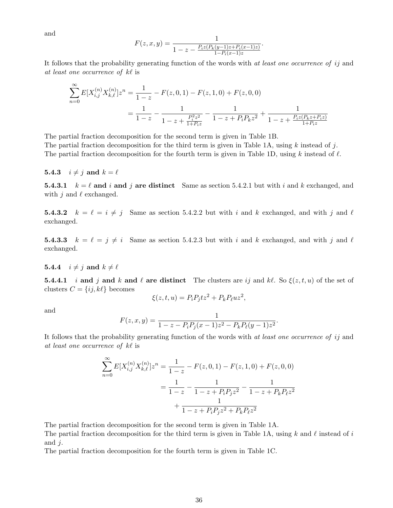and

$$
F(z, x, y) = \frac{1}{1 - z - \frac{P_i z (P_k (y-1)z + P_i (x-1)z)}{1 - P_i (x-1)z}}.
$$

It follows that the probability generating function of the words with *at least one occurrence of ij* and at least one occurrence of  $k\ell$  is

$$
\sum_{n=0}^{\infty} E[X_{i,j}^{(n)} X_{k,\ell}^{(n)}] z^n = \frac{1}{1-z} - F(z,0,1) - F(z,1,0) + F(z,0,0)
$$
  
= 
$$
\frac{1}{1-z} - \frac{1}{1-z + \frac{P_i^2 z^2}{1+P_i z}} - \frac{1}{1-z + P_i P_k z^2} + \frac{1}{1-z + \frac{P_i z (P_k z + P_i z)}{1+P_i z}}
$$

The partial fraction decomposition for the second term is given in Table 1B.

The partial fraction decomposition for the third term is given in Table 1A, using k instead of j. The partial fraction decomposition for the fourth term is given in Table 1D, using k instead of  $\ell$ .

#### **5.4.3**  $i \neq j$  and  $k = \ell$

**5.4.3.1**  $k = \ell$  and i and j are distinct Same as section 5.4.2.1 but with i and k exchanged, and with j and  $\ell$  exchanged.

**5.4.3.2**  $k = \ell = i \neq j$  Same as section 5.4.2.2 but with i and k exchanged, and with j and  $\ell$ exchanged.

**5.4.3.3**  $k = \ell = j \neq i$  Same as section 5.4.2.3 but with i and k exchanged, and with j and  $\ell$ exchanged.

#### **5.4.4**  $i \neq j$  and  $k \neq \ell$

**5.4.4.1** i and j and k and l are distinct The clusters are ij and kl. So  $\xi(z, t, u)$  of the set of clusters  $C = \{ij, k\ell\}$  becomes

$$
\xi(z,t,u) = P_i P_j t z^2 + P_k P_\ell u z^2,
$$

and

$$
F(z, x, y) = \frac{1}{1 - z - P_i P_j (x - 1) z^2 - P_k P_\ell (y - 1) z^2}.
$$

It follows that the probability generating function of the words with at least one occurrence of ij and at least one occurrence of  $k\ell$  is

$$
\sum_{n=0}^{\infty} E[X_{i,j}^{(n)} X_{k,\ell}^{(n)}] z^n = \frac{1}{1-z} - F(z,0,1) - F(z,1,0) + F(z,0,0)
$$

$$
= \frac{1}{1-z} - \frac{1}{1-z + P_i P_j z^2} - \frac{1}{1-z + P_k P_\ell z^2}
$$

$$
+ \frac{1}{1-z + P_i P_j z^2 + P_k P_\ell z^2}
$$

The partial fraction decomposition for the second term is given in Table 1A.

The partial fraction decomposition for the third term is given in Table 1A, using  $k$  and  $\ell$  instead of  $i$ and  $j$ .

The partial fraction decomposition for the fourth term is given in Table 1C.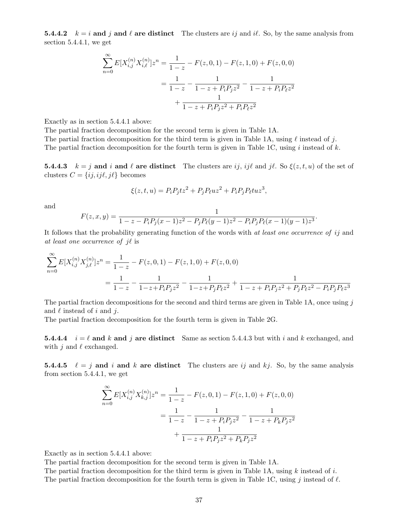**5.4.4.2**  $k = i$  and j and  $\ell$  are distinct The clusters are ij and i $\ell$ . So, by the same analysis from section 5.4.4.1, we get

$$
\sum_{n=0}^{\infty} E[X_{i,j}^{(n)} X_{i,\ell}^{(n)}] z^n = \frac{1}{1-z} - F(z,0,1) - F(z,1,0) + F(z,0,0)
$$

$$
= \frac{1}{1-z} - \frac{1}{1-z + P_i P_j z^2} - \frac{1}{1-z + P_i P_\ell z^2}
$$

$$
+ \frac{1}{1-z + P_i P_j z^2 + P_i P_\ell z^2}
$$

Exactly as in section 5.4.4.1 above:

The partial fraction decomposition for the second term is given in Table 1A.

The partial fraction decomposition for the third term is given in Table 1A, using  $\ell$  instead of j.

The partial fraction decomposition for the fourth term is given in Table 1C, using  $i$  instead of  $k$ .

**5.4.4.3**  $k = j$  and i and l are distinct The clusters are ij, ijl and jl. So  $\xi(z, t, u)$  of the set of clusters  $C = \{ij, ij\ell, j\ell\}$  becomes

$$
\xi(z,t,u) = P_i P_j tz^2 + P_j P_\ell uz^2 + P_i P_j P_\ell tuz^3,
$$

and

$$
F(z, x, y) = \frac{1}{1 - z - P_i P_j(x - 1)z^2 - P_j P_\ell(y - 1)z^2 - P_i P_j P_\ell(x - 1)(y - 1)z^3}.
$$

It follows that the probability generating function of the words with *at least one occurrence of ij* and at least one occurrence of  $i\ell$  is

$$
\sum_{n=0}^{\infty} E[X_{i,j}^{(n)} X_{j,\ell}^{(n)}] z^n = \frac{1}{1-z} - F(z,0,1) - F(z,1,0) + F(z,0,0)
$$
  
= 
$$
\frac{1}{1-z} - \frac{1}{1-z + P_i P_j z^2} - \frac{1}{1-z + P_j P_\ell z^2} + \frac{1}{1-z + P_i P_j z^2 + P_j P_\ell z^2 - P_i P_j P_\ell z^3}
$$

The partial fraction decompositions for the second and third terms are given in Table 1A, once using j and  $\ell$  instead of i and j.

The partial fraction decomposition for the fourth term is given in Table 2G.

**5.4.4.4**  $i = \ell$  and k and j are distinct Same as section 5.4.4.3 but with i and k exchanged, and with j and  $\ell$  exchanged.

**5.4.4.5**  $\ell = j$  and i and k are distinct The clusters are ij and kj. So, by the same analysis from section 5.4.4.1, we get

$$
\sum_{n=0}^{\infty} E[X_{i,j}^{(n)} X_{k,j}^{(n)}] z^n = \frac{1}{1-z} - F(z,0,1) - F(z,1,0) + F(z,0,0)
$$

$$
= \frac{1}{1-z} - \frac{1}{1-z + P_i P_j z^2} - \frac{1}{1-z + P_k P_j z^2}
$$

$$
+ \frac{1}{1-z + P_i P_j z^2 + P_k P_j z^2}
$$

Exactly as in section 5.4.4.1 above:

The partial fraction decomposition for the second term is given in Table 1A.

The partial fraction decomposition for the third term is given in Table 1A, using  $k$  instead of  $i$ . The partial fraction decomposition for the fourth term is given in Table 1C, using j instead of  $\ell$ .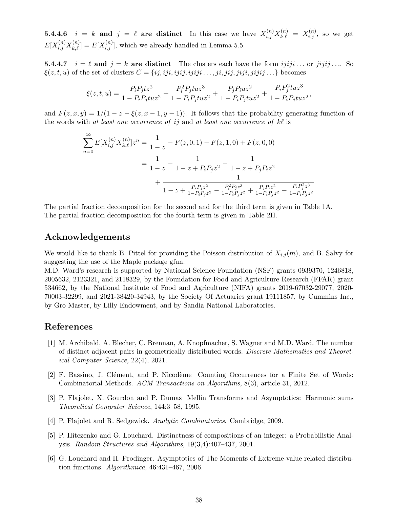**5.4.4.6**  $i = k$  and  $j = \ell$  are distinct In this case we have  $X_{i,j}^{(n)} X_{k,\ell}^{(n)} = X_{i,j}^{(n)}$ , so we get  $E[X_{i,j}^{(n)}X_{k,\ell}^{(n)}] = E[X_{i,j}^{(n)}]$ , which we already handled in Lemma 5.5.

**5.4.4.7**  $i = \ell$  and  $j = k$  are distinct The clusters each have the form  $ijij$ ... or  $jijij$ .... So  $\xi(z, t, u)$  of the set of clusters  $C = \{ij, iji, ijij, ijiji, \ldots, ji, jij, jiji, jiji, jiji, \ldots\}$  becomes

$$
\xi(z,t,u)=\frac{P_{i}P_{j}tz^{2}}{1-P_{i}P_{j}tuz^{2}}+\frac{P_{i}^{2}P_{j}tuz^{3}}{1-P_{i}P_{j}tuz^{2}}+\frac{P_{j}P_{i}uz^{2}}{1-P_{i}P_{j}tuz^{2}}+\frac{P_{i}P_{j}^{2}tuz^{3}}{1-P_{i}P_{j}tuz^{2}},
$$

and  $F(z, x, y) = 1/(1 - z - \xi(z, x - 1, y - 1))$ . It follows that the probability generating function of the words with at least one occurrence of ij and at least one occurrence of  $k\ell$  is

$$
\sum_{n=0}^{\infty} E[X_{i,j}^{(n)} X_{k,\ell}^{(n)}] z^n = \frac{1}{1-z} - F(z,0,1) - F(z,1,0) + F(z,0,0)
$$
  

$$
= \frac{1}{1-z} - \frac{1}{1-z+P_i P_j z^2} - \frac{1}{1-z+P_j P_i z^2}
$$
  

$$
+ \frac{1}{1-z + \frac{P_i P_j z^2}{1-P_i P_j z^2} - \frac{P_i^2 P_j z^3}{1-P_i P_j z^2} + \frac{P_j P_i z^2}{1-P_i P_j z^2} - \frac{P_i P_j^2 z^3}{1-P_i P_j z^2}}
$$

The partial fraction decomposition for the second and for the third term is given in Table 1A. The partial fraction decomposition for the fourth term is given in Table 2H.

## Acknowledgements

We would like to thank B. Pittel for providing the Poisson distribution of  $X_{i,j}(m)$ , and B. Salvy for suggesting the use of the Maple package gfun.

M.D. Ward's research is supported by National Science Foundation (NSF) grants 0939370, 1246818, 2005632, 2123321, and 2118329, by the Foundation for Food and Agriculture Research (FFAR) grant 534662, by the National Institute of Food and Agriculture (NIFA) grants 2019-67032-29077, 2020- 70003-32299, and 2021-38420-34943, by the Society Of Actuaries grant 19111857, by Cummins Inc., by Gro Master, by Lilly Endowment, and by Sandia National Laboratories.

## References

- [1] M. Archibald, A. Blecher, C. Brennan, A. Knopfmacher, S. Wagner and M.D. Ward. The number of distinct adjacent pairs in geometrically distributed words. Discrete Mathematics and Theoretical Computer Science, 22(4), 2021.
- [2] F. Bassino, J. Clément, and P. Nicodème Counting Occurrences for a Finite Set of Words: Combinatorial Methods. ACM Transactions on Algorithms, 8(3), article 31, 2012.
- [3] P. Flajolet, X. Gourdon and P. Dumas Mellin Transforms and Asymptotics: Harmonic sums Theoretical Computer Science, 144:3–58, 1995.
- [4] P. Flajolet and R. Sedgewick. Analytic Combinatorics. Cambridge, 2009.
- [5] P. Hitczenko and G. Louchard. Distinctness of compositions of an integer: a Probabilistic Analysis. Random Structures and Algorithms, 19(3,4):407–437, 2001.
- [6] G. Louchard and H. Prodinger. Asymptotics of The Moments of Extreme-value related distribution functions. Algorithmica, 46:431–467, 2006.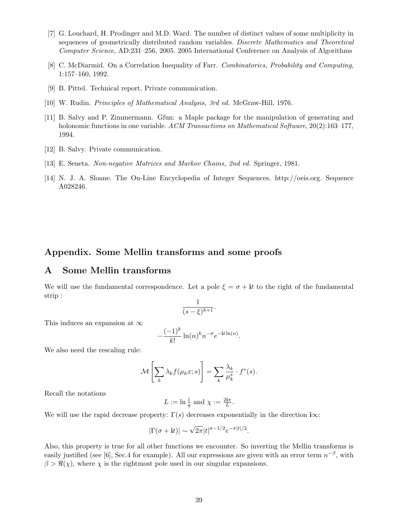- [7] G. Louchard, H. Prodinger and M.D. Ward. The number of distinct values of some multiplicity in sequences of geometrically distributed random variables. Discrete Mathematics and Theoretical Computer Science, AD:231–256, 2005. 2005 International Conference on Analysis of Algorithms
- [8] C. McDiarmid. On a Correlation Inequality of Farr. Combinatorics, Probability and Computing, 1:157–160, 1992.
- [9] B. Pittel. Technical report. Private communication.
- [10] W. Rudin. Principles of Mathematical Analysis, 3rd ed. McGraw-Hill, 1976.
- [11] B. Salvy and P. Zimmermann. Gfun: a Maple package for the manipulation of generating and holonomic functions in one variable. ACM Transactions on Mathematical Software, 20(2):163–177, 1994.
- [12] B. Salvy. Private communication.
- [13] E. Seneta. Non-negative Matrices and Markov Chains, 2nd ed. Springer, 1981.
- [14] N. J. A. Sloane. The On-Line Encyclopedia of Integer Sequences, http://oeis.org. Sequence A028246.

## Appendix. Some Mellin transforms and some proofs

## A Some Mellin transforms

We will use the fundamental correspondence. Let a pole  $\xi = \sigma + i t$  to the right of the fundamental strip :

$$
\frac{1}{(s-\xi)^{k+1}}.
$$

This induces an expansion at  $\infty$ 

$$
-\frac{(-1)^k}{k!}\ln(n)^k n^{-\sigma} e^{-\mathbf{i}t\ln(n)}.
$$

We also need the rescaling rule:

$$
\mathcal{M}\left[\sum_{k} \lambda_{k} f(\mu_{k} x; s)\right] = \sum_{k} \frac{\lambda_{k}}{\mu_{k}^{s}} \cdot f^{*}(s).
$$

Recall the notations

$$
L := \ln \frac{1}{q} \text{ and } \chi := \frac{2i\pi}{L}.
$$

We will use the rapid decrease property:  $\Gamma(s)$  decreases exponentially in the direction i $\infty$ :

$$
|\Gamma(\sigma + it)| \sim \sqrt{2\pi} |t|^{\sigma - 1/2} e^{-\pi |t|/2}.
$$

Also, this property is true for all other functions we encounter. So inverting the Mellin transforms is easily justified (see [6], Sec.4 for example). All our expressions are given with an error term  $n^{-\beta}$ , with  $\beta > \Re(\chi)$ , where  $\chi$  is the rightmost pole used in our singular expansions.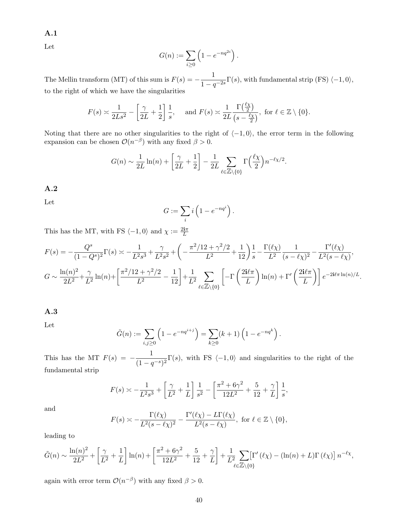A.1

Let

$$
G(n) := \sum_{i \ge 0} \left( 1 - e^{-nq^{2i}} \right).
$$

The Mellin transform (MT) of this sum is  $F(s) = -\frac{1}{1-s}$  $\frac{1}{1-q^{-2s}}\Gamma(s)$ , with fundamental strip (FS)  $\langle -1, 0 \rangle$ , to the right of which we have the singularities

$$
F(s) \approx \frac{1}{2Ls^2} - \left[\frac{\gamma}{2L} + \frac{1}{2}\right] \frac{1}{s}, \quad \text{and } F(s) \approx \frac{1}{2L} \frac{\Gamma(\frac{\ell \chi}{2})}{\left(s - \frac{\ell \chi}{2}\right)}, \text{ for } \ell \in \mathbb{Z} \setminus \{0\}.
$$

Noting that there are no other singularities to the right of  $\langle -1, 0 \rangle$ , the error term in the following expansion can be chosen  $\mathcal{O}(n^{-\beta})$  with any fixed  $\beta > 0$ .

$$
G(n) \sim \frac{1}{2L} \ln(n) + \left[ \frac{\gamma}{2L} + \frac{1}{2} \right] - \frac{1}{2L} \sum_{\ell \in \mathbb{Z} \setminus \{0\}} \Gamma\left(\frac{\ell \chi}{2}\right) n^{-\ell \chi/2}.
$$

#### A.2

Let

$$
G := \sum_{i} i \left( 1 - e^{-nq^{i}} \right).
$$

This has the MT, with FS  $\langle -1, 0 \rangle$  and  $\chi := \frac{2i\pi}{L}$ 

$$
F(s) = -\frac{Q^s}{(1 - Q^s)^2} \Gamma(s) \approx -\frac{1}{L^2 s^3} + \frac{\gamma}{L^2 s^2} + \left( -\frac{\pi^2 / 12 + \gamma^2 / 2}{L^2} + \frac{1}{12} \right) \frac{1}{s} - \frac{\Gamma(\ell \chi)}{L^2} \frac{1}{(s - \ell \chi)^2} - \frac{\Gamma'(\ell \chi)}{L^2 (s - \ell \chi)},
$$
  

$$
G \sim \frac{\ln(n)^2}{2L^2} + \frac{\gamma}{L^2} \ln(n) + \left[ \frac{\pi^2 / 12 + \gamma^2 / 2}{L^2} - \frac{1}{12} \right] + \frac{1}{L^2} \sum_{\ell \in \mathbb{Z} \backslash \{0\}} \left[ -\Gamma\left(\frac{2\mathbf{i}\ell \pi}{L}\right) \ln(n) + \Gamma'\left(\frac{2\mathbf{i}\ell \pi}{L}\right) \right] e^{-2\mathbf{i}\ell \pi \ln(n)/L}.
$$

### A.3

Let

$$
\tilde{G}(n) := \sum_{i,j \ge 0} \left( 1 - e^{-nq^{i+j}} \right) = \sum_{k \ge 0} (k+1) \left( 1 - e^{-nq^k} \right).
$$

This has the MT  $F(s) = -\frac{1}{(1-s)^2}$  $\frac{1}{(1-q^{-s})^2} \Gamma(s)$ , with FS  $\langle -1, 0 \rangle$  and singularities to the right of the fundamental strip

$$
F(s) \approx -\frac{1}{L^2 s^3} + \left[\frac{\gamma}{L^2} + \frac{1}{L}\right] \frac{1}{s^2} - \left[\frac{\pi^2 + 6\gamma^2}{12L^2} + \frac{5}{12} + \frac{\gamma}{L}\right] \frac{1}{s},
$$

and

$$
F(s) \asymp -\frac{\Gamma(\ell \chi)}{L^2(s-\ell \chi)^2} - \frac{\Gamma'(\ell \chi) - L\Gamma(\ell \chi)}{L^2(s-\ell \chi)}, \text{ for } \ell \in \mathbb{Z} \setminus \{0\},
$$

leading to

$$
\tilde{G}(n) \sim \frac{\ln(n)^2}{2L^2} + \left[\frac{\gamma}{L^2} + \frac{1}{L}\right] \ln(n) + \left[\frac{\pi^2 + 6\gamma^2}{12L^2} + \frac{5}{12} + \frac{\gamma}{L}\right] + \frac{1}{L^2} \sum_{\ell \in \mathbb{Z} \setminus \{0\}} \left[\Gamma'(\ell \chi) - (\ln(n) + L)\Gamma(\ell \chi)\right] n^{-\ell \chi},
$$

again with error term  $\mathcal{O}(n^{-\beta})$  with any fixed  $\beta > 0$ .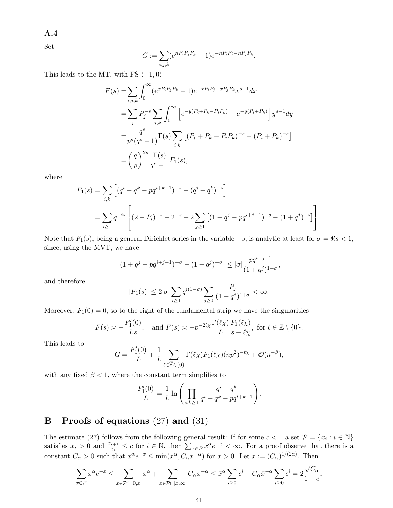A.4

Set

$$
G := \sum_{i,j,k} (e^{nP_i P_j P_k} - 1) e^{-nP_i P_j - nP_j P_k}.
$$

This leads to the MT, with FS  $\langle -1, 0 \rangle$ 

$$
F(s) = \sum_{i,j,k} \int_0^\infty (e^{xP_i P_j P_k} - 1) e^{-xP_i P_j - xP_j P_k} x^{s-1} dx
$$
  
=  $\sum_j P_j^{-s} \sum_{i,k} \int_0^\infty \left[ e^{-y(P_i + P_k - P_i P_k)} - e^{-y(P_i + P_k)} \right] y^{s-1} dy$   
=  $\frac{q^s}{p^s (q^s - 1)} \Gamma(s) \sum_{i,k} \left[ (P_i + P_k - P_i P_k)^{-s} - (P_i + P_k)^{-s} \right]$   
=  $\left(\frac{q}{p}\right)^{2s} \frac{\Gamma(s)}{q^s - 1} F_1(s),$ 

where

$$
F_1(s) = \sum_{i,k} \left[ (q^i + q^k - pq^{i+k-1})^{-s} - (q^i + q^k)^{-s} \right]
$$
  
= 
$$
\sum_{i \ge 1} q^{-is} \left[ (2 - P_i)^{-s} - 2^{-s} + 2 \sum_{j \ge 1} \left[ (1 + q^j - pq^{i+j-1})^{-s} - (1 + q^j)^{-s} \right] \right].
$$

Note that  $F_1(s)$ , being a general Dirichlet series in the variable  $-s$ , is analytic at least for  $\sigma = \Re s < 1$ , since, using the MVT, we have

$$
\left| (1+q^{j}-pq^{i+j-1})^{-\sigma} - (1+q^{j})^{-\sigma} \right| \leq |\sigma| \frac{pq^{i+j-1}}{(1+q^{j})^{1+\sigma}},
$$

and therefore

$$
|F_1(s)| \le 2|\sigma| \sum_{i \ge 1} q^{i(1-\sigma)} \sum_{j \ge 0} \frac{P_j}{(1+q^j)^{1+\sigma}} < \infty.
$$

Moreover,  $F_1(0) = 0$ , so to the right of the fundamental strip we have the singularities

$$
F(s) \approx -\frac{F'_1(0)}{Ls}
$$
, and  $F(s) \approx -p^{-2\ell_X} \frac{\Gamma(\ell_X)}{L} \frac{F_1(\ell_X)}{s - \ell_X}$ , for  $\ell \in \mathbb{Z} \setminus \{0\}$ .

This leads to

$$
G = \frac{F_1'(0)}{L} + \frac{1}{L} \sum_{\ell \in \mathbb{Z} \setminus \{0\}} \Gamma(\ell \chi) F_1(\ell \chi) (np^2)^{-\ell \chi} + \mathcal{O}(n^{-\beta}),
$$

with any fixed  $\beta < 1$ , where the constant term simplifies to

$$
\frac{F_1'(0)}{L} = \frac{1}{L} \ln \left( \prod_{i,k \ge 1} \frac{q^i + q^k}{q^i + q^k - pq^{i+k-1}} \right).
$$

# B Proofs of equations (27) and (31)

The estimate (27) follows from the following general result: If for some  $c < 1$  a set  $\mathcal{P} = \{x_i : i \in \mathbb{N}\}\$ satisfies  $x_i > 0$  and  $\frac{x_{i+1}}{x_i} \le c$  for  $i \in \mathbb{N}$ , then  $\sum_{x \in \mathcal{P}} x^{\alpha} e^{-x} < \infty$ . For a proof observe that there is a constant  $C_{\alpha} > 0$  such that  $x^{\alpha}e^{-x} \le \min(x^{\alpha}, C_{\alpha}x^{-\alpha})$  for  $x > 0$ . Let  $\bar{x} := (C_{\alpha})^{1/(2\alpha)}$ . Then

$$
\sum_{x \in \mathcal{P}} x^{\alpha} e^{-x} \le \sum_{x \in \mathcal{P} \cap [0,\bar{x}]} x^{\alpha} + \sum_{x \in \mathcal{P} \cap [\bar{x},\infty[} C_{\alpha} x^{-\alpha} \le \bar{x}^{\alpha} \sum_{i \ge 0} c^{i} + C_{\alpha} \bar{x}^{-\alpha} \sum_{i \ge 0} c^{i} = 2 \frac{\sqrt{C_{\alpha}}}{1-c}.
$$